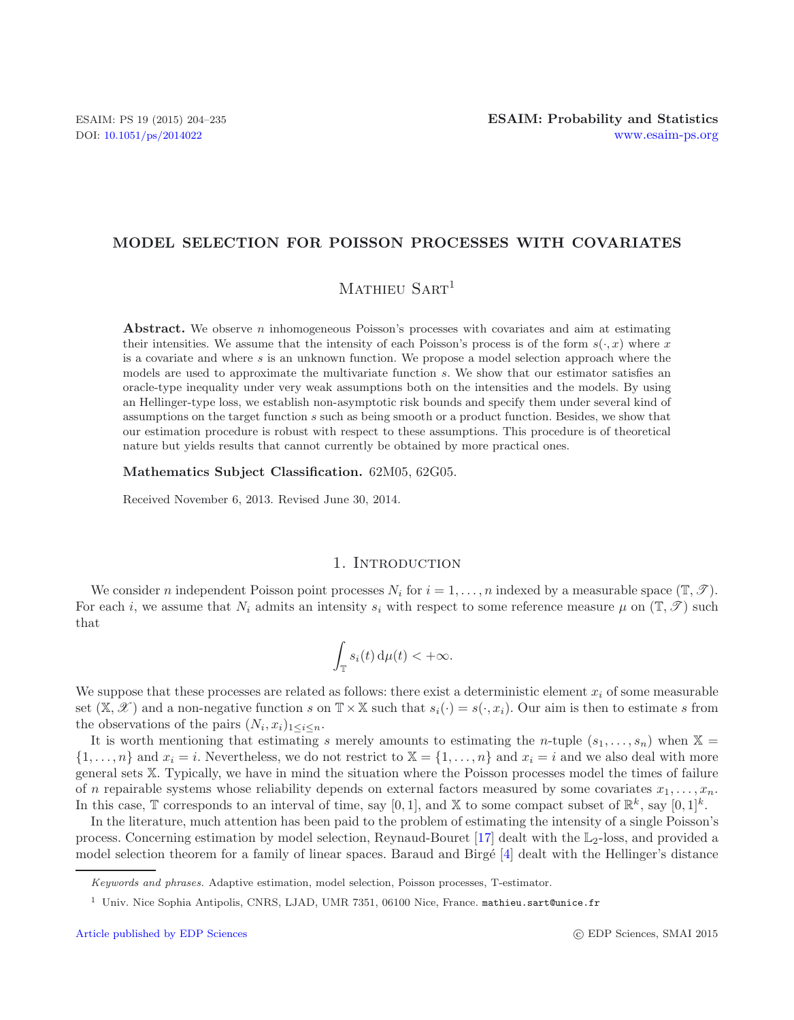## **MODEL SELECTION FOR POISSON PROCESSES WITH COVARIATES**

# MATHIEU SART<sup>1</sup>

**Abstract.** We observe *n* inhomogeneous Poisson's processes with covariates and aim at estimating their intensities. We assume that the intensity of each Poisson's process is of the form  $s(\cdot, x)$  where x is a covariate and where *s* is an unknown function. We propose a model selection approach where the models are used to approximate the multivariate function *s*. We show that our estimator satisfies an oracle-type inequality under very weak assumptions both on the intensities and the models. By using an Hellinger-type loss, we establish non-asymptotic risk bounds and specify them under several kind of assumptions on the target function *s* such as being smooth or a product function. Besides, we show that our estimation procedure is robust with respect to these assumptions. This procedure is of theoretical nature but yields results that cannot currently be obtained by more practical ones.

#### **Mathematics Subject Classification.** 62M05, 62G05.

Received November 6, 2013. Revised June 30, 2014.

#### 1. INTRODUCTION

We consider *n* independent Poisson point processes  $N_i$  for  $i = 1, \ldots, n$  indexed by a measurable space  $(\mathbb{T}, \mathscr{T})$ . For each i, we assume that  $N_i$  admits an intensity  $s_i$  with respect to some reference measure  $\mu$  on  $(\mathbb{T}, \mathscr{T})$  such that

$$
\int_{\mathbb{T}} s_i(t) \, \mathrm{d}\mu(t) < +\infty.
$$

We suppose that these processes are related as follows: there exist a deterministic element  $x_i$  of some measurable set  $(\mathbb{X}, \mathscr{X})$  and a non-negative function s on  $\mathbb{T} \times \mathbb{X}$  such that  $s_i(\cdot) = s(\cdot, x_i)$ . Our aim is then to estimate s from the observations of the pairs  $(N_i, x_i)_{1 \leq i \leq n}$ .

It is worth mentioning that estimating s merely amounts to estimating the n-tuple  $(s_1,...,s_n)$  when  $\mathbb{X} =$  $\{1,\ldots,n\}$  and  $x_i = i$ . Nevertheless, we do not restrict to  $X = \{1,\ldots,n\}$  and  $x_i = i$  and we also deal with more general sets X. Typically, we have in mind the situation where the Poisson processes model the times of failure of n repairable systems whose reliability depends on external factors measured by some covariates  $x_1, \ldots, x_n$ . In this case,  $\mathbb T$  corresponds to an interval of time, say [0,1], and  $\mathbb X$  to some compact subset of  $\mathbb R^k$ , say  $[0,1]^k$ .

In the literature, much attention has been paid to the problem of estimating the intensity of a single Poisson's process. Concerning estimation by model selection, Reynaud-Bouret  $[17]$  $[17]$  dealt with the  $\mathbb{L}_2$ -loss, and provided a model selection theorem for a family of linear spaces. Baraud and Birgé [\[4\]](#page-31-1) dealt with the Hellinger's distance

*Keywords and phrases.* Adaptive estimation, model selection, Poisson processes, T-estimator.

<sup>1</sup> Univ. Nice Sophia Antipolis, CNRS, LJAD, UMR 7351, 06100 Nice, France. mathieu.sart@unice.fr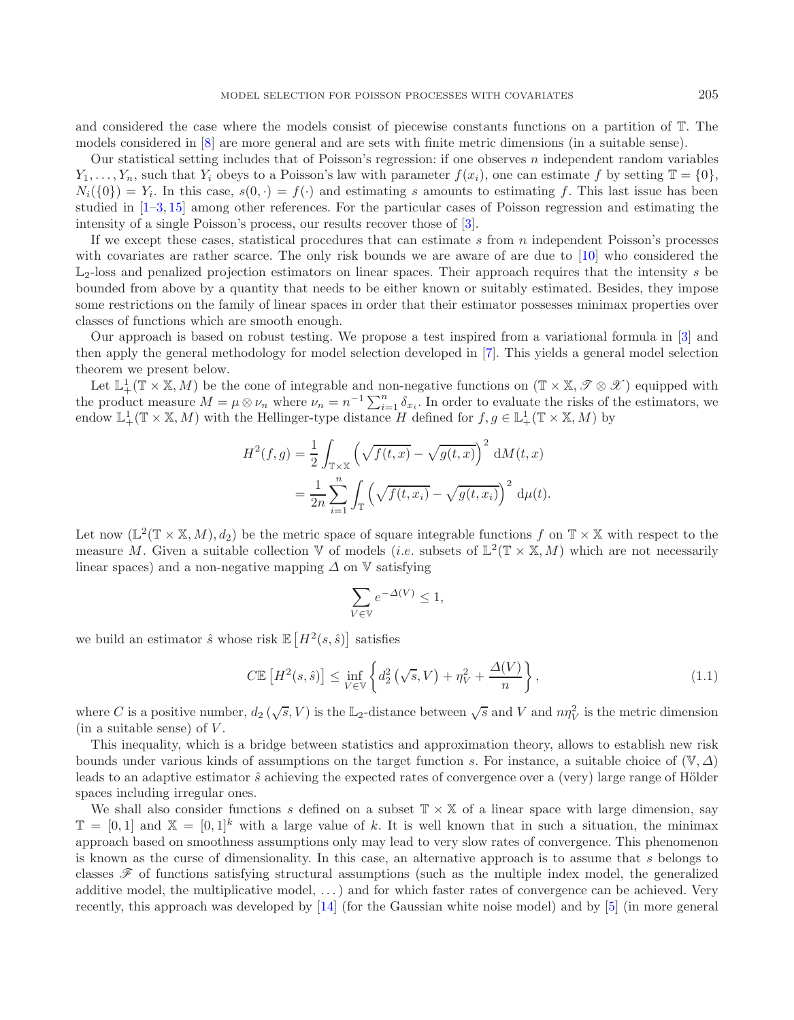and considered the case where the models consist of piecewise constants functions on a partition of T. The models considered in [\[8](#page-31-2)] are more general and are sets with finite metric dimensions (in a suitable sense).

Our statistical setting includes that of Poisson's regression: if one observes  $n$  independent random variables  $Y_1,\ldots,Y_n$ , such that  $Y_i$  obeys to a Poisson's law with parameter  $f(x_i)$ , one can estimate f by setting  $\mathbb{T} = \{0\}$ ,  $N_i({0}) = Y_i$ . In this case,  $s(0, \cdot) = f(\cdot)$  and estimating s amounts to estimating f. This last issue has been studied in [\[1](#page-31-3)[–3](#page-31-4), [15\]](#page-31-5) among other references. For the particular cases of Poisson regression and estimating the intensity of a single Poisson's process, our results recover those of [\[3\]](#page-31-4).

If we except these cases, statistical procedures that can estimate  $s$  from  $n$  independent Poisson's processes with covariates are rather scarce. The only risk bounds we are aware of are due to [\[10](#page-31-6)] who considered the  $\mathbb{L}_2$ -loss and penalized projection estimators on linear spaces. Their approach requires that the intensity s be bounded from above by a quantity that needs to be either known or suitably estimated. Besides, they impose some restrictions on the family of linear spaces in order that their estimator possesses minimax properties over classes of functions which are smooth enough.

Our approach is based on robust testing. We propose a test inspired from a variational formula in [\[3\]](#page-31-4) and then apply the general methodology for model selection developed in [\[7](#page-31-7)]. This yields a general model selection theorem we present below.

Let  $\mathbb{L}^1_+(\mathbb{T} \times \mathbb{X}, M)$  be the cone of integrable and non-negative functions on  $(\mathbb{T} \times \mathbb{X}, \mathcal{T} \otimes \mathcal{X})$  equipped with the product measure  $M = \mu \otimes \nu_n$  where  $\nu_n = n^{-1} \sum_{i=1}^n \delta_{x_i}$ . In order to evaluate the risks of the estimators, we endow  $\mathbb{L}^1_+(\mathbb{T} \times \mathbb{X}, M)$  with the Hellinger-type distance H defined for  $f, g \in \mathbb{L}^1_+(\mathbb{T} \times \mathbb{X}, M)$  by

$$
H^{2}(f,g) = \frac{1}{2} \int_{\mathbb{T} \times \mathbb{X}} \left( \sqrt{f(t,x)} - \sqrt{g(t,x)} \right)^{2} dM(t,x)
$$

$$
= \frac{1}{2n} \sum_{i=1}^{n} \int_{\mathbb{T}} \left( \sqrt{f(t,x_{i})} - \sqrt{g(t,x_{i})} \right)^{2} d\mu(t).
$$

Let now  $(\mathbb{L}^2(\mathbb{T} \times \mathbb{X}, M), d_2)$  be the metric space of square integrable functions f on  $\mathbb{T} \times \mathbb{X}$  with respect to the measure M. Given a suitable collection V of models (*i.e.* subsets of  $\mathbb{L}^2(\mathbb{T} \times \mathbb{X}, M)$  which are not necessarily linear spaces) and a non-negative mapping  $\Delta$  on  $\nabla$  satisfying

$$
\sum_{V\in\mathbb{V}}e^{-\varDelta(V)}\leq 1,
$$

we build an estimator  $\hat{s}$  whose risk  $\mathbb{E}[H^2(s,\hat{s})]$  satisfies

$$
C\mathbb{E}\left[H^2(s,\hat{s})\right] \leq \inf_{V \in \mathbb{V}} \left\{ d_2^2\left(\sqrt{s},V\right) + \eta_V^2 + \frac{\Delta(V)}{n} \right\},\tag{1.1}
$$

<span id="page-1-0"></span>where C is a positive number,  $d_2(\sqrt{s}, V)$  is the L<sub>2</sub>-distance between  $\sqrt{s}$  and V and  $n\eta_V^2$  is the metric dimension (in a suitable sense) of  $V$ .

This inequality, which is a bridge between statistics and approximation theory, allows to establish new risk bounds under various kinds of assumptions on the target function s. For instance, a suitable choice of  $(V, \Delta)$ leads to an adaptive estimator  $\hat{s}$  achieving the expected rates of convergence over a (very) large range of Hölder spaces including irregular ones.

We shall also consider functions s defined on a subset  $\mathbb{T} \times \mathbb{X}$  of a linear space with large dimension, say  $\mathbb{T} = [0, 1]$  and  $\mathbb{X} = [0, 1]^k$  with a large value of k. It is well known that in such a situation, the minimax approach based on smoothness assumptions only may lead to very slow rates of convergence. This phenomenon is known as the curse of dimensionality. In this case, an alternative approach is to assume that s belongs to classes  $\mathscr F$  of functions satisfying structural assumptions (such as the multiple index model, the generalized additive model, the multiplicative model, . . . ) and for which faster rates of convergence can be achieved. Very recently, this approach was developed by [\[14](#page-31-8)] (for the Gaussian white noise model) and by [\[5](#page-31-9)] (in more general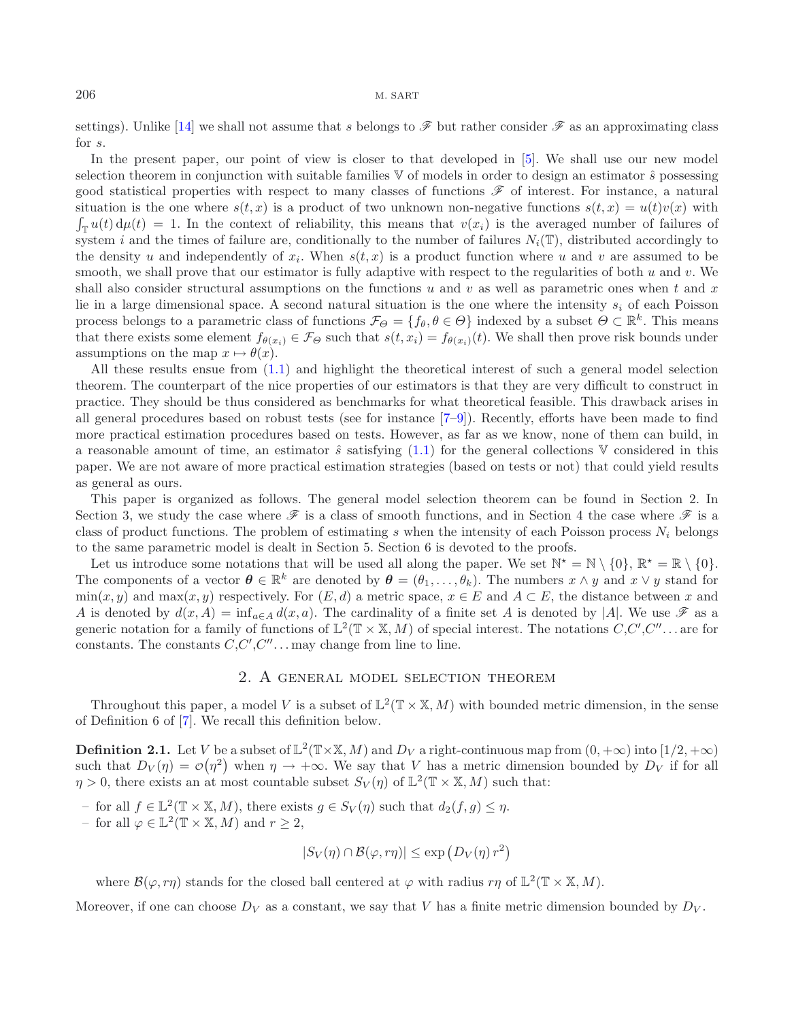settings). Unlike [\[14\]](#page-31-8) we shall not assume that s belongs to  $\mathscr F$  but rather consider  $\mathscr F$  as an approximating class for s.

In the present paper, our point of view is closer to that developed in [\[5\]](#page-31-9). We shall use our new model selection theorem in conjunction with suitable families  $\nabla$  of models in order to design an estimator  $\hat{s}$  possessing good statistical properties with respect to many classes of functions  $\mathscr F$  of interest. For instance, a natural situation is the one where  $s(t, x)$  is a product of two unknown non-negative functions  $s(t, x) = u(t)v(x)$  with  $\int_{\mathbb{T}} u(t) d\mu(t) = 1$ . In the context of reliability, this means that  $v(x_i)$  is the averaged number of failures of system i and the times of failure are, conditionally to the number of failures  $N_i(\mathbb{T})$ , distributed accordingly to the density u and independently of  $x_i$ . When  $s(t, x)$  is a product function where u and v are assumed to be smooth, we shall prove that our estimator is fully adaptive with respect to the regularities of both  $u$  and  $v$ . We shall also consider structural assumptions on the functions u and v as well as parametric ones when t and x lie in a large dimensional space. A second natural situation is the one where the intensity  $s_i$  of each Poisson process belongs to a parametric class of functions  $\mathcal{F}_{\Theta} = \{f_{\theta}, \theta \in \Theta\}$  indexed by a subset  $\Theta \subset \mathbb{R}^k$ . This means that there exists some element  $f_{\theta(x_i)} \in \mathcal{F}_{\Theta}$  such that  $s(t, x_i) = f_{\theta(x_i)}(t)$ . We shall then prove risk bounds under assumptions on the map  $x \mapsto \theta(x)$ .

All these results ensue from [\(1.1\)](#page-1-0) and highlight the theoretical interest of such a general model selection theorem. The counterpart of the nice properties of our estimators is that they are very difficult to construct in practice. They should be thus considered as benchmarks for what theoretical feasible. This drawback arises in all general procedures based on robust tests (see for instance [\[7](#page-31-7)[–9\]](#page-31-10)). Recently, efforts have been made to find more practical estimation procedures based on tests. However, as far as we know, none of them can build, in a reasonable amount of time, an estimator  $\hat{s}$  satisfying [\(1.1\)](#page-1-0) for the general collections V considered in this paper. We are not aware of more practical estimation strategies (based on tests or not) that could yield results as general as ours.

This paper is organized as follows. The general model selection theorem can be found in Section 2. In Section 3, we study the case where  $\mathscr F$  is a class of smooth functions, and in Section 4 the case where  $\mathscr F$  is a class of product functions. The problem of estimating s when the intensity of each Poisson process  $N_i$  belongs to the same parametric model is dealt in Section 5. Section 6 is devoted to the proofs.

Let us introduce some notations that will be used all along the paper. We set  $\mathbb{N}^* = \mathbb{N} \setminus \{0\}$ ,  $\mathbb{R}^* = \mathbb{R} \setminus \{0\}$ . The components of a vector  $\boldsymbol{\theta} \in \mathbb{R}^k$  are denoted by  $\boldsymbol{\theta} = (\theta_1, \dots, \theta_k)$ . The numbers  $x \wedge y$  and  $x \vee y$  stand for  $\min(x, y)$  and  $\max(x, y)$  respectively. For  $(E, d)$  a metric space,  $x \in E$  and  $A \subset E$ , the distance between x and A is denoted by  $d(x, A) = \inf_{a \in A} d(x, a)$ . The cardinality of a finite set A is denoted by |A|. We use  $\mathscr F$  as a generic notation for a family of functions of  $\mathbb{L}^2(\mathbb{T} \times \mathbb{X}, M)$  of special interest. The notations  $C, C', C'', \ldots$  are for constants. The constants  $C, C', C'', \ldots$  may change from line to line.

## 2. A general model selection theorem

Throughout this paper, a model V is a subset of  $\mathbb{L}^2(\mathbb{T} \times \mathbb{X}, M)$  with bounded metric dimension, in the sense of Definition 6 of [\[7\]](#page-31-7). We recall this definition below.

<span id="page-2-0"></span>**Definition 2.1.** Let V be a subset of  $\mathbb{L}^2(\mathbb{T}\times\mathbb{X}, M)$  and  $D_V$  a right-continuous map from  $(0, +\infty)$  into  $[1/2, +\infty)$ such that  $D_V(\eta) = \mathcal{O}(\eta^2)$  when  $\eta \to +\infty$ . We say that V has a metric dimension bounded by  $D_V$  if for all  $\eta > 0$ , there exists an at most countable subset  $S_V(\eta)$  of  $\mathbb{L}^2(\mathbb{T} \times \mathbb{X}, M)$  such that:

– for all  $f \in \mathbb{L}^2(\mathbb{T} \times \mathbb{X}, M)$ , there exists  $g \in S_V(\eta)$  such that  $d_2(f, g) \leq \eta$ .

– for all  $\varphi \in \mathbb{L}^2(\mathbb{T} \times \mathbb{X}, M)$  and  $r \geq 2$ ,

$$
|S_V(\eta) \cap \mathcal{B}(\varphi, r\eta)| \le \exp(D_V(\eta) r^2)
$$

where  $\mathcal{B}(\varphi, r\eta)$  stands for the closed ball centered at  $\varphi$  with radius  $r\eta$  of  $\mathbb{L}^2(\mathbb{T} \times \mathbb{X}, M)$ .

Moreover, if one can choose  $D_V$  as a constant, we say that V has a finite metric dimension bounded by  $D_V$ .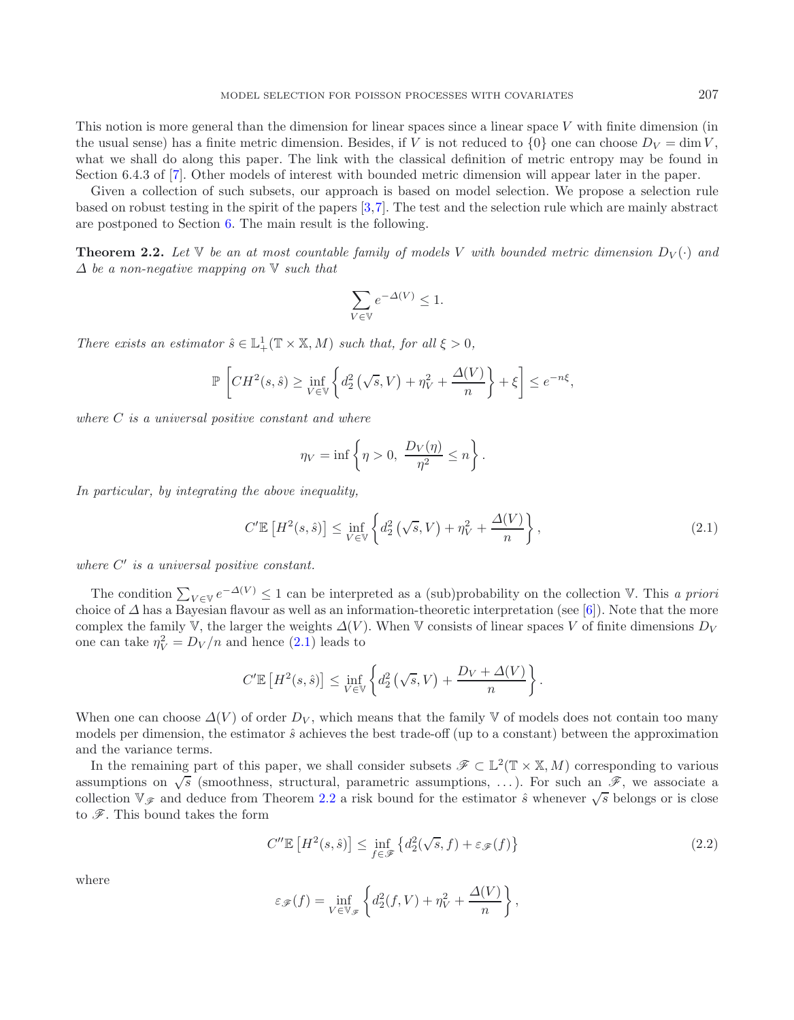This notion is more general than the dimension for linear spaces since a linear space V with finite dimension (in the usual sense) has a finite metric dimension. Besides, if V is not reduced to  $\{0\}$  one can choose  $D_V = \dim V$ , what we shall do along this paper. The link with the classical definition of metric entropy may be found in Section 6.4.3 of [\[7\]](#page-31-7). Other models of interest with bounded metric dimension will appear later in the paper.

Given a collection of such subsets, our approach is based on model selection. We propose a selection rule based on robust testing in the spirit of the papers [\[3](#page-31-4)[,7](#page-31-7)]. The test and the selection rule which are mainly abstract are postponed to Section [6.](#page-11-0) The main result is the following.

<span id="page-3-1"></span>**Theorem 2.2.** Let  $\mathbb{V}$  be an at most countable family of models V with bounded metric dimension  $D_V(\cdot)$  and Δ *be a non-negative mapping on* V *such that*

$$
\sum_{V \in \mathbb{V}} e^{-\Delta(V)} \le 1.
$$

*There exists an estimator*  $\hat{s} \in \mathbb{L}^1_+(\mathbb{T} \times \mathbb{X}, M)$  *such that, for all*  $\xi > 0$ *,* 

$$
\mathbb{P}\left[CH^2(s,\hat{s})\geq \inf_{V\in\mathbb{V}}\left\{d_2^2\left(\sqrt{s},V\right)+\eta_V^2+\frac{\Delta(V)}{n}\right\}+\xi\right]\leq e^{-n\xi},
$$

*where* C *is a universal positive constant and where*

$$
\eta_V = \inf \left\{ \eta > 0, \ \frac{D_V(\eta)}{\eta^2} \le n \right\}.
$$

*In particular, by integrating the above inequality,*

$$
C'\mathbb{E}\left[H^2(s,\hat{s})\right] \leq \inf_{V \in \mathbb{V}} \left\{ d_2^2\left(\sqrt{s},V\right) + \eta_V^2 + \frac{\Delta(V)}{n} \right\},\tag{2.1}
$$

<span id="page-3-0"></span>*where*  $C'$  *is a universal positive constant.* 

The condition  $\sum_{V \in \mathbb{V}} e^{-\Delta(V)} \leq 1$  can be interpreted as a (sub)probability on the collection V. This *a priori* choice of  $\Delta$  has a Bayesian flavour as well as an information-theoretic interpretation (see [\[6\]](#page-31-11)). Not complex the family V, the larger the weights  $\Delta(V)$ . When V consists of linear spaces V of finite dimensions  $D_V$ one can take  $\eta_V^2 = D_V/n$  and hence [\(2.1\)](#page-3-0) leads to

$$
C'\mathbb{E}\left[H^2(s,\hat{s})\right] \leq \inf_{V \in \mathbb{V}} \left\{ d_2^2\left(\sqrt{s},V\right) + \frac{D_V + \Delta(V)}{n} \right\}.
$$

When one can choose  $\Delta(V)$  of order  $D_V$ , which means that the family V of models does not contain too many models per dimension, the estimator  $\hat{s}$  achieves the best trade-off (up to a constant) between the approximation and the variance terms.

In the remaining part of this paper, we shall consider subsets  $\mathscr{F} \subset \mathbb{L}^2(\mathbb{T} \times \mathbb{X}, M)$  corresponding to various assumptions on  $\sqrt{s}$  (smoothness, structural, parametric assumptions, ...). For such an  $\mathscr{F}$ , we associate a collection  $\mathbb{V}_{\mathscr{F}}$  and deduce from Theorem [2.2](#page-3-1) a risk bound for the estimator  $\hat{s}$  whenever  $\sqrt{s}$  belongs or is close to *F*. This bound takes the form

<span id="page-3-2"></span>
$$
C''\mathbb{E}\left[H^2(s,\hat{s})\right] \le \inf_{f \in \mathscr{F}} \left\{d_2^2(\sqrt{s},f) + \varepsilon_{\mathscr{F}}(f)\right\} \tag{2.2}
$$

where

$$
\varepsilon_{\mathscr{F}}(f) = \inf_{V \in \mathbb{V}_{\mathscr{F}}} \left\{ d_2^2(f, V) + \eta_V^2 + \frac{\Delta(V)}{n} \right\},\,
$$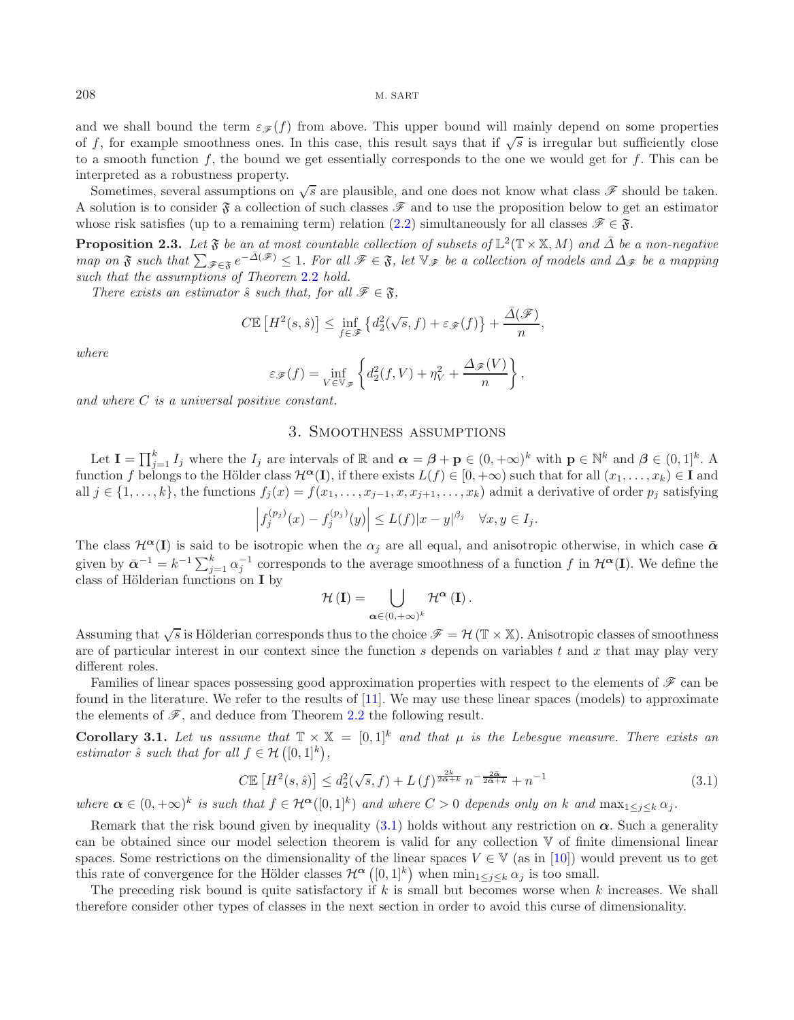and we shall bound the term  $\varepsilon_{\mathscr{F}}(f)$  from above. This upper bound will mainly depend on some properties of f, for example smoothness ones. In this case, this result says that if  $\sqrt{s}$  is irregular but sufficiently close to a smooth function  $f$ , the bound we get essentially corresponds to the one we would get for  $f$ . This can be interpreted as a robustness property.

Sometimes, several assumptions on  $\sqrt{s}$  are plausible, and one does not know what class  $\mathscr F$  should be taken. A solution is to consider  $\mathfrak F$  a collection of such classes  $\mathscr F$  and to use the proposition below to get an estimator whose risk satisfies (up to a remaining term) relation [\(2.2\)](#page-3-2) simultaneously for all classes  $\mathscr{F} \in \mathfrak{F}$ .

**Proposition 2.3.** *Let*  $\mathfrak{F}$  *be an at most countable collection of subsets of*  $\mathbb{L}^2(\mathbb{T} \times \mathbb{X}, M)$  *and*  $\overline{\Delta}$  *be a non-negative*  $map$  on  $\mathfrak F$  *such that*  $\sum_{\mathscr{F}\in\mathfrak F}e^{-\overline{\Delta}(\mathscr{F})}\leq 1$ . For all  $\mathscr{F}\in\mathfrak F$ , let  $\mathbb{V}_{\mathscr{F}}$  *be a collection of models and*  $\Delta_{\mathscr{F}}$  *be a mapping such that the assumptions of Theorem* [2.2](#page-3-1) *hold.*

*There exists an estimator*  $\hat{s}$  *such that, for all*  $\mathscr{F} \in \mathfrak{F}$ *,* 

<span id="page-4-2"></span>
$$
C\mathbb{E}\left[H^2(s,\hat{s})\right] \leq \inf_{f \in \mathscr{F}} \left\{d_2^2(\sqrt{s},f) + \varepsilon_{\mathscr{F}}(f)\right\} + \frac{\bar{\Delta}(\mathscr{F})}{n},
$$

*where*

$$
\varepsilon_{\mathscr{F}}(f) = \inf_{V \in \mathbb{V}_{\mathscr{F}}} \left\{ d_2^2(f, V) + \eta_V^2 + \frac{\Delta_{\mathscr{F}}(V)}{n} \right\},\,
$$

*and where* C *is a universal positive constant.*

## 3. Smoothness assumptions

Let  $I = \prod_{j=1}^{k} I_j$  where the  $I_j$  are intervals of R and  $\boldsymbol{\alpha} = \boldsymbol{\beta} + \mathbf{p} \in (0, +\infty)^k$  with  $\mathbf{p} \in \mathbb{N}^k$  and  $\boldsymbol{\beta} \in (0, 1]^k$ . A function f belongs to the Hölder class  $\mathcal{H}^{\alpha}(\mathbf{I})$ , if there exists  $L(f) \in [0, +\infty)$  such that for all  $(x_1, \ldots, x_k) \in \mathbf{I}$  and all  $j \in \{1,\ldots,k\}$ , the functions  $f_j(x) = f(x_1,\ldots,x_{j-1},x,x_{j+1},\ldots,x_k)$  admit a derivative of order  $p_j$  satisfying

$$
\left|f_j^{(p_j)}(x) - f_j^{(p_j)}(y)\right| \le L(f)|x - y|^{\beta_j} \quad \forall x, y \in I_j.
$$

The class  $\mathcal{H}^{\alpha}(\mathbf{I})$  is said to be isotropic when the  $\alpha_i$  are all equal, and anisotropic otherwise, in which case  $\bar{\alpha}$ given by  $\bar{\alpha}^{-1} = k^{-1} \sum_{j=1}^{k} \alpha_j^{-1}$  corresponds to the average smoothness of a function f in  $\mathcal{H}^{\alpha}(\mathbf{I})$ . We define the class of Hölderian functions on **I** by

$$
\mathcal{H}\left(\mathbf{I}\right) = \bigcup_{\alpha \in (0,+\infty)^k} \mathcal{H}^{\alpha}\left(\mathbf{I}\right).
$$

Assuming that  $\sqrt{s}$  is Hölderian corresponds thus to the choice  $\mathscr{F} = \mathcal{H}(\mathbb{T} \times \mathbb{X})$ . Anisotropic classes of smoothness are of particular interest in our context since the function s depends on variables t and x that may play very different roles.

Families of linear spaces possessing good approximation properties with respect to the elements of *F* can be found in the literature. We refer to the results of [\[11\]](#page-31-12). We may use these linear spaces (models) to approximate the elements of  $\mathscr{F}$ , and deduce from Theorem [2.2](#page-3-1) the following result.

<span id="page-4-1"></span>**Corollary 3.1.** Let us assume that  $\mathbb{T} \times \mathbb{X} = [0,1]^k$  and that  $\mu$  is the Lebesgue measure. There exists an *estimator*  $\hat{s}$  *such that for all*  $f \in \mathcal{H}([0,1]^k)$ ,

$$
C\mathbb{E}\left[H^2(s,\hat{s})\right] \le d_2^2(\sqrt{s},f) + L\left(f\right)^{\frac{2k}{2\alpha+k}} n^{-\frac{2\alpha}{2\alpha+k}} + n^{-1}
$$
\n(3.1)

<span id="page-4-0"></span>*where*  $\alpha \in (0, +\infty)^k$  *is such that*  $f \in \mathcal{H}^{\alpha}([0, 1]^k)$  *and where*  $C > 0$  *depends only on* k *and*  $\max_{1 \leq i \leq k} \alpha_i$ .

Remark that the risk bound given by inequality  $(3.1)$  holds without any restriction on  $\alpha$ . Such a generality can be obtained since our model selection theorem is valid for any collection V of finite dimensional linear spaces. Some restrictions on the dimensionality of the linear spaces  $V \in V$  (as in [\[10](#page-31-6)]) would prevent us to get this rate of convergence for the Hölder classes  $\mathcal{H}^{\alpha}([0,1]^k)$  when  $\min_{1 \leq j \leq k} \alpha_j$  is too small.

The preceding risk bound is quite satisfactory if  $k$  is small but becomes worse when  $k$  increases. We shall therefore consider other types of classes in the next section in order to avoid this curse of dimensionality.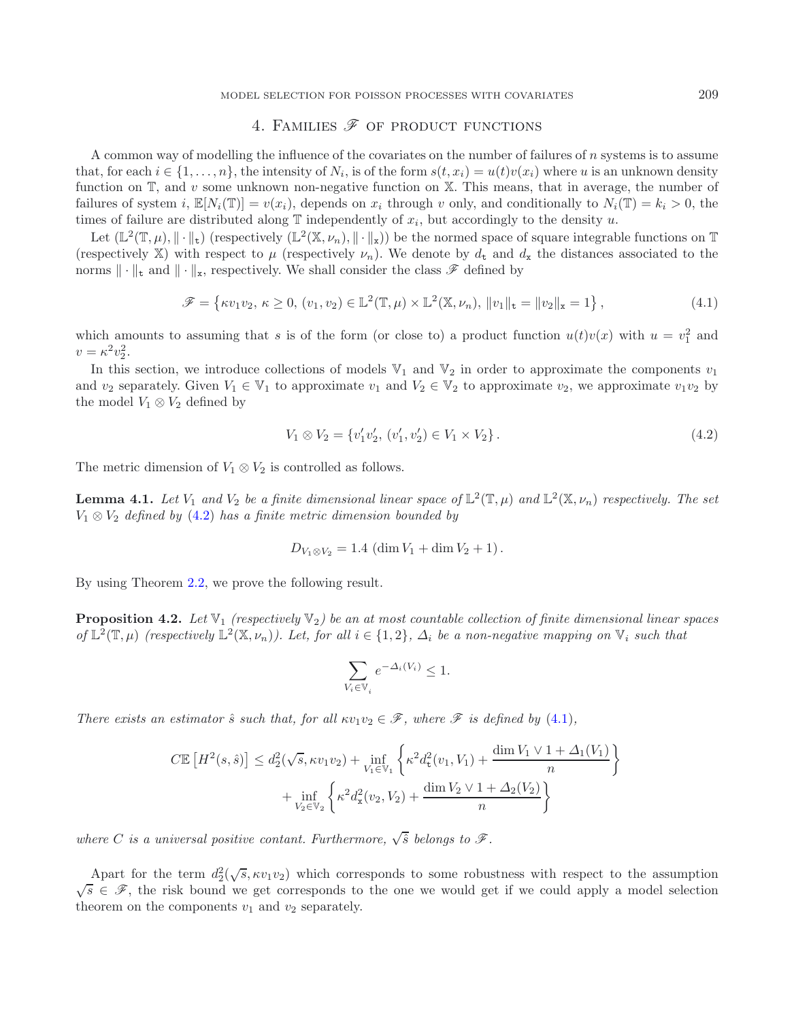MODEL SELECTION FOR POISSON PROCESSES WITH COVARIATES 209

# 4. FAMILIES  $\mathscr F$  OF PRODUCT FUNCTIONS

A common way of modelling the influence of the covariates on the number of failures of n systems is to assume that, for each  $i \in \{1,\ldots,n\}$ , the intensity of  $N_i$ , is of the form  $s(t, x_i) = u(t)v(x_i)$  where u is an unknown density function on  $\mathbb{T}$ , and v some unknown non-negative function on  $\mathbb{X}$ . This means, that in average, the number of failures of system i,  $\mathbb{E}[N_i(\mathbb{T})] = v(x_i)$ , depends on  $x_i$  through v only, and conditionally to  $N_i(\mathbb{T}) = k_i > 0$ , the times of failure are distributed along  $\mathbb T$  independently of  $x_i$ , but accordingly to the density u.

Let  $(\mathbb{L}^2(\mathbb{T}, \mu), \|\cdot\|_{\mathbf{t}})$  (respectively  $(\mathbb{L}^2(\mathbb{X}, \nu_n), \|\cdot\|_{\mathbf{x}})$ ) be the normed space of square integrable functions on  $\mathbb{T}$ (respectively X) with respect to  $\mu$  (respectively  $\nu_n$ ). We denote by  $d_t$  and  $d_x$  the distances associated to the norms  $\|\cdot\|_{\mathsf{t}}$  and  $\|\cdot\|_{\mathsf{x}}$ , respectively. We shall consider the class  $\mathscr{F}$  defined by

<span id="page-5-3"></span>
$$
\mathscr{F} = \{ \kappa v_1 v_2, \, \kappa \ge 0, \, (v_1, v_2) \in \mathbb{L}^2(\mathbb{T}, \mu) \times \mathbb{L}^2(\mathbb{X}, \nu_n), \, \|v_1\|_{\mathbf{t}} = \|v_2\|_{\mathbf{x}} = 1 \},\tag{4.1}
$$

<span id="page-5-1"></span>which amounts to assuming that s is of the form (or close to) a product function  $u(t)v(x)$  with  $u = v_1^2$  and  $v = \kappa^2 v_2^2$ .

In this section, we introduce collections of models  $\mathbb{V}_1$  and  $\mathbb{V}_2$  in order to approximate the components  $v_1$ and  $v_2$  separately. Given  $V_1 \in V_1$  to approximate  $v_1$  and  $V_2 \in V_2$  to approximate  $v_2$ , we approximate  $v_1v_2$  by the model  $V_1 \otimes V_2$  defined by

<span id="page-5-0"></span>
$$
V_1 \otimes V_2 = \{v'_1 v'_2, (v'_1, v'_2) \in V_1 \times V_2\}.
$$
\n
$$
(4.2)
$$

The metric dimension of  $V_1 \otimes V_2$  is controlled as follows.

**Lemma 4.1.** *Let*  $V_1$  *and*  $V_2$  *be a finite dimensional linear space of*  $\mathbb{L}^2(\mathbb{T}, \mu)$  *and*  $\mathbb{L}^2(\mathbb{X}, \nu_n)$  *respectively. The set* V<sup>1</sup> ⊗ V<sup>2</sup> *defined by* [\(4.2\)](#page-5-0) *has a finite metric dimension bounded by*

$$
D_{V_1 \otimes V_2} = 1.4 \, (\dim V_1 + \dim V_2 + 1).
$$

<span id="page-5-2"></span>By using Theorem [2.2,](#page-3-1) we prove the following result.

**Proposition 4.2.** Let  $\mathbb{V}_1$  (respectively  $\mathbb{V}_2$ ) be an at most countable collection of finite dimensional linear spaces *of*  $\mathbb{L}^2(\mathbb{T}, \mu)$  *(respectively*  $\mathbb{L}^2(\mathbb{X}, \nu_n)$ *). Let, for all*  $i \in \{1, 2\}$ *,*  $\Delta_i$  *be a non-negative mapping on*  $\mathbb{V}_i$  *such that* 

$$
\sum_{V_i\in\mathbb{V}_i}e^{-\varDelta_i(V_i)}\leq 1.
$$

*There exists an estimator*  $\hat{s}$  *such that, for all*  $\kappa v_1v_2 \in \mathcal{F}$ *, where*  $\mathcal{F}$  *is defined by* [\(4.1\)](#page-5-1)*,* 

$$
C\mathbb{E}\left[H^{2}(s,\hat{s})\right] \leq d_{2}^{2}(\sqrt{s},\kappa v_{1}v_{2}) + \inf_{V_{1}\in\mathbb{V}_{1}}\left\{\kappa^{2}d_{\text{t}}^{2}(v_{1},V_{1}) + \frac{\dim V_{1} \vee 1 + \Delta_{1}(V_{1})}{n}\right\} + \inf_{V_{2}\in\mathbb{V}_{2}}\left\{\kappa^{2}d_{\text{x}}^{2}(v_{2},V_{2}) + \frac{\dim V_{2} \vee 1 + \Delta_{2}(V_{2})}{n}\right\}
$$

*where C is a universal positive contant. Furthermore,*  $\sqrt{\hat{s}}$  *belongs to*  $\mathscr{F}$ *.* 

Apart for the term  $d_2^2(\sqrt{s}, \kappa v_1v_2)$  which corresponds to some robustness with respect to the assumption  $\sqrt{s} \in \mathscr{F}$ , the risk bound we get corresponds to the one we would get if we could apply a model selection theorem on the components  $v_1$  and  $v_2$  separately.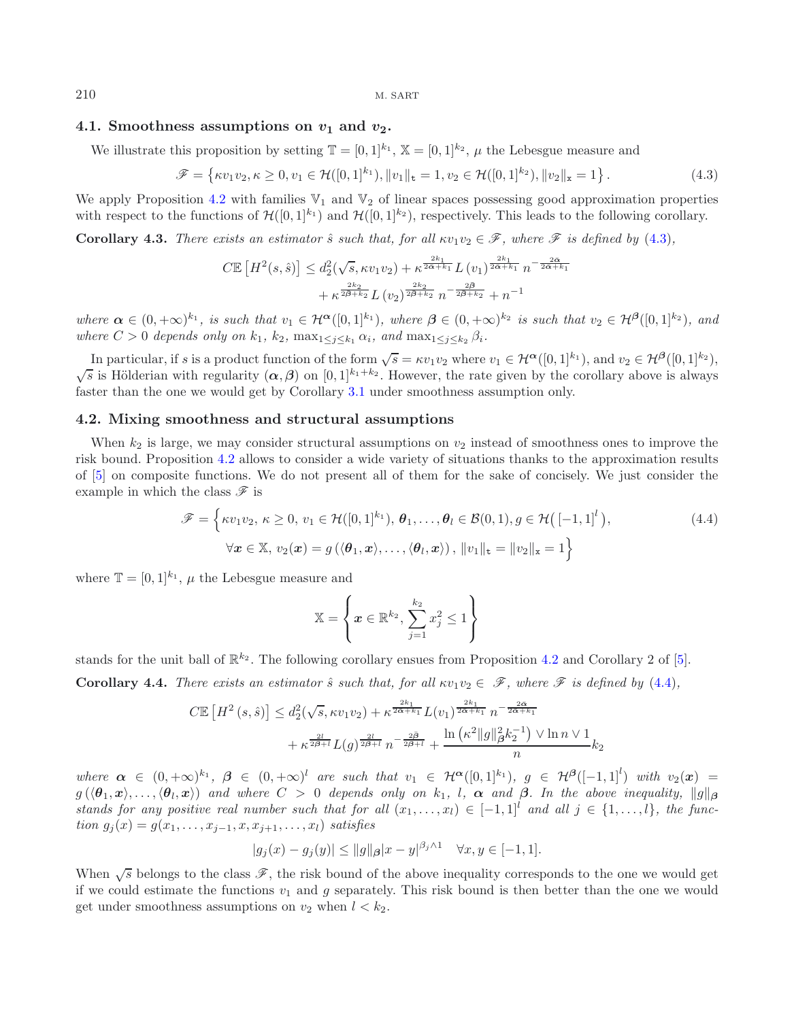#### 4.1. Smoothness assumptions on  $v_1$  and  $v_2$ .

We illustrate this proposition by setting  $\mathbb{T} = [0, 1]^{k_1}$ ,  $\mathbb{X} = [0, 1]^{k_2}$ ,  $\mu$  the Lebesgue measure and

$$
\mathscr{F} = \left\{ \kappa v_1 v_2, \kappa \ge 0, v_1 \in \mathcal{H}([0,1]^{k_1}), \|v_1\|_{\mathbf{t}} = 1, v_2 \in \mathcal{H}([0,1]^{k_2}), \|v_2\|_{\mathbf{x}} = 1 \right\}.
$$
\n(4.3)

<span id="page-6-0"></span>We apply Proposition [4.2](#page-5-2) with families  $\mathbb{V}_1$  and  $\mathbb{V}_2$  of linear spaces possessing good approximation properties with respect to the functions of  $\mathcal{H}([0,1]^{k_1})$  and  $\mathcal{H}([0,1]^{k_2})$ , respectively. This leads to the following corollary.

**Corollary 4.3.** *There exists an estimator*  $\hat{s}$  *such that, for all*  $\kappa v_1v_2 \in \mathcal{F}$ *, where*  $\mathcal{F}$  *is defined by* [\(4.3\)](#page-6-0)*,* 

$$
C\mathbb{E}\left[H^{2}(s,\hat{s})\right] \leq d_{2}^{2}(\sqrt{s},\kappa v_{1}v_{2}) + \kappa^{\frac{2k_{1}}{2\bar{\alpha}+k_{1}}}L\left(v_{1}\right)^{\frac{2k_{1}}{2\bar{\alpha}+k_{1}}}n^{-\frac{2\bar{\alpha}}{2\bar{\alpha}+k_{1}}} + \kappa^{\frac{2k_{2}}{2\bar{\beta}+k_{2}}}L\left(v_{2}\right)^{\frac{2k_{2}}{2\bar{\beta}+k_{2}}}n^{-\frac{2\bar{\beta}}{2\bar{\beta}+k_{2}}} + n^{-1}
$$

*where*  $\alpha \in (0, +\infty)^{k_1}$ *, is such that*  $v_1 \in \mathcal{H}^{\alpha}([0, 1]^{k_1})$ *, where*  $\beta \in (0, +\infty)^{k_2}$  *is such that*  $v_2 \in \mathcal{H}^{\beta}([0, 1]^{k_2})$ *, and where*  $C > 0$  *depends only on*  $k_1$ ,  $k_2$ ,  $\max_{1 \leq i \leq k_1} \alpha_i$ , and  $\max_{1 \leq i \leq k_2} \beta_i$ .

In particular, if s is a product function of the form  $\sqrt{s} = \kappa v_1v_2$  where  $v_1 \in \mathcal{H}^{\alpha}([0,1]^{k_1})$ , and  $v_2 \in \mathcal{H}^{\beta}([0,1]^{k_2})$ , In particular, it s is a product function of the form  $\sqrt{s}$  =  $\kappa_1$  (2 where  $v_1 \in \kappa$  ([0, 1] *b*, and  $v_2 \in \kappa$  ([0, 1] *b*,  $\sqrt{s}$  is Hölderian with regularity (α, β) on [0, 1]<sup>k<sub>1</sub>+k<sub>2</sub>. However, the rate given</sup> faster than the one we would get by Corollary [3.1](#page-4-1) under smoothness assumption only.

#### **4.2. Mixing smoothness and structural assumptions**

When  $k_2$  is large, we may consider structural assumptions on  $v_2$  instead of smoothness ones to improve the risk bound. Proposition [4.2](#page-5-2) allows to consider a wide variety of situations thanks to the approximation results of [\[5\]](#page-31-9) on composite functions. We do not present all of them for the sake of concisely. We just consider the example in which the class *F* is

$$
\mathscr{F} = \left\{ \kappa v_1 v_2, \ \kappa \ge 0, \ v_1 \in \mathcal{H}([0,1]^{k_1}), \ \theta_1, \dots, \theta_l \in \mathcal{B}(0,1), g \in \mathcal{H}\big([-1,1]^l\big), \\ \forall \mathbf{x} \in \mathbb{X}, \ v_2(\mathbf{x}) = g\left(\langle \theta_1, \mathbf{x}\rangle, \dots, \langle \theta_l, \mathbf{x}\rangle\right), \ ||v_1||_{\mathbf{t}} = ||v_2||_{\mathbf{x}} = 1 \right\}
$$
\n(4.4)

<span id="page-6-1"></span>where  $\mathbb{T} = [0, 1]^{k_1}$ ,  $\mu$  the Lebesgue measure and

$$
\mathbb{X} = \left\{ \boldsymbol{x} \in \mathbb{R}^{k_2}, \, \sum_{j=1}^{k_2} x_j^2 \leq 1 \right\}
$$

stands for the unit ball of  $\mathbb{R}^{k_2}$ . The following corollary ensues from Proposition [4.2](#page-5-2) and Corollary 2 of [\[5\]](#page-31-9).

**Corollary 4.4.** *There exists an estimator*  $\hat{s}$  *such that, for all*  $\kappa v_1v_2 \in \mathcal{F}$ *, where*  $\mathcal{F}$  *is defined by* [\(4.4\)](#page-6-1)*,* 

$$
C\mathbb{E}\left[H^{2}(s,\hat{s})\right] \leq d_{2}^{2}(\sqrt{s},\kappa v_{1}v_{2}) + \kappa^{\frac{2k_{1}}{2\bar{\alpha}+k_{1}}}L(v_{1})^{\frac{2k_{1}}{2\bar{\alpha}+k_{1}}}n^{-\frac{2\bar{\alpha}}{2\bar{\alpha}+k_{1}}} + \kappa^{\frac{2l}{2\bar{\beta}+l}}L(g)^{\frac{2l}{2\bar{\beta}+l}}n^{-\frac{2\bar{\beta}}{2\bar{\beta}+l}} + \frac{\ln(\kappa^{2}\|g\|_{\beta}^{2}k_{2}^{-1}) \vee \ln n \vee 1}{n}k_{2}
$$

*where*  $\alpha \in (0, +\infty)^{k_1}$ ,  $\beta \in (0, +\infty)^l$  *are such that*  $v_1 \in \mathcal{H}^{\alpha}([0, 1]^{k_1})$ ,  $g \in \mathcal{H}^{\beta}([-1, 1]^l)$  *with*  $v_2(x) =$  $g(\langle \theta_1, x \rangle, \ldots, \langle \theta_l, x \rangle)$  and where  $C > 0$  depends only on  $k_1$ , *l*,  $\alpha$  and  $\beta$ . In the above inequality,  $||g||_{\beta}$ *stands for any positive real number such that for all*  $(x_1, \ldots, x_l) \in [-1,1]^l$  *and all*  $j \in \{1, \ldots, l\}$ *, the function*  $g_i(x) = g(x_1, \ldots, x_{i-1}, x, x_{i+1}, \ldots, x_l)$  *satisfies* 

$$
|g_j(x) - g_j(y)| \le ||g||_{\beta}|x - y|^{\beta_j \wedge 1} \quad \forall x, y \in [-1, 1].
$$

When  $\sqrt{s}$  belongs to the class  $\mathscr{F}$ , the risk bound of the above inequality corresponds to the one we would get if we could estimate the functions  $v_1$  and g separately. This risk bound is then better than the one we would get under smoothness assumptions on  $v_2$  when  $l < k_2$ .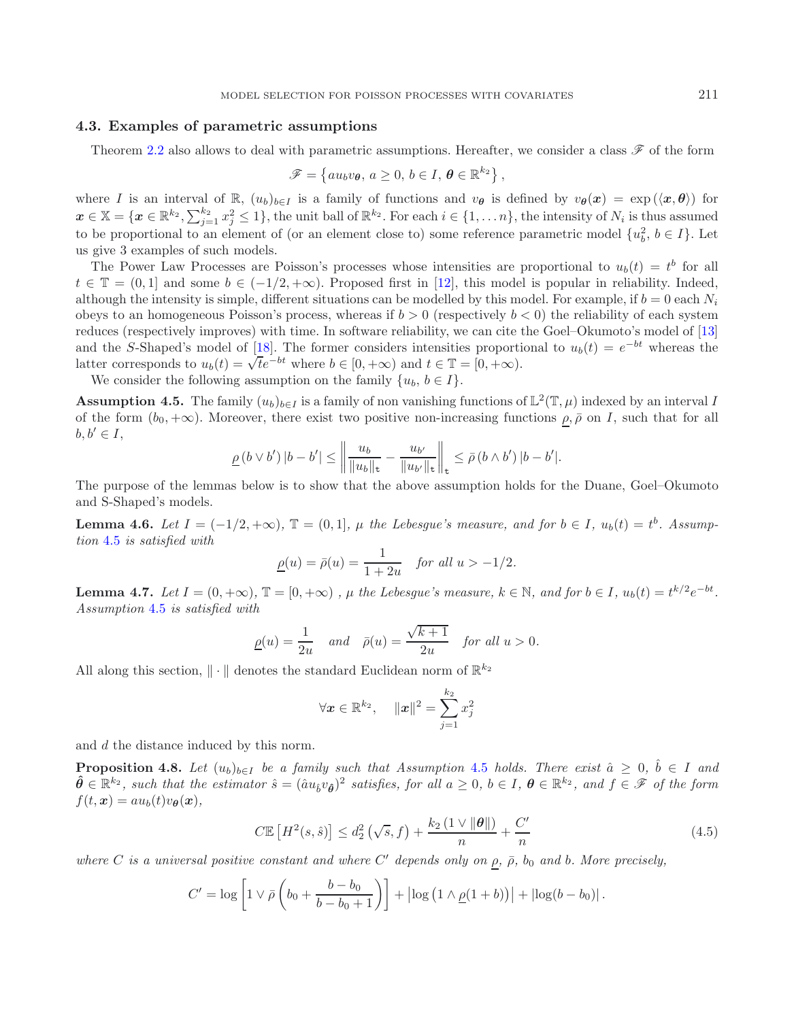## <span id="page-7-3"></span>**4.3. Examples of parametric assumptions**

Theorem [2.2](#page-3-1) also allows to deal with parametric assumptions. Hereafter, we consider a class *F* of the form

<span id="page-7-0"></span>
$$
\mathscr{F} = \left\{ a u_b v_{\boldsymbol{\theta}}, \, a \ge 0, \, b \in I, \, \boldsymbol{\theta} \in \mathbb{R}^{k_2} \right\},
$$

where I is an interval of  $\mathbb{R}$ ,  $(u_b)_{b \in I}$  is a family of functions and  $v_{\theta}$  is defined by  $v_{\theta}(x) = \exp(\langle x, \theta \rangle)$  for  $x \in \mathbb{X} = \{x \in \mathbb{R}^{k_2}, \sum_{j=1}^{k_2} x_j^2 \leq 1\}$ , the unit ball of  $\mathbb{R}^{k_2}$ . For each  $i \in \{1, ..., n\}$ , the intensity of  $N_i$  is thus assumed to be proportional to an element of (or an element close to) some reference parametric model  $\{u_b^2, b \in I\}$ . Let us give 3 examples of such models.

The Power Law Processes are Poisson's processes whose intensities are proportional to  $u_b(t) = t^b$  for all  $t \in \mathbb{T} = (0,1]$  and some  $b \in (-1/2, +\infty)$ . Proposed first in [\[12](#page-31-13)], this model is popular in reliability. Indeed, although the intensity is simple, different situations can be modelled by this model. For example, if  $b = 0$  each  $N_i$ obeys to an homogeneous Poisson's process, whereas if  $b > 0$  (respectively  $b < 0$ ) the reliability of each system reduces (respectively improves) with time. In software reliability, we can cite the Goel–Okumoto's model of [\[13\]](#page-31-14) and the S-Shaped's model of [\[18](#page-31-15)]. The former considers intensities proportional to  $u<sub>b</sub>(t) = e<sup>-bt</sup>$  whereas the latter corresponds to  $u_b(t) = \sqrt{t}e^{-bt}$  where  $b \in [0, +\infty)$  and  $t \in \mathbb{T} = [0, +\infty)$ .

We consider the following assumption on the family  $\{u_b, b \in I\}$ .

**Assumption 4.5.** The family  $(u_b)_{b \in I}$  is a family of non vanishing functions of  $\mathbb{L}^2(\mathbb{T}, \mu)$  indexed by an interval I of the form  $(b_0, +\infty)$ . Moreover, there exist two positive non-increasing functions  $\rho, \bar{\rho}$  on I, such that for all  $b, b' \in I$ ,

$$
\underline{\rho}\left(b\vee b'\right)|b-b'|\leq \left\|\frac{u_b}{\|u_b\|_{\mathsf{t}}}-\frac{u_{b'}}{\|u_{b'}\|_{\mathsf{t}}}\right\|_{\mathsf{t}}\leq \bar{\rho}\left(b\wedge b'\right)|b-b'|.
$$

<span id="page-7-4"></span>The purpose of the lemmas below is to show that the above assumption holds for the Duane, Goel–Okumoto and S-Shaped's models.

**Lemma 4.6.** *Let*  $I = (-1/2, +\infty)$ ,  $\mathbb{T} = (0, 1]$ ,  $\mu$  the Lebesgue's measure, and for  $b \in I$ ,  $u_b(t) = t^b$ . Assump*tion* [4.5](#page-7-0) *is satisfied with*

$$
\underline{\rho}(u) = \overline{\rho}(u) = \frac{1}{1+2u} \quad \text{for all } u > -1/2.
$$

<span id="page-7-5"></span>**Lemma 4.7.** *Let*  $I = (0, +\infty)$ ,  $\mathbb{T} = [0, +\infty)$ ,  $\mu$  the Lebesgue's measure,  $k \in \mathbb{N}$ , and for  $b \in I$ ,  $u_b(t) = t^{k/2}e^{-bt}$ . *Assumption* [4.5](#page-7-0) *is satisfied with*

$$
\underline{\rho}(u) = \frac{1}{2u} \quad \text{and} \quad \bar{\rho}(u) = \frac{\sqrt{k+1}}{2u} \quad \text{for all } u > 0.
$$

All along this section,  $\|\cdot\|$  denotes the standard Euclidean norm of  $\mathbb{R}^{k_2}$ 

$$
\forall \mathbf{x} \in \mathbb{R}^{k_2}, \quad \|\mathbf{x}\|^2 = \sum_{j=1}^{k_2} x_j^2
$$

<span id="page-7-2"></span>and d the distance induced by this norm.

**Proposition 4.8.** Let  $(u_b)_{b \in I}$  be a family such that Assumption [4.5](#page-7-0) holds. There exist  $\hat{a} \geq 0$ ,  $\hat{b} \in I$  and  $\hat{\theta} \in \mathbb{R}^{k_2}$ , such that the estimator  $\hat{s} = (\hat{a}u_{\hat{b}}v_{\hat{\theta}})^2$  satisfies, for all  $a \geq 0$ ,  $b \in I$ ,  $\theta \in \mathbb{R}^{k_2}$ , and  $f \in \mathscr{F}$  of the form  $f(t, \mathbf{x}) = au_b(t)v_{\theta}(\mathbf{x}),$ 

$$
C\mathbb{E}\left[H^2(s,\hat{s})\right] \le d_2^2\left(\sqrt{s},f\right) + \frac{k_2\left(1 \vee \|\theta\|\right)}{n} + \frac{C'}{n} \tag{4.5}
$$

*where* C *is a universal positive constant and where* C' depends only on  $\rho$ ,  $\bar{\rho}$ ,  $b_0$  and b. More precisely,

<span id="page-7-1"></span>
$$
C' = \log\left[1 \vee \bar{\rho}\left(b_0 + \frac{b - b_0}{b - b_0 + 1}\right)\right] + \left|\log\left(1 \wedge \underline{\rho}(1 + b)\right)\right| + \left|\log(b - b_0)\right|.
$$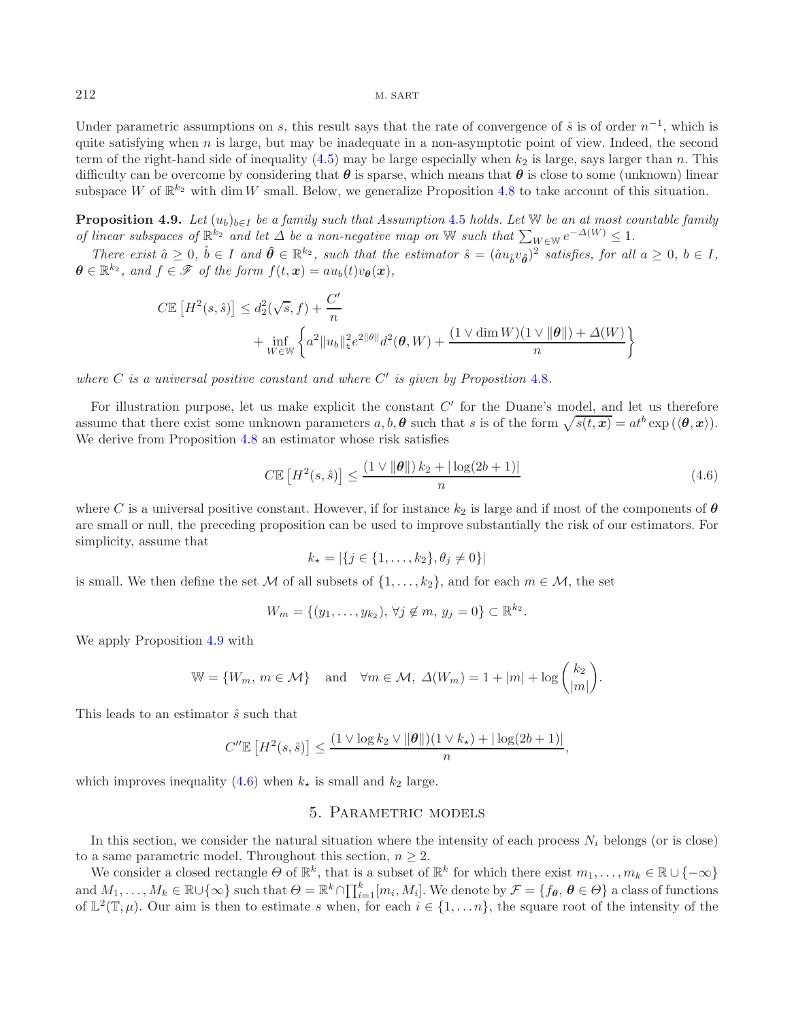Under parametric assumptions on s, this result says that the rate of convergence of  $\hat{s}$  is of order  $n^{-1}$ , which is quite satisfying when n is large, but may be inadequate in a non-asymptotic point of view. Indeed, the second term of the right-hand side of inequality [\(4.5\)](#page-7-1) may be large especially when  $k_2$  is large, says larger than n. This difficulty can be overcome by considering that  $\theta$  is sparse, which means that  $\theta$  is close to some (unknown) linear subspace W of  $\mathbb{R}^{k_2}$  with dim W small. Below, we generalize Proposition [4.8](#page-7-2) to take account of this situation.

<span id="page-8-0"></span>**Proposition 4.9.** *Let*  $(u_b)_{b \in I}$  *be a family such that Assumption* [4.5](#page-7-0) *holds. Let* W *be an at most countable family of linear subspaces of*  $\mathbb{R}^{k_2}$  *and let*  $\Delta$  *be a non-negative map on* W *such that*  $\sum_{W \in \mathbb{W}} e^{-\Delta(W)} \leq 1$ .

*There exist*  $\hat{a} \geq 0$ ,  $\hat{b} \in I$  and  $\hat{\theta} \in \mathbb{R}^{k_2}$ , such that the estimator  $\hat{s} = (\hat{a}u_{\hat{b}}v_{\hat{\theta}})^2$  satisfies, for all  $a \geq 0$ ,  $b \in I$ ,  $\theta \in \mathbb{R}^{k_2}$ *, and*  $f \in \mathcal{F}$  *of the form*  $f(t, x) = au_b(t)v_{\theta}(x)$ *,* 

$$
C\mathbb{E}\left[H^{2}(s,\hat{s})\right] \leq d_{2}^{2}(\sqrt{s},f) + \frac{C'}{n} + \inf_{W \in \mathbb{W}} \left\{a^{2}||u_{b}||_{\mathbf{t}}^{2}e^{2||\theta||}d^{2}(\theta, W) + \frac{(1 \vee \dim W)(1 \vee ||\theta||) + \Delta(W)}{n}\right\}
$$

*where*  $C$  *is a universal positive constant and where*  $C'$  *is given by Proposition* [4.8](#page-7-2)*.* 

For illustration purpose, let us make explicit the constant  $C'$  for the Duane's model, and let us therefore assume that there exist some unknown parameters  $a, b, \theta$  such that s is of the form  $\sqrt{s(t, x)} = at^b \exp(\langle \theta, x \rangle)$ . We derive from Proposition [4.8](#page-7-2) an estimator whose risk satisfies

<span id="page-8-1"></span>
$$
C\mathbb{E}\left[H^2(s,\hat{s})\right] \le \frac{\left(1 \vee \|\theta\|\right)k_2 + |\log(2b+1)|}{n} \tag{4.6}
$$

where C is a universal positive constant. However, if for instance  $k_2$  is large and if most of the components of  $\theta$ are small or null, the preceding proposition can be used to improve substantially the risk of our estimators. For simplicity, assume that

$$
k_{\star} = |\{j \in \{1, \ldots, k_2\}, \theta_j \neq 0\}|
$$

is small. We then define the set M of all subsets of  $\{1,\ldots,k_2\}$ , and for each  $m \in \mathcal{M}$ , the set

$$
W_m = \{ (y_1, \ldots, y_{k_2}), \forall j \notin m, y_j = 0 \} \subset \mathbb{R}^{k_2}.
$$

We apply Proposition [4.9](#page-8-0) with

$$
\mathbb{W} = \{W_m, m \in \mathcal{M}\} \quad \text{and} \quad \forall m \in \mathcal{M}, \ \Delta(W_m) = 1 + |m| + \log \binom{k_2}{|m|}.
$$

This leads to an estimator  $\hat{s}$  such that

$$
C''\mathbb{E}\left[H^2(s,\hat{s})\right] \le \frac{(1 \vee \log k_2 \vee \|\boldsymbol{\theta}\|)(1 \vee k_{\star}) + |\log(2b+1)|}{n},
$$

<span id="page-8-2"></span>which improves inequality [\(4.6\)](#page-8-1) when  $k_{\star}$  is small and  $k_2$  large.

## 5. Parametric models

In this section, we consider the natural situation where the intensity of each process  $N_i$  belongs (or is close) to a same parametric model. Throughout this section,  $n \geq 2$ .

We consider a closed rectangle  $\Theta$  of  $\mathbb{R}^k$ , that is a subset of  $\mathbb{R}^k$  for which there exist  $m_1,\ldots,m_k \in \mathbb{R} \cup \{-\infty\}$ and  $M_1, \ldots, M_k \in \mathbb{R} \cup \{\infty\}$  such that  $\Theta = \mathbb{R}^k \cap \prod_{i=1}^k [m_i, M_i]$ . We denote by  $\mathcal{F} = \{f_{\theta}, \theta \in \Theta\}$  a class of functions of  $\mathbb{L}^2(\mathbb{T},\mu)$ . Our aim is then to estimate s when, for each  $i \in \{1,\ldots n\}$ , the square root of the intensity of the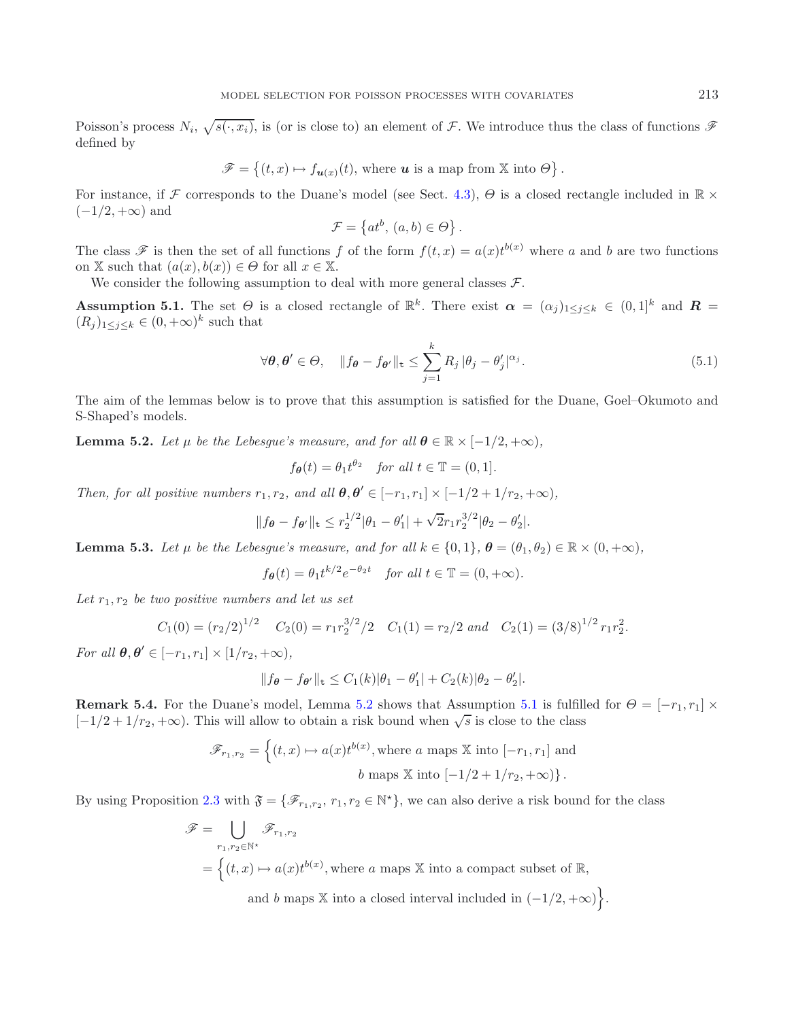Poisson's process  $N_i$ ,  $\sqrt{s(\cdot, x_i)}$ , is (or is close to) an element of F. We introduce thus the class of functions  $\mathscr F$ defined by

$$
\mathscr{F} = \left\{ (t, x) \mapsto f_{\mathbf{u}(x)}(t), \text{ where } \mathbf{u} \text{ is a map from } \mathbb{X} \text{ into } \Theta \right\}.
$$

For instance, if F corresponds to the Duane's model (see Sect. [4.3\)](#page-7-3),  $\Theta$  is a closed rectangle included in  $\mathbb{R}$   $\times$  $(-1/2, +\infty)$  and

<span id="page-9-1"></span>
$$
\mathcal{F} = \{at^b, (a, b) \in \Theta\}.
$$

The class  $\mathscr F$  is then the set of all functions f of the form  $f(t,x) = a(x)t^{b(x)}$  where a and b are two functions on X such that  $(a(x), b(x)) \in \Theta$  for all  $x \in \mathbb{X}$ .

We consider the following assumption to deal with more general classes  $\mathcal{F}$ .

**Assumption 5.1.** The set  $\Theta$  is a closed rectangle of  $\mathbb{R}^k$ . There exist  $\alpha = (\alpha_i)_{1 \leq i \leq k} \in (0,1]^k$  and  $\mathbb{R}$  $(R_j)_{1\leq j\leq k}\in (0,+\infty)^k$  such that

$$
\forall \theta, \theta' \in \Theta, \quad \|f_{\theta} - f_{\theta'}\|_{\mathbf{t}} \le \sum_{j=1}^{k} R_j \, |\theta_j - \theta'_j|^{\alpha_j}.
$$
 (5.1)

<span id="page-9-0"></span>The aim of the lemmas below is to prove that this assumption is satisfied for the Duane, Goel–Okumoto and S-Shaped's models.

**Lemma 5.2.** *Let*  $\mu$  *be the Lebesgue's measure, and for all*  $\theta \in \mathbb{R} \times [-1/2, +\infty)$ *,* 

$$
f_{\theta}(t) = \theta_1 t^{\theta_2}
$$
 for all  $t \in \mathbb{T} = (0, 1]$ .

*Then, for all positive numbers*  $r_1, r_2$ *, and all*  $\theta, \theta' \in [-r_1, r_1] \times [-1/2 + 1/r_2, +\infty)$ *,* 

$$
||f_{\theta} - f_{\theta'}||_{\mathbf{t}} \le r_2^{1/2} |\theta_1 - \theta'_1| + \sqrt{2} r_1 r_2^{3/2} |\theta_2 - \theta'_2|.
$$

<span id="page-9-2"></span>**Lemma 5.3.** *Let*  $\mu$  *be the Lebesque's measure, and for all*  $k \in \{0, 1\}$ ,  $\theta = (\theta_1, \theta_2) \in \mathbb{R} \times (0, +\infty)$ ,

$$
f_{\theta}(t) = \theta_1 t^{k/2} e^{-\theta_2 t} \quad \text{for all } t \in \mathbb{T} = (0, +\infty).
$$

Let  $r_1, r_2$  *be two positive numbers and let us set* 

$$
C_1(0) = (r_2/2)^{1/2}
$$
  $C_2(0) = r_1 r_2^{3/2} / 2$   $C_1(1) = r_2/2$  and  $C_2(1) = (3/8)^{1/2} r_1 r_2^2$ .

*For all*  $\theta, \theta' \in [-r_1, r_1] \times [1/r_2, +\infty)$ ,

$$
||f_{\theta}-f_{\theta'}||_{\mathbf{t}} \leq C_1(k)|\theta_1-\theta'_1|+C_2(k)|\theta_2-\theta'_2|.
$$

**Remark 5.4.** For the Duane's model, Lemma [5.2](#page-9-0) shows that Assumption [5.1](#page-9-1) is fulfilled for  $\Theta = [-r_1, r_1] \times$  $[-1/2+1/r_2, +\infty)$ . This will allow to obtain a risk bound when  $\sqrt{s}$  is close to the class

$$
\mathscr{F}_{r_1,r_2} = \left\{ (t,x) \mapsto a(x)t^{b(x)}, \text{where } a \text{ maps } \mathbb{X} \text{ into } [-r_1,r_1] \text{ and } b \text{ maps } \mathbb{X} \text{ into } [-1/2+1/r_2, +\infty) \right\}.
$$

By using Proposition [2.3](#page-4-2) with  $\mathfrak{F} = {\mathscr{F}_{r_1,r_2}, r_1, r_2 \in \mathbb{N}^*}$ , we can also derive a risk bound for the class

$$
\mathscr{F} = \bigcup_{r_1, r_2 \in \mathbb{N}^\star} \mathscr{F}_{r_1, r_2}
$$
  
=  $\left\{ (t, x) \mapsto a(x)t^{b(x)}, \text{where } a \text{ maps } \mathbb{X} \text{ into a compact subset of } \mathbb{R}, \right\}$ 

and b maps X into a closed interval included in  $(-1/2, +\infty)$ .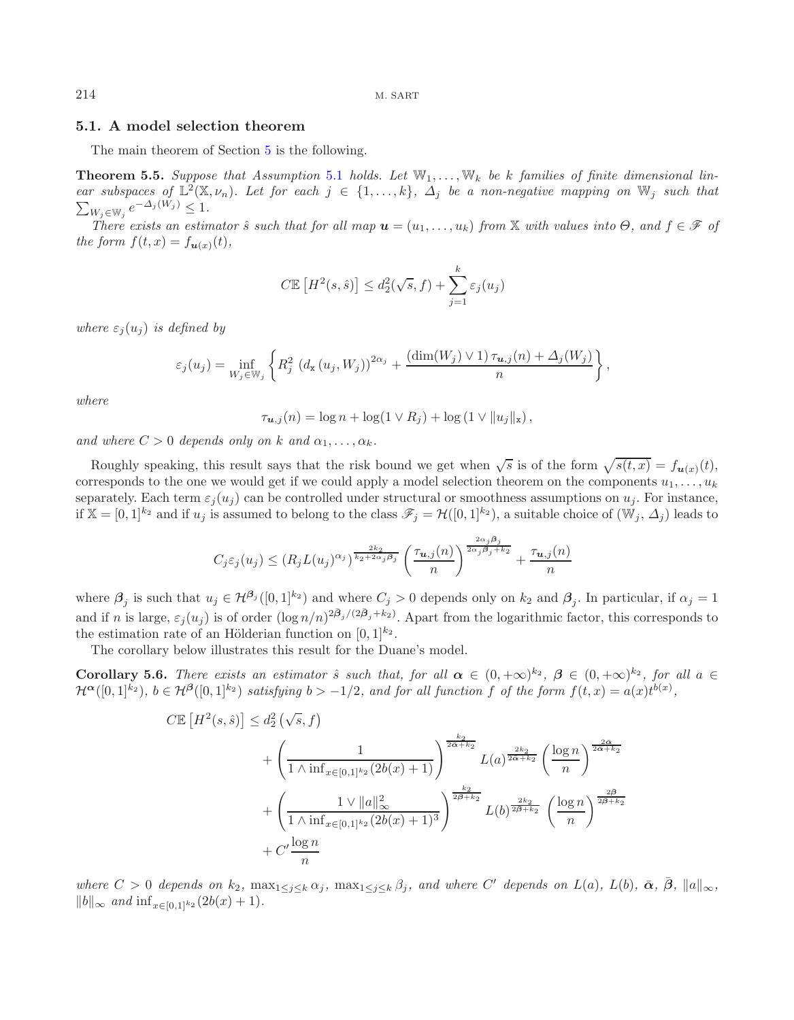#### <span id="page-10-0"></span>**5.1. A model selection theorem**

The main theorem of Section [5](#page-8-2) is the following.

**Theorem 5.5.** Suppose that Assumption [5.1](#page-9-1) holds. Let  $\mathbb{W}_1, \ldots, \mathbb{W}_k$  be k families of finite dimensional lin*ear subspaces of*  $\mathbb{L}^2(\mathbb{X}, \nu_n)$ *. Let for each*  $j \in \{1, ..., k\}$ *,*  $\Delta_j$  *be a non-negative mapping on*  $\mathbb{W}_j$  *such that*  $\sum_{W_j \in \mathbb{W}_j} e^{-\Delta_j(W_j)} \leq 1.$ 

*There exists an estimator*  $\hat{s}$  *such that for all map*  $u = (u_1, \ldots, u_k)$  *from*  $\mathbb X$  *with values into*  $\Theta$ *, and*  $f \in \mathscr F$  *of the form*  $f(t, x) = f_{u(x)}(t)$ ,

$$
C\mathbb{E}\left[H^2(s,\hat{s})\right] \leq d_2^2(\sqrt{s},f) + \sum_{j=1}^k \varepsilon_j(u_j)
$$

*where*  $\varepsilon_i(u_i)$  *is defined by* 

$$
\varepsilon_j(u_j) = \inf_{W_j \in \mathbb{W}_j} \left\{ R_j^2 \left( d_{\mathbf{x}}(u_j, W_j) \right)^{2\alpha_j} + \frac{\left( \dim(W_j) \vee 1 \right) \tau_{\mathbf{u},j}(n) + \Delta_j(W_j)}{n} \right\},\,
$$

*where*

<span id="page-10-1"></span>
$$
\tau_{\mathbf{u},j}(n) = \log n + \log(1 \vee R_j) + \log(1 \vee ||u_j||_{\mathbf{x}}),
$$

*and where*  $C > 0$  *depends only on* k *and*  $\alpha_1, \ldots, \alpha_k$ .

Roughly speaking, this result says that the risk bound we get when  $\sqrt{s}$  is of the form  $\sqrt{s(t, x)} = f_{\mathbf{u}(x)}(t)$ , corresponds to the one we would get if we could apply a model selection theorem on the components  $u_1, \ldots, u_k$ separately. Each term  $\varepsilon_i(u_i)$  can be controlled under structural or smoothness assumptions on  $u_i$ . For instance, if  $\mathbb{X} = [0,1]^{k_2}$  and if  $u_j$  is assumed to belong to the class  $\mathscr{F}_j = \mathcal{H}([0,1]^{k_2})$ , a suitable choice of  $(\mathbb{W}_j, \Delta_j)$  leads to

$$
C_j \varepsilon_j(u_j) \le (R_j L(u_j)^{\alpha_j})^{\frac{2k_2}{k_2 + 2\alpha_j \beta_j}} \left(\frac{\tau_{\mathbf{u},j}(n)}{n}\right)^{\frac{2\alpha_j \beta_j}{2\alpha_j \beta_j + k_2}} + \frac{\tau_{\mathbf{u},j}(n)}{n}
$$

where  $\beta_j$  is such that  $u_j \in H^{\beta_j}([0,1]^{k_2})$  and where  $C_j > 0$  depends only on  $k_2$  and  $\beta_j$ . In particular, if  $\alpha_j = 1$ and if n is large,  $\varepsilon_j(u_j)$  is of order  $(\log n/n)^{2\bar{\beta}_j/(2\bar{\beta}_j+k_2)}$ . Apart from the logarithmic factor, this corresponds to the estimation rate of an Hölderian function on  $[0, 1]^{k_2}$ .

The corollary below illustrates this result for the Duane's model.

**Corollary 5.6.** *There exists an estimator*  $\hat{s}$  *such that, for all*  $\alpha \in (0, +\infty)^{k_2}$ ,  $\beta \in (0, +\infty)^{k_2}$ , for all  $a \in$  $\mathcal{H}^{\alpha}([0,1]^{k_2})$ ,  $b \in \mathcal{H}^{\beta}([0,1]^{k_2})$  satisfying  $b > -1/2$ , and for all function f of the form  $f(t,x) = a(x)t^{b(x)}$ ,

$$
C\mathbb{E}\left[H^{2}(s,\hat{s})\right] \leq d_{2}^{2}\left(\sqrt{s},f\right)
$$
  
+ 
$$
\left(\frac{1}{1 \wedge \inf_{x \in [0,1]^{k_{2}}}(2b(x) + 1)}\right)^{\frac{k_{2}}{2\bar{\alpha}+k_{2}}} L(a)^{\frac{2k_{2}}{2\bar{\alpha}+k_{2}}}\left(\frac{\log n}{n}\right)^{\frac{2\bar{\alpha}}{2\bar{\alpha}+k_{2}}} + \left(\frac{1 \vee \|a\|_{\infty}^{2}}{1 \wedge \inf_{x \in [0,1]^{k_{2}}}(2b(x) + 1)^{3}}\right)^{\frac{k_{2}}{2\bar{\beta}+k_{2}}} L(b)^{\frac{2k_{2}}{2\bar{\beta}+k_{2}}}\left(\frac{\log n}{n}\right)^{\frac{2\bar{\beta}}{2\bar{\beta}+k_{2}}} + C'\frac{\log n}{n}
$$

*where*  $C > 0$  *depends on*  $k_2$ ,  $\max_{1 \leq j \leq k} \alpha_j$ ,  $\max_{1 \leq j \leq k} \beta_j$ , and where  $C'$  depends on  $L(a)$ ,  $L(b)$ ,  $\bar{\alpha}$ ,  $\bar{\beta}$ ,  $||a||_{\infty}$ ,  $||b||_{\infty}$  *and*  $\inf_{x \in [0,1]^{k_2}} (2b(x) + 1)$ *.*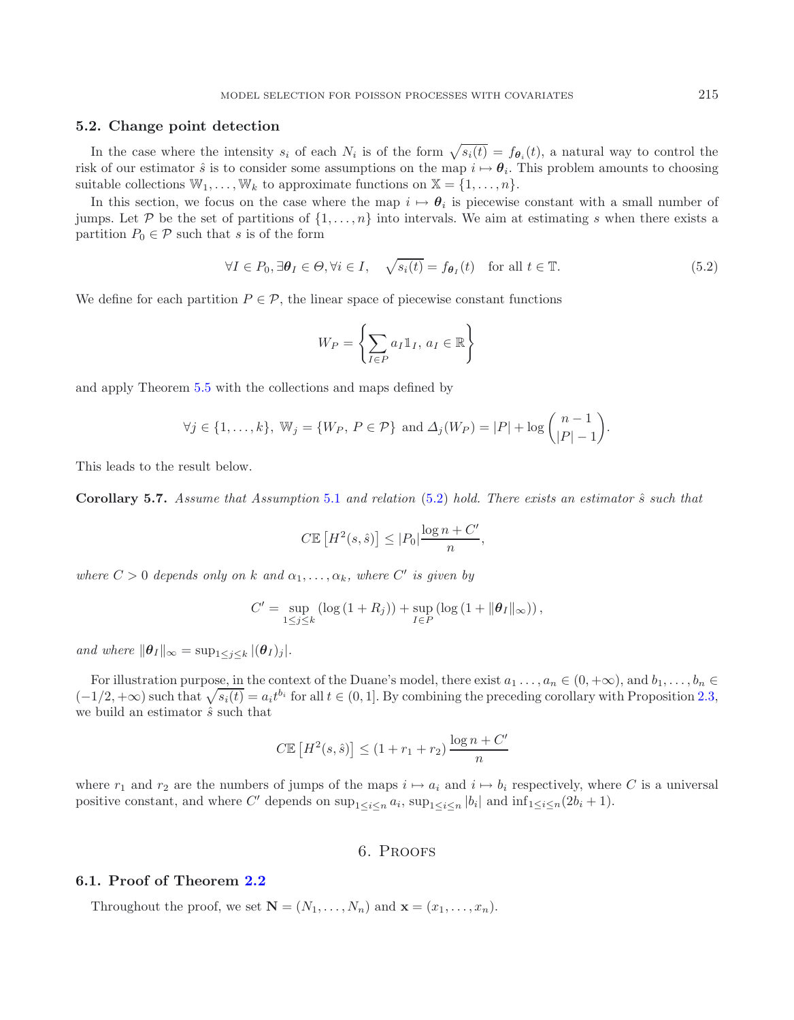### **5.2. Change point detection**

In the case where the intensity  $s_i$  of each  $N_i$  is of the form  $\sqrt{s_i(t)} = f_{\theta_i}(t)$ , a natural way to control the risk of our estimator  $\hat{s}$  is to consider some assumptions on the map  $i \mapsto \theta_i$ . This problem amounts to choosing suitable collections  $\mathbb{W}_1,\ldots,\mathbb{W}_k$  to approximate functions on  $\mathbb{X} = \{1,\ldots,n\}.$ 

In this section, we focus on the case where the map  $i \mapsto \theta_i$  is piecewise constant with a small number of jumps. Let P be the set of partitions of  $\{1,\ldots,n\}$  into intervals. We aim at estimating s when there exists a partition  $P_0 \in \mathcal{P}$  such that s is of the form

$$
\forall I \in P_0, \exists \boldsymbol{\theta}_I \in \Theta, \forall i \in I, \quad \sqrt{s_i(t)} = f_{\boldsymbol{\theta}_I}(t) \quad \text{for all } t \in \mathbb{T}.
$$
 (5.2)

<span id="page-11-1"></span>We define for each partition  $P \in \mathcal{P}$ , the linear space of piecewise constant functions

$$
W_P = \left\{ \sum_{I \in P} a_I \mathbb{1}_I, a_I \in \mathbb{R} \right\}
$$

and apply Theorem [5.5](#page-10-0) with the collections and maps defined by

$$
\forall j \in \{1, \ldots, k\}, \ \mathbb{W}_j = \{W_P, \ P \in \mathcal{P}\} \ \text{and} \ \Delta_j(W_P) = |P| + \log \binom{n-1}{|P|-1}.
$$

This leads to the result below.

**Corollary 5.7.** *Assume that Assumption* [5.1](#page-9-1) *and relation* [\(5.2\)](#page-11-1) *hold. There exists an estimator*  $\hat{s}$  *such that* 

$$
C \mathbb{E}\left[H^2(s,\hat{s})\right] \le |P_0| \frac{\log n + C'}{n},
$$

*where*  $C > 0$  *depends only on* k and  $\alpha_1, \ldots, \alpha_k$ *, where*  $C'$  *is given by* 

$$
C' = \sup_{1 \leq j \leq k} \left( \log \left( 1 + R_j \right) \right) + \sup_{I \in P} \left( \log \left( 1 + \|\boldsymbol{\theta}_I\|_{\infty} \right) \right),
$$

*and where*  $\|\boldsymbol{\theta}_{I}\|_{\infty} = \sup_{1 \leq i \leq k} |(\boldsymbol{\theta}_{I})_{j}|.$ 

For illustration purpose, in the context of the Duane's model, there exist  $a_1 \ldots, a_n \in (0, +\infty)$ , and  $b_1, \ldots, b_n \in$  $(-1/2, +\infty)$  such that  $\sqrt{s_i(t)} = a_i t^{b_i}$  for all  $t \in (0, 1]$ . By combining the preceding corollary with Proposition [2.3,](#page-4-2) we build an estimator  $\hat{s}$  such that

$$
C\mathbb{E}\left[H^2(s,\hat{s})\right] \le (1+r_1+r_2)\frac{\log n + C'}{n}
$$

where  $r_1$  and  $r_2$  are the numbers of jumps of the maps  $i \mapsto a_i$  and  $i \mapsto b_i$  respectively, where C is a universal positive constant, and where C' depends on  $\sup_{1 \leq i \leq n} a_i$ ,  $\sup_{1 \leq i \leq n} |b_i|$  and  $\inf_{1 \leq i \leq n} (2b_i + 1)$ .

# 6. Proofs

## <span id="page-11-0"></span>**6.1. Proof of Theorem [2.2](#page-3-1)**

Throughout the proof, we set  $\mathbf{N} = (N_1, \ldots, N_n)$  and  $\mathbf{x} = (x_1, \ldots, x_n)$ .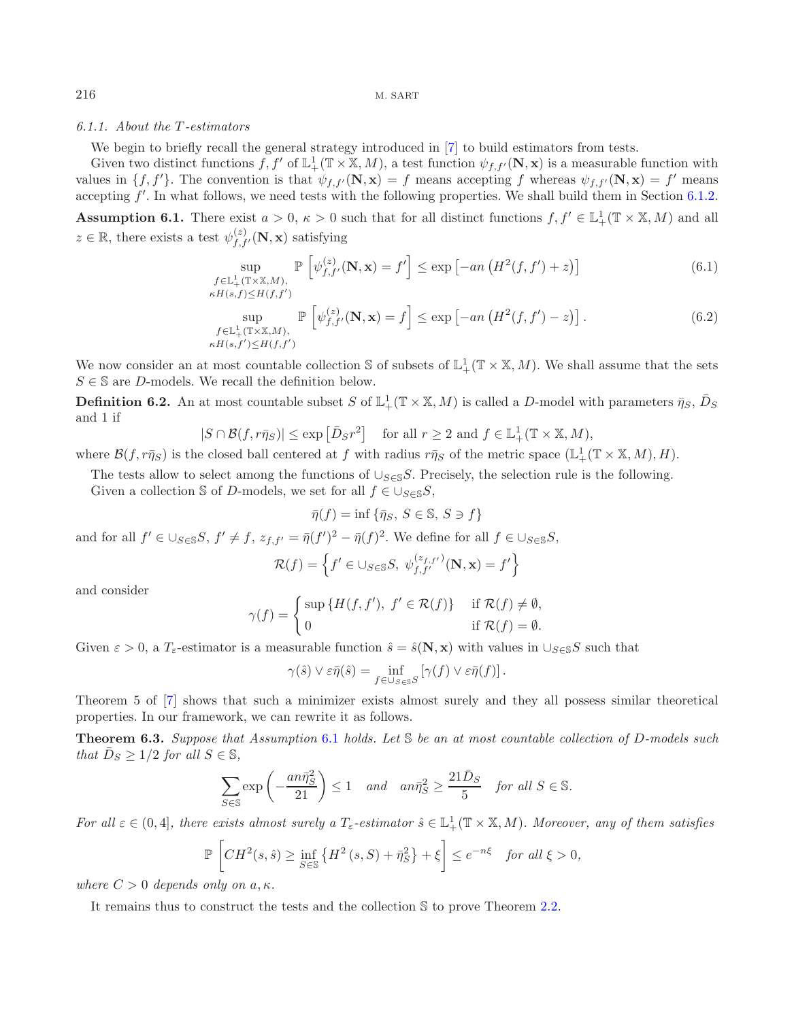### <span id="page-12-3"></span>*6.1.1. About the* T *-estimators*

We begin to briefly recall the general strategy introduced in [\[7\]](#page-31-7) to build estimators from tests.

Given two distinct functions  $f, f'$  of  $\mathbb{L}^1_+(\mathbb{T} \times \mathbb{X}, M)$ , a test function  $\psi_{f,f'}(\mathbf{N}, \mathbf{x})$  is a measurable function with values in  $\{f, f'\}$ . The convention is that  $\psi_{f,f'}(\mathbf{N}, \mathbf{x}) = f$  means accepting f whereas  $\psi_{f,f'}(\mathbf{N}, \mathbf{x}) = f'$  means accepting  $f'$ . In what follows, we need tests with the following properties. We shall build them in Section [6.1.2.](#page-13-0)

<span id="page-12-1"></span><span id="page-12-0"></span>**Assumption 6.1.** There exist  $a > 0$ ,  $\kappa > 0$  such that for all distinct functions  $f, f' \in L^1_+(\mathbb{T} \times \mathbb{X}, M)$  and all  $z \in \mathbb{R}$ , there exists a test  $\psi_{f,f'}^{(z)}(\mathbf{N}, \mathbf{x})$  satisfying

$$
\sup_{\substack{f \in \mathbb{L}^1_+(\mathbb{T} \times \mathbb{X}, M), \\ \kappa H(s, f) \le H(f, f')}} \mathbb{P}\left[\psi_{f, f'}^{(z)}(\mathbf{N}, \mathbf{x}) = f'\right] \le \exp\left[-an\left(H^2(f, f') + z\right)\right]
$$
(6.1)

$$
\sup_{\substack{f \in \mathbb{L}^1_+(\mathbb{T} \times \mathbb{X}, M), \\ \kappa H(s, f') \le H(f, f')}} \mathbb{P}\left[\psi_{f, f'}^{(z)}(\mathbf{N}, \mathbf{x}) = f\right] \le \exp\left[-an\left(H^2(f, f') - z\right)\right].\tag{6.2}
$$

We now consider an at most countable collection S of subsets of  $\mathbb{L}^1_+(\mathbb{T} \times \mathbb{X}, M)$ . We shall assume that the sets  $S \in \mathbb{S}$  are D-models. We recall the definition below.

**Definition 6.2.** An at most countable subset S of  $\mathbb{L}^1_+(\mathbb{T} \times \mathbb{X}, M)$  is called a D-model with parameters  $\bar{\eta}_S$ ,  $\bar{D}_S$ and 1 if

$$
|S \cap \mathcal{B}(f, r\bar{\eta}_S)| \le \exp\left[\bar{D}_S r^2\right] \quad \text{for all } r \ge 2 \text{ and } f \in \mathbb{L}^1_+(\mathbb{T} \times \mathbb{X}, M),
$$

where  $\mathcal{B}(f, r\bar{\eta}_S)$  is the closed ball centered at f with radius  $r\bar{\eta}_S$  of the metric space  $(\mathbb{L}^1_+(\mathbb{T} \times \mathbb{X}, M), H)$ .

The tests allow to select among the functions of  $\bigcup_{S\in\mathbb{S}}S$ . Precisely, the selection rule is the following.

Given a collection S of D-models, we set for all  $f \in \bigcup_{S \in \mathbb{S}} S$ ,

$$
\bar{\eta}(f)=\inf\left\{\bar{\eta}_S,\,S\in\mathbb{S},\,S\ni f\right\}
$$

and for all  $f' \in \bigcup_{S \in \mathbb{S}} S$ ,  $f' \neq f$ ,  $z_{f,f'} = \overline{\eta}(f')^2 - \overline{\eta}(f)^2$ . We define for all  $f \in \bigcup_{S \in \mathbb{S}} S$ ,

$$
\mathcal{R}(f) = \left\{ f' \in \bigcup_{S \in \mathbb{S}} S, \ \psi_{f,f'}^{(z_{f,f'})}(\mathbf{N}, \mathbf{x}) = f' \right\}
$$

and consider

$$
\gamma(f) = \begin{cases} \sup \{ H(f, f'), f' \in \mathcal{R}(f) \} & \text{if } \mathcal{R}(f) \neq \emptyset, \\ 0 & \text{if } \mathcal{R}(f) = \emptyset. \end{cases}
$$

Given  $\varepsilon > 0$ , a  $T_{\varepsilon}$ -estimator is a measurable function  $\hat{s} = \hat{s}(\mathbf{N}, \mathbf{x})$  with values in  $\cup_{S \in \mathbb{S}} S$  such that

$$
\gamma(\hat{s}) \vee \varepsilon \bar{\eta}(\hat{s}) = \inf_{f \in \cup_{S \in \mathbb{S}} S} \left[ \gamma(f) \vee \varepsilon \bar{\eta}(f) \right].
$$

<span id="page-12-2"></span>Theorem 5 of [\[7](#page-31-7)] shows that such a minimizer exists almost surely and they all possess similar theoretical properties. In our framework, we can rewrite it as follows.

**Theorem 6.3.** *Suppose that Assumption* [6.1](#page-12-0) *holds. Let* S *be an at most countable collection of* D*-models such that*  $D_S \geq 1/2$  *for all*  $S \in \mathbb{S}$ *,* 

$$
\sum_{S \in \mathbb{S}} \exp\left(-\frac{an\bar{\eta}_S^2}{21}\right) \le 1 \quad and \quad an\bar{\eta}_S^2 \ge \frac{21\bar{D}_S}{5} \quad for \ all \ S \in \mathbb{S}.
$$

For all  $\varepsilon \in (0, 4]$ , there exists almost surely a  $T_{\varepsilon}$ -estimator  $\hat{s} \in \mathbb{L}^1_+(\mathbb{T} \times \mathbb{X}, M)$ . Moreover, any of them satisfies

$$
\mathbb{P}\left[CH^2(s,\hat{s}) \ge \inf_{S \in \mathbb{S}} \left\{H^2\left(s,S\right) + \bar{\eta}_S^2\right\} + \xi\right] \le e^{-n\xi} \quad \text{for all } \xi > 0,
$$

*where*  $C > 0$  *depends only on*  $a, \kappa$ *.* 

It remains thus to construct the tests and the collection S to prove Theorem [2.2.](#page-3-1)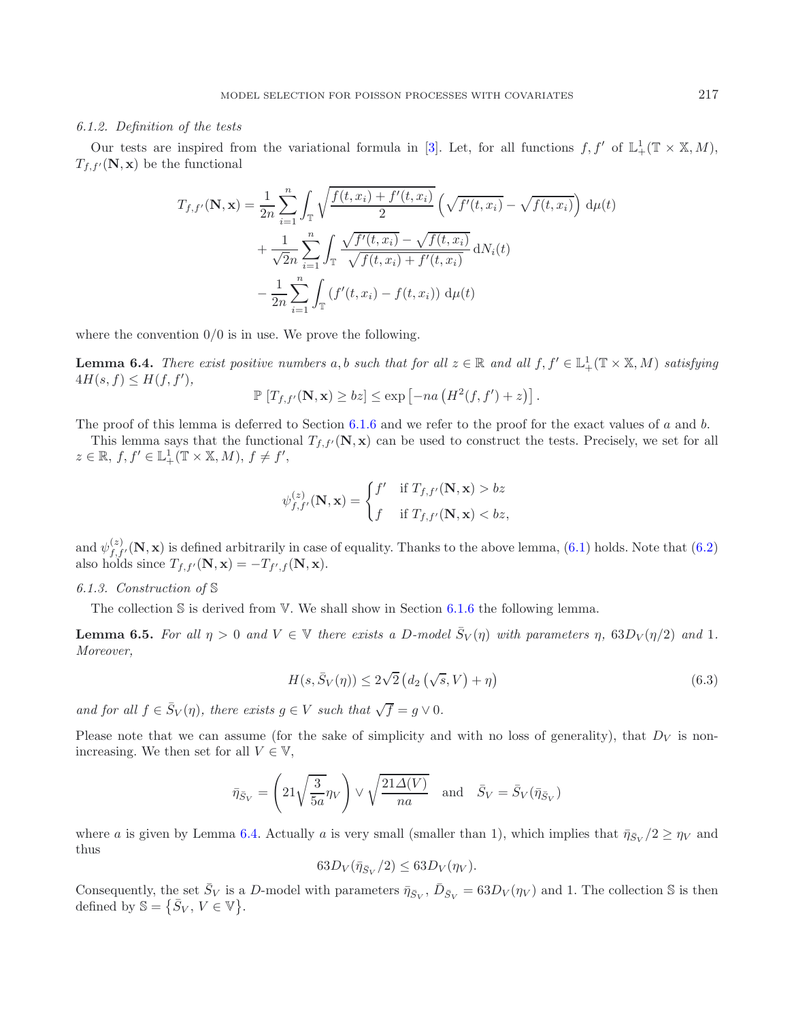#### <span id="page-13-0"></span>*6.1.2. Definition of the tests*

Our tests are inspired from the variational formula in [\[3](#page-31-4)]. Let, for all functions  $f, f'$  of  $\mathbb{L}^1_+(\mathbb{T} \times \mathbb{X}, M)$ ,  $T_{f,f'}(\mathbf{N}, \mathbf{x})$  be the functional

$$
T_{f,f'}(\mathbf{N},\mathbf{x}) = \frac{1}{2n} \sum_{i=1}^{n} \int_{\mathbb{T}} \sqrt{\frac{f(t,x_i) + f'(t,x_i)}{2}} \left(\sqrt{f'(t,x_i)} - \sqrt{f(t,x_i)}\right) d\mu(t) + \frac{1}{\sqrt{2n}} \sum_{i=1}^{n} \int_{\mathbb{T}} \frac{\sqrt{f'(t,x_i)} - \sqrt{f(t,x_i)}}{\sqrt{f(t,x_i) + f'(t,x_i)}} dN_i(t) - \frac{1}{2n} \sum_{i=1}^{n} \int_{\mathbb{T}} (f'(t,x_i) - f(t,x_i)) d\mu(t)
$$

<span id="page-13-1"></span>where the convention  $0/0$  is in use. We prove the following.

**Lemma 6.4.** *There exist positive numbers* a, b *such that for all*  $z \in \mathbb{R}$  *and all*  $f, f' \in L^1_+(\mathbb{T} \times \mathbb{X}, M)$  *satisfying*  $4H(s, f) \leq H(f, f'),$ 

$$
\mathbb{P}\left[T_{f,f'}(\mathbf{N},\mathbf{x})\geq bz\right]\leq \exp\left[-na\left(H^2(f,f')+z\right)\right].
$$

The proof of this lemma is deferred to Section [6.1.6](#page-17-0) and we refer to the proof for the exact values of a and b.

This lemma says that the functional  $T_{f,f'}(N,x)$  can be used to construct the tests. Precisely, we set for all  $z \in \mathbb{R}, f, f' \in \mathbb{L}^1_+(\mathbb{T} \times \mathbb{X}, M), f \neq f',$ 

<span id="page-13-3"></span>
$$
\psi_{f,f'}^{(z)}(\mathbf{N}, \mathbf{x}) = \begin{cases} f' & \text{if } T_{f,f'}(\mathbf{N}, \mathbf{x}) > bz \\ f & \text{if } T_{f,f'}(\mathbf{N}, \mathbf{x}) < bz, \end{cases}
$$

and  $\psi_{f,f'}^{(z)}(\mathbf{N},\mathbf{x})$  is defined arbitrarily in case of equality. Thanks to the above lemma, [\(6.1\)](#page-12-1) holds. Note that [\(6.2\)](#page-12-1) also holds since  $T_{f,f'}(\mathbf{N}, \mathbf{x}) = -T_{f',f}(\mathbf{N}, \mathbf{x}).$ 

#### *6.1.3. Construction of* S

The collection  $\mathcal S$  is derived from  $\mathbb V$ . We shall show in Section [6.1.6](#page-17-0) the following lemma.

**Lemma 6.5.** For all  $\eta > 0$  and  $V \in \mathbb{V}$  there exists a D-model  $\bar{S}_V(\eta)$  with parameters  $\eta$ ,  $63D_V(\eta/2)$  and 1. *Moreover,*

<span id="page-13-2"></span>
$$
H(s, \bar{S}_V(\eta)) \le 2\sqrt{2} \left( d_2\left(\sqrt{s}, V\right) + \eta \right) \tag{6.3}
$$

*and for all*  $f \in \overline{S}_V(\eta)$ *, there exists*  $g \in V$  *such that*  $\sqrt{f} = g \vee 0$ *.* 

Please note that we can assume (for the sake of simplicity and with no loss of generality), that  $D_V$  is nonincreasing. We then set for all  $V \in V$ ,

$$
\bar{\eta}_{\bar{S}_V} = \left(21\sqrt{\frac{3}{5a}}\eta_V\right) \vee \sqrt{\frac{21\Delta(V)}{na}} \quad \text{and} \quad \bar{S}_V = \bar{S}_V(\bar{\eta}_{\bar{S}_V})
$$

where a is given by Lemma [6.4.](#page-13-1) Actually a is very small (smaller than 1), which implies that  $\bar{\eta}_{\bar{S}_V}/2 \ge \eta_V$  and thus

$$
63D_V(\bar{\eta}_{\bar{S}_V}/2) \leq 63D_V(\eta_V).
$$

Consequently, the set  $\bar{S}_V$  is a D-model with parameters  $\bar{\eta}_{\bar{S}_V}, \bar{D}_{\bar{S}_V} = 63D_V(\eta_V)$  and 1. The collection S is then defined by  $\mathbb{S} = \{\overline{S}_V, V \in \mathbb{V}\}.$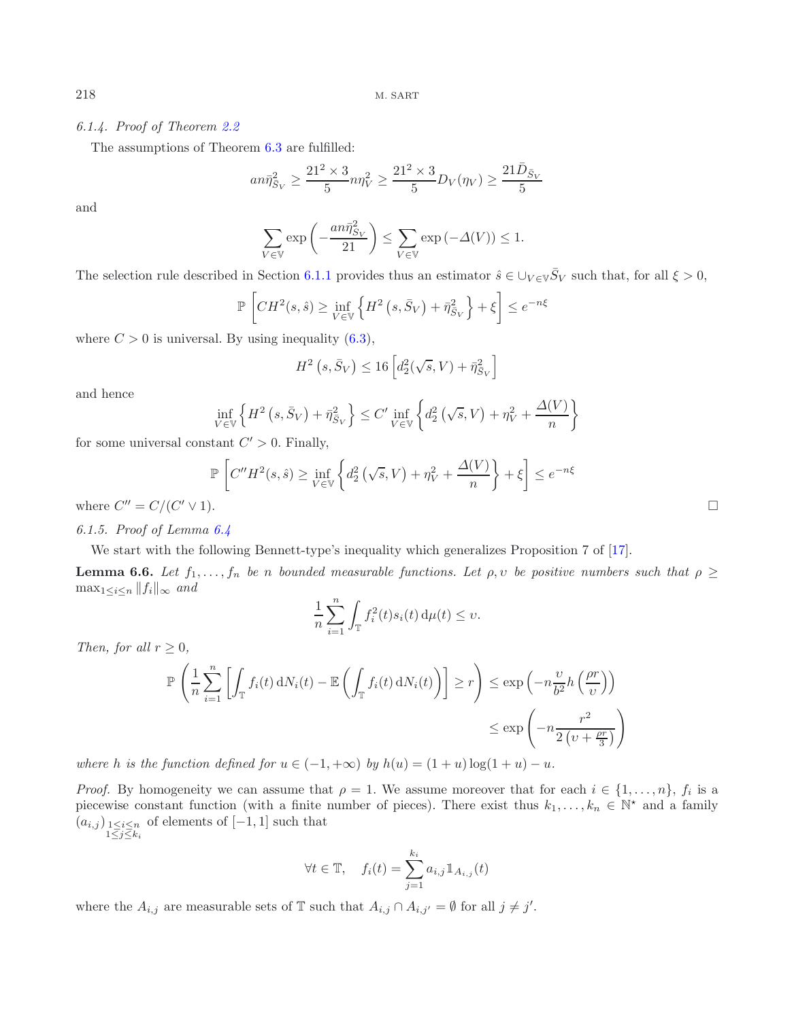## *6.1.4. Proof of Theorem [2.2](#page-3-1)*

The assumptions of Theorem [6.3](#page-12-2) are fulfilled:

$$
an\bar{\eta}_{\bar{S}_V}^2 \ge \frac{21^2 \times 3}{5} n\eta_V^2 \ge \frac{21^2 \times 3}{5} D_V(\eta_V) \ge \frac{21\bar{D}_{\bar{S}_V}}{5}
$$

and

$$
\sum_{V \in \mathbb{V}} \exp \left(-\frac{a n \bar{\eta}_{S_V}^2}{21}\right) \leq \sum_{V \in \mathbb{V}} \exp \left(-\Delta(V)\right) \leq 1.
$$

The selection rule described in Section [6.1.1](#page-12-3) provides thus an estimator  $\hat{s} \in \bigcup_{V \in V} \overline{S}_V$  such that, for all  $\xi > 0$ ,

$$
\mathbb{P}\left[CH^2(s,\hat{s}) \ge \inf_{V \in \mathbb{V}} \left\{ H^2\left(s,\bar{S}_V\right) + \bar{\eta}_{\bar{S}_V}^2 \right\} + \xi \right] \le e^{-n\xi}
$$

where  $C > 0$  is universal. By using inequality  $(6.3)$ ,

<span id="page-14-0"></span>
$$
H^2\left(s,\bar{S}_V\right) \le 16 \left[d_2^2(\sqrt{s},V) + \bar{\eta}_{\bar{S}_V}^2\right]
$$

and hence

$$
\inf_{V \in \mathbb{V}} \left\{ H^2 \left( s, \bar{S}_V \right) + \bar{\eta}_{\bar{S}_V}^2 \right\} \le C' \inf_{V \in \mathbb{V}} \left\{ d_2^2 \left( \sqrt{s}, V \right) + \eta_V^2 + \frac{\Delta(V)}{n} \right\}
$$

for some universal constant  $C' > 0$ . Finally,

$$
\mathbb{P}\left[C''H^2(s,\hat{s}) \ge \inf_{V \in \mathbb{V}} \left\{ d_2^2\left(\sqrt{s},V\right) + \eta_V^2 + \frac{\Delta(V)}{n} \right\} + \xi\right] \le e^{-n\xi}
$$

where  $C'' = C/(C' \vee 1)$ .

*6.1.5. Proof of Lemma [6.4](#page-13-1)*

We start with the following Bennett-type's inequality which generalizes Proposition 7 of [\[17\]](#page-31-0).

**Lemma 6.6.** *Let*  $f_1, \ldots, f_n$  *be* n *bounded measurable functions. Let*  $\rho, \nu$  *be positive numbers such that*  $\rho \geq$  $\max_{1 \leq i \leq n} ||f_i||_{\infty}$  *and* 

$$
\frac{1}{n}\sum_{i=1}^n \int_{\mathbb{T}} f_i^2(t)s_i(t) d\mu(t) \le v.
$$

*Then, for all*  $r \geq 0$ *,* 

$$
\mathbb{P}\left(\frac{1}{n}\sum_{i=1}^{n}\left[\int_{\mathbb{T}}f_i(t)\,dN_i(t)-\mathbb{E}\left(\int_{\mathbb{T}}f_i(t)\,dN_i(t)\right)\right]\geq r\right)\leq \exp\left(-n\frac{\upsilon}{b^2}h\left(\frac{\rho r}{\upsilon}\right)\right)
$$

$$
\leq \exp\left(-n\frac{r^2}{2\left(\upsilon+\frac{\rho r}{3}\right)}\right)
$$

*where* h *is the function defined for*  $u \in (-1, +\infty)$  *by*  $h(u) = (1 + u) \log(1 + u) - u$ .

*Proof.* By homogeneity we can assume that  $\rho = 1$ . We assume moreover that for each  $i \in \{1, \ldots, n\}$ ,  $f_i$  is a piecewise constant function (with a finite number of pieces). There exist thus  $k_1,\ldots,k_n \in \mathbb{N}^*$  and a family  $(a_{i,j})_{\substack{1 \leq i \leq n \\ 1 \leq j \leq k_i}}$ of elements of [−1, 1] such that

$$
\forall t \in \mathbb{T}, \quad f_i(t) = \sum_{j=1}^{k_i} a_{i,j} \mathbb{1}_{A_{i,j}}(t)
$$

where the  $A_{i,j}$  are measurable sets of T such that  $A_{i,j} \cap A_{i,j'} = \emptyset$  for all  $j \neq j'$ .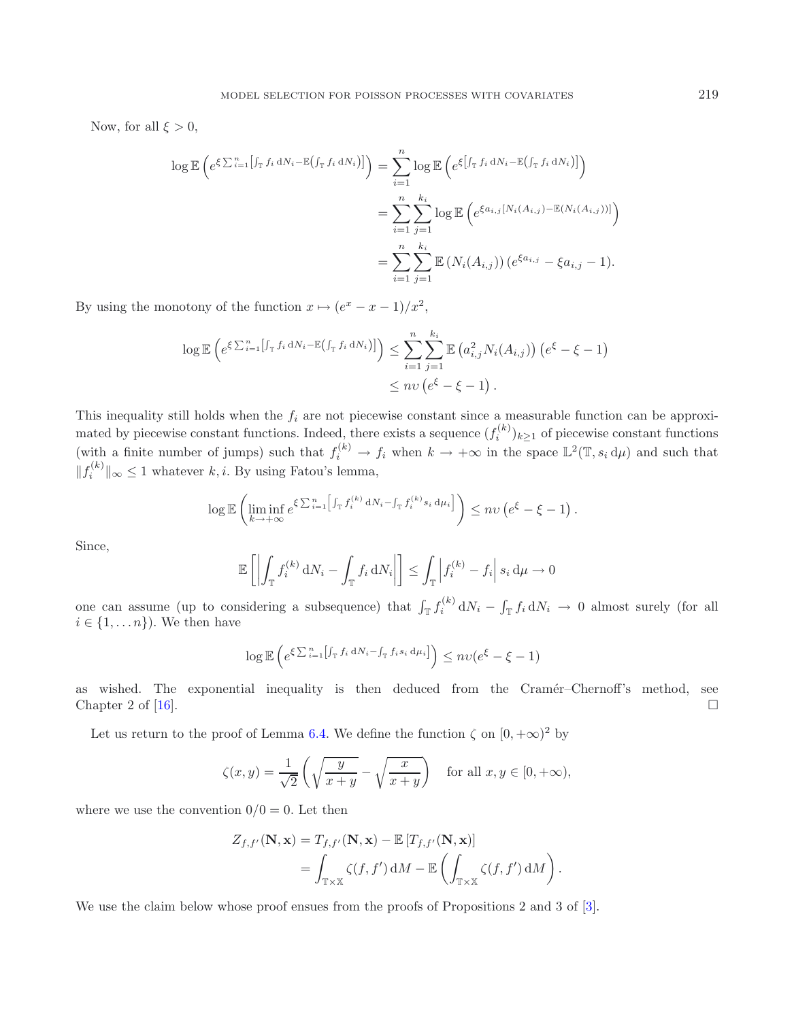Now, for all  $\xi > 0$ ,

$$
\log \mathbb{E} \left( e^{\xi \sum_{i=1}^{n} \left[ \int_{\mathbb{T}} f_i dN_i - \mathbb{E} \left( \int_{\mathbb{T}} f_i dN_i \right) \right]} \right) = \sum_{i=1}^{n} \log \mathbb{E} \left( e^{\xi \left[ \int_{\mathbb{T}} f_i dN_i - \mathbb{E} \left( \int_{\mathbb{T}} f_i dN_i \right) \right]} \right)
$$
  

$$
= \sum_{i=1}^{n} \sum_{j=1}^{k_i} \log \mathbb{E} \left( e^{\xi a_{i,j} \left[ N_i(A_{i,j}) - \mathbb{E} \left( N_i(A_{i,j}) \right) \right]} \right)
$$
  

$$
= \sum_{i=1}^{n} \sum_{j=1}^{k_i} \mathbb{E} \left( N_i(A_{i,j}) \right) \left( e^{\xi a_{i,j}} - \xi a_{i,j} - 1 \right).
$$

By using the monotony of the function  $x \mapsto (e^x - x - 1)/x^2$ ,

$$
\log \mathbb{E}\left(e^{\xi \sum_{i=1}^{n} \left[f_{\mathcal{T}} f_i dN_i - \mathbb{E}(f_{\mathcal{T}} f_i dN_i)\right]}\right) \leq \sum_{i=1}^{n} \sum_{j=1}^{k_i} \mathbb{E}\left(a_{i,j}^2 N_i(A_{i,j})\right) \left(e^{\xi} - \xi - 1\right)
$$
  

$$
\leq n v \left(e^{\xi} - \xi - 1\right).
$$

This inequality still holds when the  $f_i$  are not piecewise constant since a measurable function can be approximated by piecewise constant functions. Indeed, there exists a sequence  $(f_i^{(k)})_{k\geq 1}$  of piecewise constant functions (with a finite number of jumps) such that  $f_i^{(k)} \to f_i$  when  $k \to +\infty$  in the space  $\mathbb{L}^2(\mathbb{T}, s_i \, d\mu)$  and such that  $||f_i^{(k)}||_{\infty} \leq 1$  whatever  $k, i$ . By using Fatou's lemma,

$$
\log \mathbb{E} \left( \liminf_{k \to +\infty} e^{\xi \sum_{i=1}^n \left[ \int_{\mathbb{T}} f_i^{(k)} dN_i - \int_{\mathbb{T}} f_i^{(k)} s_i d\mu_i \right]} \right) \leq n v \left( e^{\xi} - \xi - 1 \right).
$$

Since,

$$
\mathbb{E}\left[\left|\int_{\mathbb{T}} f_i^{(k)} dN_i - \int_{\mathbb{T}} f_i dN_i\right|\right] \leq \int_{\mathbb{T}} \left|f_i^{(k)} - f_i\right| s_i d\mu \to 0
$$

one can assume (up to considering a subsequence) that  $\int_{\mathbb{T}} f_i^{(k)} dN_i - \int_{\mathbb{T}} f_i dN_i \to 0$  almost surely (for all  $i \in \{1, \ldots n\}$ . We then have

$$
\log \mathbb{E}\left(e^{\xi \sum_{i=1}^{n} \left[\int_{\mathbb{T}} f_i dN_i - \int_{\mathbb{T}} f_i s_i d\mu_i\right]}\right) \leq n\upsilon (e^{\xi} - \xi - 1)
$$

as wished. The exponential inequality is then deduced from the Cramér–Chernoff's method, see Chapter 2 of  $[16]$ .  $\Box$ 

Let us return to the proof of Lemma [6.4.](#page-13-1) We define the function  $\zeta$  on  $[0, +\infty)^2$  by

$$
\zeta(x,y) = \frac{1}{\sqrt{2}} \left( \sqrt{\frac{y}{x+y}} - \sqrt{\frac{x}{x+y}} \right) \quad \text{for all } x, y \in [0, +\infty),
$$

where we use the convention  $0/0 = 0$ . Let then

$$
Z_{f,f'}(\mathbf{N},\mathbf{x}) = T_{f,f'}(\mathbf{N},\mathbf{x}) - \mathbb{E}\left[T_{f,f'}(\mathbf{N},\mathbf{x})\right]
$$
  
= 
$$
\int_{\mathbb{T}\times\mathbb{X}} \zeta(f,f') dM - \mathbb{E}\left(\int_{\mathbb{T}\times\mathbb{X}} \zeta(f,f') dM\right).
$$

We use the claim below whose proof ensues from the proofs of Propositions 2 and 3 of [\[3](#page-31-4)].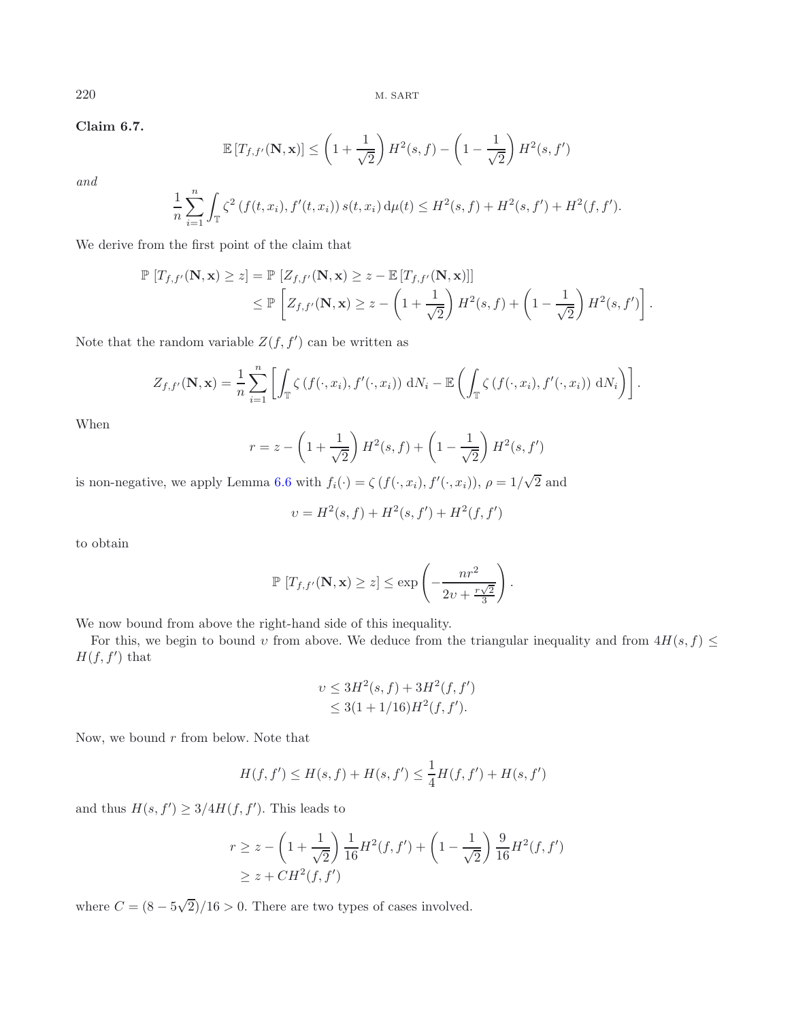**Claim 6.7.**

$$
\mathbb{E}\left[T_{f,f'}(\mathbf{N},\mathbf{x})\right] \le \left(1 + \frac{1}{\sqrt{2}}\right)H^2(s,f) - \left(1 - \frac{1}{\sqrt{2}}\right)H^2(s,f')
$$

*and*

$$
\frac{1}{n}\sum_{i=1}^n \int_{\mathbb{T}} \zeta^2 \left(f(t, x_i), f'(t, x_i)\right) s(t, x_i) d\mu(t) \leq H^2(s, f) + H^2(s, f') + H^2(f, f').
$$

We derive from the first point of the claim that

$$
\mathbb{P}\left[T_{f,f'}(\mathbf{N},\mathbf{x})\geq z\right] = \mathbb{P}\left[Z_{f,f'}(\mathbf{N},\mathbf{x})\geq z - \mathbb{E}\left[T_{f,f'}(\mathbf{N},\mathbf{x})\right]\right]
$$
  
\n
$$
\leq \mathbb{P}\left[Z_{f,f'}(\mathbf{N},\mathbf{x})\geq z - \left(1 + \frac{1}{\sqrt{2}}\right)H^2(s,f) + \left(1 - \frac{1}{\sqrt{2}}\right)H^2(s,f')\right].
$$

Note that the random variable  $Z(f, f')$  can be written as

$$
Z_{f,f'}(\mathbf{N},\mathbf{x}) = \frac{1}{n} \sum_{i=1}^n \left[ \int_{\mathbb{T}} \zeta(f(\cdot,x_i),f'(\cdot,x_i)) \, dN_i - \mathbb{E}\left( \int_{\mathbb{T}} \zeta(f(\cdot,x_i),f'(\cdot,x_i)) \, dN_i \right) \right].
$$

When

$$
r = z - \left(1 + \frac{1}{\sqrt{2}}\right)H^2(s, f) + \left(1 - \frac{1}{\sqrt{2}}\right)H^2(s, f')
$$

is non-negative, we apply Lemma [6.6](#page-14-0) with  $f_i(\cdot) = \zeta(f(\cdot, x_i), f'(\cdot, x_i)), \rho = 1$ / 2 and

$$
\upsilon = H^2(s, f) + H^2(s, f') + H^2(f, f')
$$

to obtain

$$
\mathbb{P}\left[T_{f,f'}(\mathbf{N},\mathbf{x})\geq z\right]\leq \exp\left(-\frac{nr^2}{2v+\frac{r\sqrt{2}}{3}}\right).
$$

We now bound from above the right-hand side of this inequality.

For this, we begin to bound v from above. We deduce from the triangular inequality and from  $4H(s, f) \leq$  $H(f, f')$  that

$$
v \le 3H^2(s, f) + 3H^2(f, f')
$$
  

$$
\le 3(1 + 1/16)H^2(f, f').
$$

Now, we bound  $r$  from below. Note that

$$
H(f, f') \le H(s, f) + H(s, f') \le \frac{1}{4}H(f, f') + H(s, f')
$$

and thus  $H(s, f') \geq 3/4H(f, f')$ . This leads to

$$
r \ge z - \left(1 + \frac{1}{\sqrt{2}}\right) \frac{1}{16} H^2(f, f') + \left(1 - \frac{1}{\sqrt{2}}\right) \frac{9}{16} H^2(f, f')
$$
  
 
$$
\ge z + CH^2(f, f')
$$

where  $C = (8 - 5)$ √  $2)/16 > 0$ . There are two types of cases involved.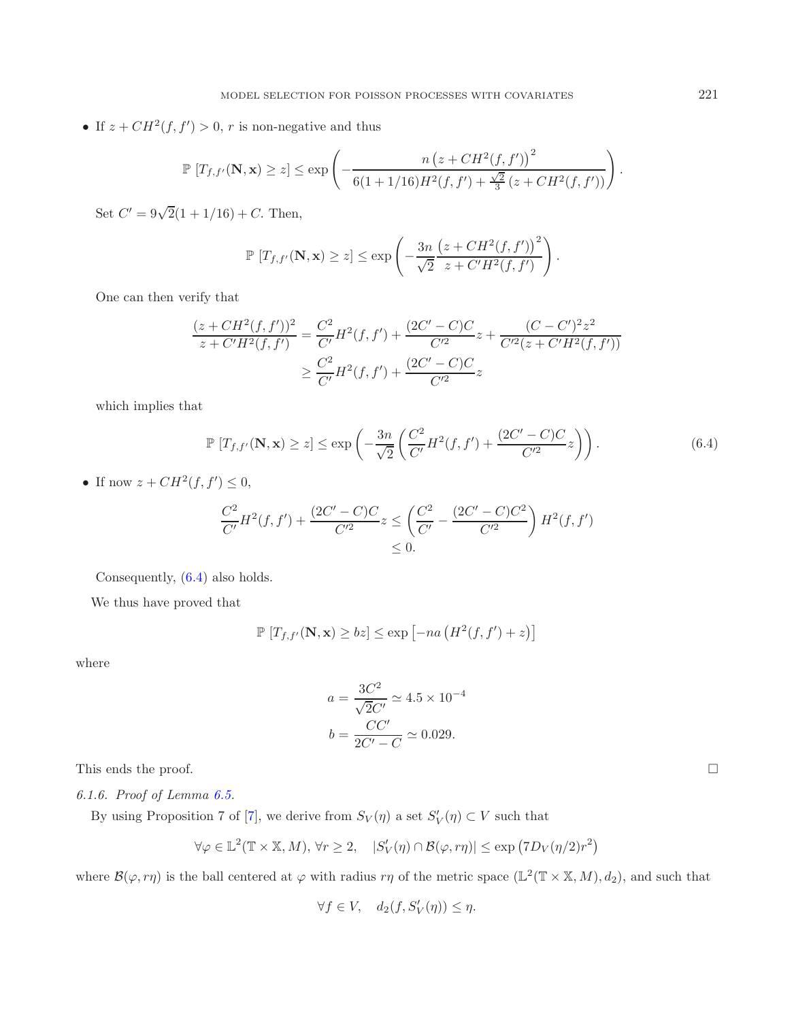• If  $z + CH^2(f, f') > 0$ , r is non-negative and thus

$$
\mathbb{P}\left[T_{f,f'}(\mathbf{N},\mathbf{x}) \geq z\right] \leq \exp\left(-\frac{n\left(z + CH^2(f,f')\right)^2}{6(1 + 1/16)H^2(f,f') + \frac{\sqrt{2}}{3}\left(z + CH^2(f,f')\right)}\right).
$$

Set  $C' = 9\sqrt{2}(1 + 1/16) + C$ . Then,

$$
\mathbb{P}\left[T_{f,f'}(\mathbf{N},\mathbf{x})\geq z\right]\leq \exp\left(-\frac{3n}{\sqrt{2}}\frac{\left(z+CH^2(f,f')\right)^2}{z+C'H^2(f,f')}\right).
$$

One can then verify that

$$
\frac{(z + CH^2(f, f'))^2}{z + C'H^2(f, f')} = \frac{C^2}{C'}H^2(f, f') + \frac{(2C' - C)C}{C'^2}z + \frac{(C - C')^2 z^2}{C'^2(z + C'H^2(f, f'))}
$$

$$
\geq \frac{C^2}{C'}H^2(f, f') + \frac{(2C' - C)C}{C'^2}z
$$

<span id="page-17-1"></span>which implies that

$$
\mathbb{P}\left[T_{f,f'}(\mathbf{N},\mathbf{x})\geq z\right] \leq \exp\left(-\frac{3n}{\sqrt{2}}\left(\frac{C^2}{C'}H^2(f,f')+\frac{(2C'-C)C}{C'^2}z\right)\right). \tag{6.4}
$$

• If now  $z + CH^2(f, f') \leq 0$ ,

$$
\frac{C^2}{C'}H^2(f, f') + \frac{(2C' - C)C}{C'^2} z \le \left(\frac{C^2}{C'} - \frac{(2C' - C)C^2}{C'^2}\right)H^2(f, f')\le 0.
$$

Consequently, [\(6.4\)](#page-17-1) also holds.

We thus have proved that

$$
\mathbb{P}\left[T_{f,f'}(\mathbf{N},\mathbf{x}) \geq bz\right] \leq \exp\left[-na\left(H^2(f,f') + z\right)\right]
$$

where

$$
a = \frac{3C^2}{\sqrt{2}C'} \approx 4.5 \times 10^{-4}
$$

$$
b = \frac{CC'}{2C' - C} \approx 0.029.
$$

<span id="page-17-0"></span>This ends the proof.

*6.1.6. Proof of Lemma [6.5.](#page-13-3)*

By using Proposition 7 of [\[7\]](#page-31-7), we derive from  $S_V(\eta)$  a set  $S'_V(\eta) \subset V$  such that

$$
\forall \varphi \in \mathbb{L}^{2}(\mathbb{T} \times \mathbb{X}, M), \forall r \geq 2, \quad |S'_{V}(\eta) \cap \mathcal{B}(\varphi, r\eta)| \leq \exp\left(7D_{V}(\eta/2)r^{2}\right)
$$

where  $\mathcal{B}(\varphi, r\eta)$  is the ball centered at  $\varphi$  with radius  $r\eta$  of the metric space  $(\mathbb{L}^2(\mathbb{T} \times \mathbb{X}, M), d_2)$ , and such that

 $\forall f \in V, \quad d_2(f, S'_V(\eta)) \leq \eta.$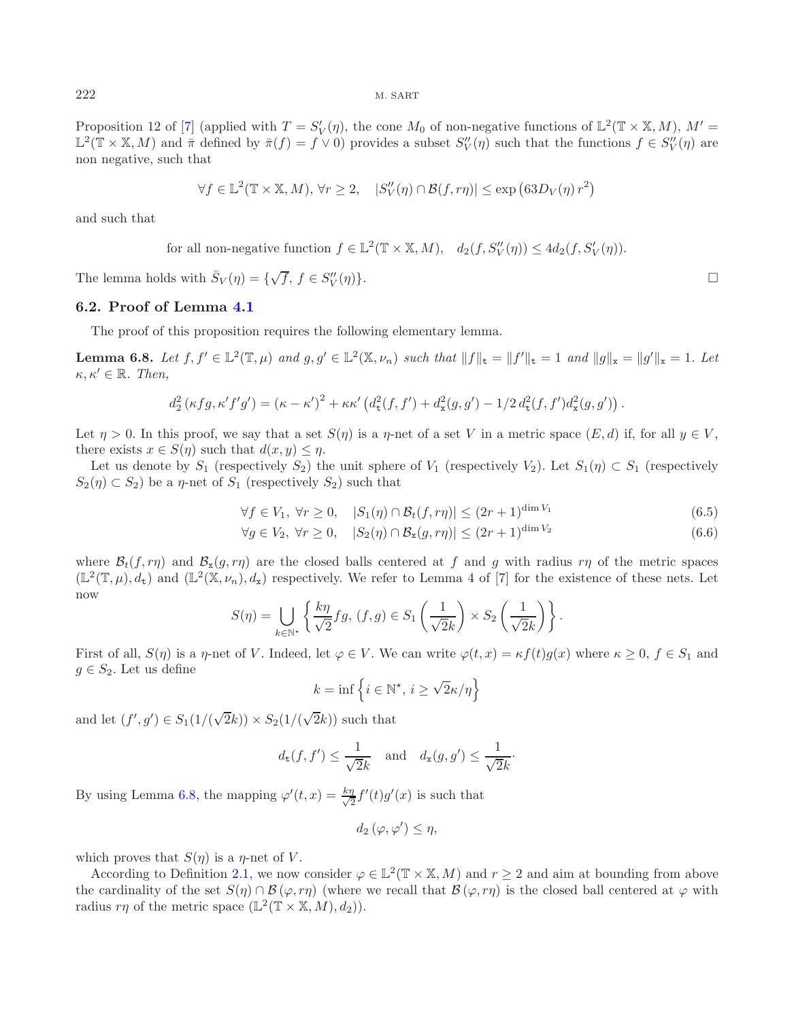Proposition 12 of [\[7](#page-31-7)] (applied with  $T = S_V'(\eta)$ , the cone  $M_0$  of non-negative functions of  $\mathbb{L}^2(\mathbb{T} \times \mathbb{X}, M)$ ,  $M' =$  $\mathbb{L}^2(\mathbb{T} \times \mathbb{X}, M)$  and  $\bar{\pi}$  defined by  $\bar{\pi}(f) = f \vee 0$  provides a subset  $S_V''(\eta)$  such that the functions  $f \in S_V''(\eta)$  are non negative, such that

<span id="page-18-0"></span>
$$
\forall f \in \mathbb{L}^2(\mathbb{T} \times \mathbb{X}, M), \forall r \ge 2, \quad |S_V''(\eta) \cap \mathcal{B}(f, r\eta)| \le \exp\left(63D_V(\eta) r^2\right)
$$

and such that

for all non-negative function  $f \in \mathbb{L}^2(\mathbb{T} \times \mathbb{X}, M)$ ,  $d_2(f, S_V''(\eta)) \leq 4d_2(f, S_V'(\eta))$ .

The lemma holds with  $\bar{S}_V(\eta) = \{\sqrt{f}, f \in S_V''\}$  $\bigcup_{V} \{\eta\}$ .

#### **6.2. Proof of Lemma [4.1](#page-5-3)**

The proof of this proposition requires the following elementary lemma.

**Lemma 6.8.** Let  $f, f' \in \mathbb{L}^2(\mathbb{T}, \mu)$  and  $g, g' \in \mathbb{L}^2(\mathbb{X}, \nu_n)$  such that  $||f||_{\mathbf{t}} = ||f'||_{\mathbf{t}} = 1$  and  $||g||_{\mathbf{x}} = ||g'||_{\mathbf{x}} = 1$ . Let  $\kappa, \kappa' \in \mathbb{R}$ *. Then,* 

$$
d_2^2(\kappa fg, \kappa' f'g') = (\kappa - \kappa')^2 + \kappa \kappa' \left( d_{\rm t}^2(f, f') + d_{\rm x}^2(g, g') - 1/2 d_{\rm t}^2(f, f') d_{\rm x}^2(g, g') \right).
$$

Let  $\eta > 0$ . In this proof, we say that a set  $S(\eta)$  is a  $\eta$ -net of a set V in a metric space  $(E, d)$  if, for all  $y \in V$ , there exists  $x \in S(\eta)$  such that  $d(x, y) \leq \eta$ .

<span id="page-18-1"></span>Let us denote by  $S_1$  (respectively  $S_2$ ) the unit sphere of  $V_1$  (respectively  $V_2$ ). Let  $S_1(\eta) \subset S_1$  (respectively  $S_2(\eta) \subset S_2$ ) be a  $\eta$ -net of  $S_1$  (respectively  $S_2$ ) such that

$$
\forall f \in V_1, \ \forall r \ge 0, \quad |S_1(\eta) \cap \mathcal{B}_t(f, r\eta)| \le (2r+1)^{\dim V_1} \tag{6.5}
$$

$$
\forall g \in V_2, \ \forall r \ge 0, \quad |S_2(\eta) \cap \mathcal{B}_x(g, r\eta)| \le (2r+1)^{\dim V_2} \tag{6.6}
$$

where  $\mathcal{B}_t(f, r\eta)$  and  $\mathcal{B}_x(g, r\eta)$  are the closed balls centered at f and g with radius  $r\eta$  of the metric spaces  $(\mathbb{L}^2(\mathbb{T}, \mu), d_t)$  and  $(\mathbb{L}^2(\mathbb{X}, \nu_n), d_x)$  respectively. We refer to Lemma 4 of [\[7](#page-31-7)] for the existence of these nets. Let now

$$
S(\eta) = \bigcup_{k \in \mathbb{N}^*} \left\{ \frac{k\eta}{\sqrt{2}} fg, \, (f, g) \in S_1\left(\frac{1}{\sqrt{2}k}\right) \times S_2\left(\frac{1}{\sqrt{2}k}\right) \right\}.
$$

First of all,  $S(\eta)$  is a  $\eta$ -net of V. Indeed, let  $\varphi \in V$ . We can write  $\varphi(t, x) = \kappa f(t)g(x)$  where  $\kappa \geq 0, f \in S_1$  and  $g \in S_2$ . Let us define

$$
k = \inf \left\{ i \in \mathbb{N}^*, \, i \ge \sqrt{2\kappa}/\eta \right\}
$$

and let  $(f', g') \in S_1(1/(\sqrt{2}k)) \times S_2(1/(\sqrt{2}k))$  such that

$$
d_{\mathbf{t}}(f, f') \leq \frac{1}{\sqrt{2k}}
$$
 and  $d_{\mathbf{x}}(g, g') \leq \frac{1}{\sqrt{2k}}$ .

By using Lemma [6.8,](#page-18-0) the mapping  $\varphi'(t,x) = \frac{k\eta}{\sqrt{2}} f'(t)g'(x)$  is such that

 $d_2(\varphi, \varphi') \leq \eta,$ 

which proves that  $S(\eta)$  is a  $\eta$ -net of V.

According to Definition [2.1,](#page-2-0) we now consider  $\varphi \in L^2(\mathbb{T} \times \mathbb{X}, M)$  and  $r \geq 2$  and aim at bounding from above the cardinality of the set  $S(\eta) \cap B(\varphi, r\eta)$  (where we recall that  $B(\varphi, r\eta)$  is the closed ball centered at  $\varphi$  with radius  $r\eta$  of the metric space  $(\mathbb{L}^2(\mathbb{T} \times \mathbb{X}, M), d_2)).$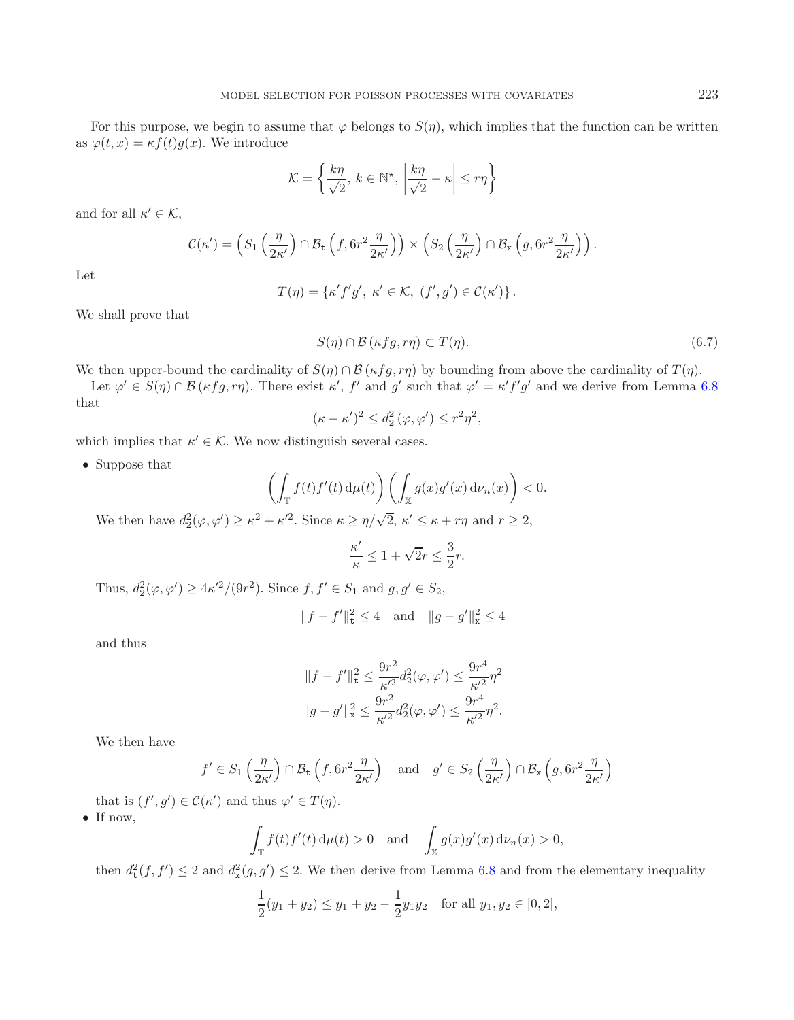For this purpose, we begin to assume that  $\varphi$  belongs to  $S(\eta)$ , which implies that the function can be written as  $\varphi(t,x) = \kappa f(t)q(x)$ . We introduce

$$
\mathcal{K} = \left\{ \frac{k\eta}{\sqrt{2}}, \, k \in \mathbb{N}^*, \, \left| \frac{k\eta}{\sqrt{2}} - \kappa \right| \le r\eta \right\}
$$

and for all  $\kappa' \in \mathcal{K}$ ,

$$
\mathcal{C}(\kappa') = \left( S_1\left(\frac{\eta}{2\kappa'}\right) \cap \mathcal{B}_{\mathsf{t}}\left(f, 6r^2 \frac{\eta}{2\kappa'}\right) \right) \times \left( S_2\left(\frac{\eta}{2\kappa'}\right) \cap \mathcal{B}_{\mathsf{x}}\left(g, 6r^2 \frac{\eta}{2\kappa'}\right) \right).
$$

Let

<span id="page-19-0"></span>
$$
T(\eta) = \{\kappa' f' g', \ \kappa' \in \mathcal{K}, \ (f', g') \in \mathcal{C}(\kappa')\}.
$$

We shall prove that

$$
S(\eta) \cap \mathcal{B}(\kappa fg, r\eta) \subset T(\eta). \tag{6.7}
$$

We then upper-bound the cardinality of  $S(\eta) \cap B(\kappa fg, r\eta)$  by bounding from above the cardinality of  $T(\eta)$ .

Let  $\varphi' \in S(\eta) \cap \mathcal{B}(\kappa f g, r\eta)$ . There exist  $\kappa'$ , f' and g' such that  $\varphi' = \kappa' f' g'$  and we derive from Lemma [6.8](#page-18-0) that

$$
(\kappa - \kappa')^2 \le d_2^2(\varphi, \varphi') \le r^2 \eta^2,
$$

which implies that  $\kappa' \in \mathcal{K}$ . We now distinguish several cases.

• Suppose that

$$
\left(\int_{\mathbb{T}} f(t)f'(t) d\mu(t)\right) \left(\int_{\mathbb{X}} g(x)g'(x) d\nu_n(x)\right) < 0.
$$

We then have  $d_2^2(\varphi, \varphi') \geq \kappa^2 + \kappa'^2$ . Since  $\kappa \geq \eta/\sqrt{2}$ ,  $\kappa' \leq \kappa + r\eta$  and  $r \geq 2$ ,

$$
\frac{\kappa'}{\kappa} \le 1 + \sqrt{2}r \le \frac{3}{2}r.
$$

Thus,  $d_2^2(\varphi, \varphi') \ge 4\kappa'^2/(9r^2)$ . Since  $f, f' \in S_1$  and  $g, g' \in S_2$ ,

$$
||f - f'||_{\mathbf{t}}^2 \le 4
$$
 and  $||g - g'||_{\mathbf{x}}^2 \le 4$ 

and thus

$$
||f - f'||_{\mathfrak{r}}^2 \leq \frac{9r^2}{\kappa'^2} d_2^2(\varphi, \varphi') \leq \frac{9r^4}{\kappa'^2} \eta^2
$$
  

$$
||g - g'||_{\mathfrak{x}}^2 \leq \frac{9r^2}{\kappa'^2} d_2^2(\varphi, \varphi') \leq \frac{9r^4}{\kappa'^2} \eta^2.
$$

We then have

$$
f' \in S_1\left(\frac{\eta}{2\kappa'}\right) \cap \mathcal{B}_{\mathsf{t}}\left(f, 6r^2 \frac{\eta}{2\kappa'}\right) \quad \text{and} \quad g' \in S_2\left(\frac{\eta}{2\kappa'}\right) \cap \mathcal{B}_{\mathsf{x}}\left(g, 6r^2 \frac{\eta}{2\kappa'}\right)
$$

that is  $(f', g') \in \mathcal{C}(\kappa')$  and thus  $\varphi' \in T(\eta)$ .

• If now,

$$
\int_{\mathbb{T}} f(t) f'(t) d\mu(t) > 0 \quad \text{and} \quad \int_{\mathbb{X}} g(x) g'(x) d\nu_n(x) > 0,
$$

then  $d_{\tau}^2(f, f') \leq 2$  and  $d_{\tau}^2(g, g') \leq 2$ . We then derive from Lemma [6.8](#page-18-0) and from the elementary inequality

$$
\frac{1}{2}(y_1 + y_2) \le y_1 + y_2 - \frac{1}{2}y_1y_2 \quad \text{for all } y_1, y_2 \in [0, 2],
$$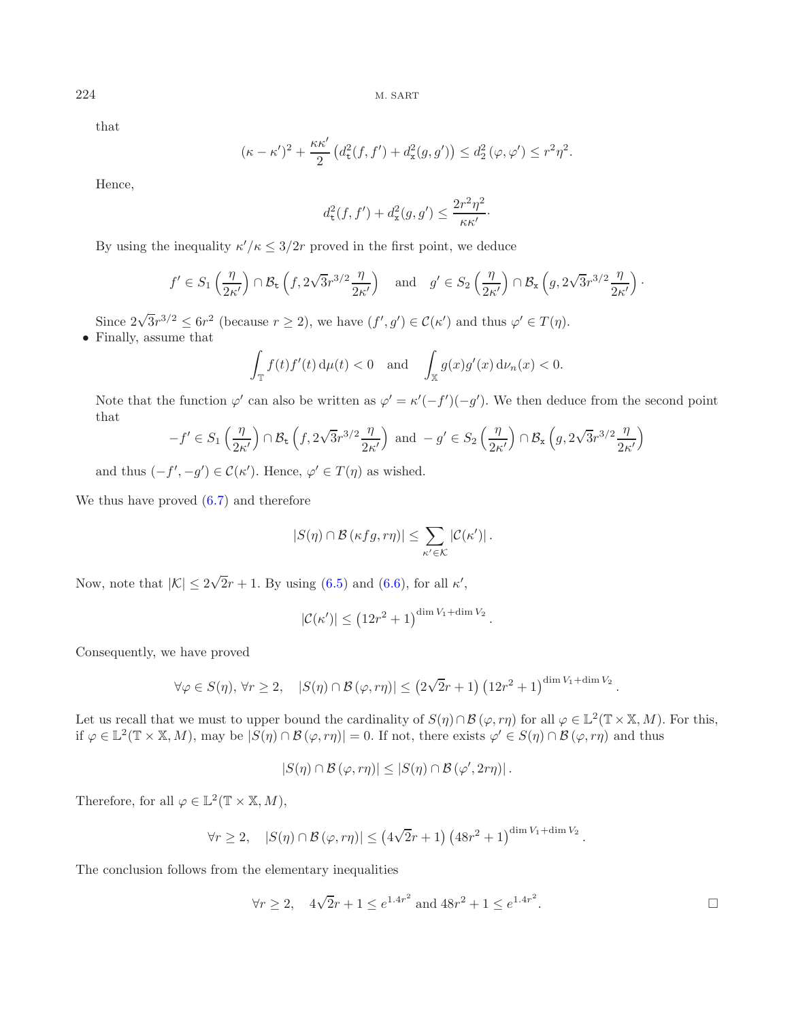that

$$
(\kappa - \kappa')^2 + \frac{\kappa \kappa'}{2} \left( d_\mathsf{t}^2(f, f') + d_\mathsf{x}^2(g, g') \right) \leq d_2^2 \left( \varphi, \varphi' \right) \leq r^2 \eta^2.
$$

Hence,

$$
d_{\texttt{t}}^2(f,f') + d_{\texttt{x}}^2(g,g') \leq \frac{2r^2\eta^2}{\kappa\kappa'}\cdotp
$$

By using the inequality  $\kappa'/\kappa \leq 3/2r$  proved in the first point, we deduce

$$
f' \in S_1\left(\frac{\eta}{2\kappa'}\right) \cap \mathcal{B}_{\mathsf{t}}\left(f, 2\sqrt{3}r^{3/2}\frac{\eta}{2\kappa'}\right) \quad \text{and} \quad g' \in S_2\left(\frac{\eta}{2\kappa'}\right) \cap \mathcal{B}_{\mathsf{x}}\left(g, 2\sqrt{3}r^{3/2}\frac{\eta}{2\kappa'}\right).
$$

Since  $2\sqrt{3}r^{3/2} \leq 6r^2$  (because  $r \geq 2$ ), we have  $(f', g') \in \mathcal{C}(\kappa')$  and thus  $\varphi' \in T(\eta)$ . • Finally, assume that

$$
\int_{\mathbb{T}} f(t) f'(t) d\mu(t) < 0 \quad \text{and} \quad \int_{\mathbb{X}} g(x) g'(x) d\nu_n(x) < 0.
$$

Note that the function  $\varphi'$  can also be written as  $\varphi' = \kappa'(-f')(-g')$ . We then deduce from the second point that

$$
-f' \in S_1\left(\frac{\eta}{2\kappa'}\right) \cap \mathcal{B}_{\mathsf{t}}\left(f, 2\sqrt{3}r^{3/2}\frac{\eta}{2\kappa'}\right) \text{ and } -g' \in S_2\left(\frac{\eta}{2\kappa'}\right) \cap \mathcal{B}_{\mathsf{x}}\left(g, 2\sqrt{3}r^{3/2}\frac{\eta}{2\kappa'}\right)
$$

and thus  $(-f', -g') \in \mathcal{C}(\kappa')$ . Hence,  $\varphi' \in T(\eta)$  as wished.

We thus have proved  $(6.7)$  and therefore

$$
|S(\eta) \cap \mathcal{B}(\kappa fg, r\eta)| \leq \sum_{\kappa' \in \mathcal{K}} |\mathcal{C}(\kappa')|.
$$

Now, note that  $|\mathcal{K}| \leq 2$ √  $2r + 1$ . By using [\(6.5\)](#page-18-1) and [\(6.6\)](#page-18-1), for all  $\kappa'$ ,

$$
|\mathcal{C}(\kappa')| \le (12r^2 + 1)^{\dim V_1 + \dim V_2}.
$$

Consequently, we have proved

$$
\forall \varphi \in S(\eta), \forall r \geq 2, \quad |S(\eta) \cap \mathcal{B}(\varphi, r\eta)| \leq (2\sqrt{2}r+1) (12r^2+1)^{\dim V_1 + \dim V_2}.
$$

Let us recall that we must to upper bound the cardinality of  $S(\eta) \cap \mathcal{B}(\varphi, r\eta)$  for all  $\varphi \in \mathbb{L}^2(\mathbb{T} \times \mathbb{X}, M)$ . For this, if  $\varphi \in \mathbb{L}^2(\mathbb{T} \times \mathbb{X}, M)$ , may be  $|S(\eta) \cap \mathcal{B}(\varphi, r\eta)| = 0$ . If not, there exists  $\varphi' \in S(\eta) \cap \mathcal{B}(\varphi, r\eta)$  and thus

$$
|S(\eta) \cap \mathcal{B}(\varphi, r\eta)| \leq |S(\eta) \cap \mathcal{B}(\varphi', 2r\eta)|.
$$

Therefore, for all  $\varphi \in \mathbb{L}^2(\mathbb{T} \times \mathbb{X}, M)$ ,

$$
\forall r \geq 2, \quad |S(\eta) \cap \mathcal{B}(\varphi, r\eta)| \leq (4\sqrt{2}r+1) (48r^2+1)^{\dim V_1 + \dim V_2}.
$$

The conclusion follows from the elementary inequalities

$$
\forall r \ge 2
$$
,  $4\sqrt{2}r + 1 \le e^{1.4r^2}$  and  $48r^2 + 1 \le e^{1.4r^2}$ .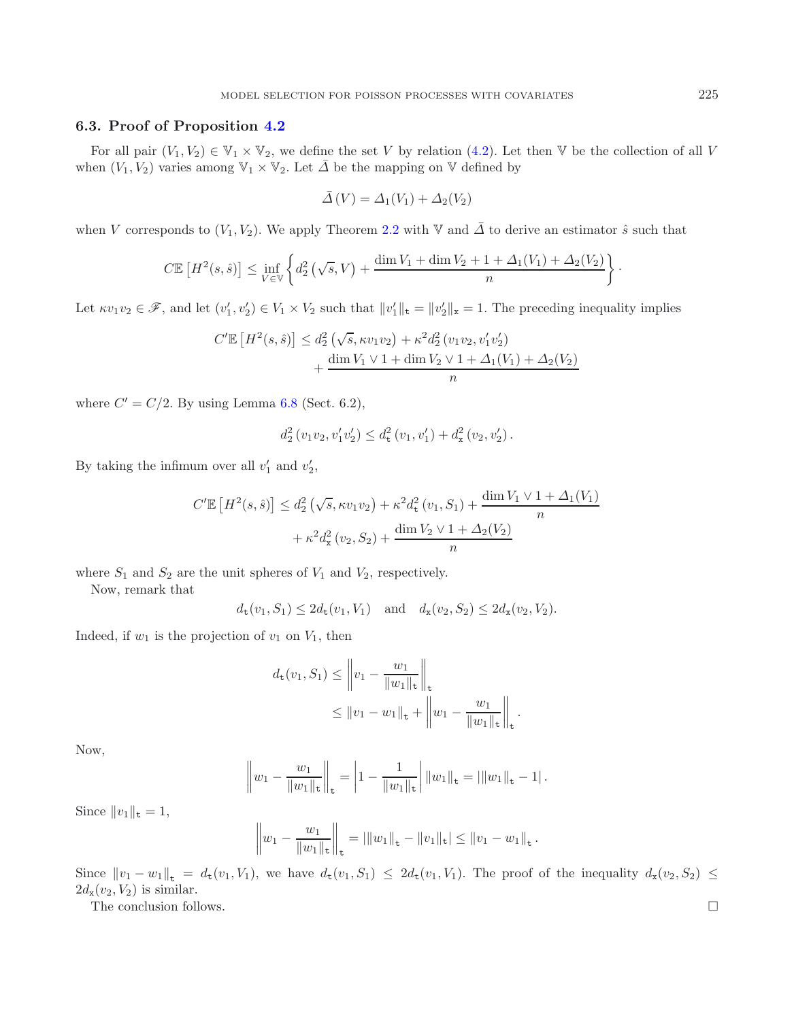## **6.3. Proof of Proposition [4.2](#page-5-2)**

For all pair  $(V_1, V_2) \in V_1 \times V_2$ , we define the set V by relation [\(4.2\)](#page-5-0). Let then V be the collection of all V when  $(V_1, V_2)$  varies among  $\mathbb{V}_1 \times \mathbb{V}_2$ . Let  $\overline{\Delta}$  be the mapping on  $\mathbb {V}$  defined by

$$
\overline{\Delta}(V) = \Delta_1(V_1) + \Delta_2(V_2)
$$

when V corresponds to  $(V_1, V_2)$ . We apply Theorem [2.2](#page-3-1) with V and  $\overline{\Delta}$  to derive an estimator  $\hat{s}$  such that

$$
C\mathbb{E}\left[H^2(s,\hat{s})\right] \leq \inf_{V \in \mathbb{V}} \left\{ d_2^2\left(\sqrt{s},V\right) + \frac{\dim V_1 + \dim V_2 + 1 + \Delta_1(V_1) + \Delta_2(V_2)}{n} \right\}.
$$

Let  $\kappa v_1v_2 \in \mathscr{F}$ , and let  $(v'_1, v'_2) \in V_1 \times V_2$  such that  $||v'_1||_t = ||v'_2||_x = 1$ . The preceding inequality implies

$$
C'\mathbb{E}\left[H^2(s,\hat{s})\right] \le d_2^2\left(\sqrt{s}, \kappa v_1 v_2\right) + \kappa^2 d_2^2\left(v_1 v_2, v_1' v_2'\right) + \frac{\dim V_1 \vee 1 + \dim V_2 \vee 1 + \Delta_1(V_1) + \Delta_2(V_2)}{n}
$$

where  $C' = C/2$ . By using Lemma [6.8](#page-18-0) (Sect. 6.2),

$$
d_2^2(v_1v_2, v'_1v'_2) \le d_{\mathbf{t}}^2(v_1, v'_1) + d_{\mathbf{x}}^2(v_2, v'_2).
$$

By taking the infimum over all  $v'_1$  and  $v'_2$ ,

$$
C'\mathbb{E}\left[H^2(s,\hat{s})\right] \le d_2^2\left(\sqrt{s}, \kappa v_1 v_2\right) + \kappa^2 d_\text{t}^2(v_1, S_1) + \frac{\dim V_1 \vee 1 + \Delta_1(V_1)}{n} + \kappa^2 d_\text{x}^2(v_2, S_2) + \frac{\dim V_2 \vee 1 + \Delta_2(V_2)}{n}
$$

where  $S_1$  and  $S_2$  are the unit spheres of  $V_1$  and  $V_2$ , respectively.

Now, remark that

$$
d_{\mathbf{t}}(v_1, S_1) \leq 2d_{\mathbf{t}}(v_1, V_1)
$$
 and  $d_{\mathbf{x}}(v_2, S_2) \leq 2d_{\mathbf{x}}(v_2, V_2)$ .

Indeed, if  $w_1$  is the projection of  $v_1$  on  $V_1$ , then

$$
d_{\mathbf{t}}(v_1, S_1) \leq \left\| v_1 - \frac{w_1}{\|w_1\|_{\mathbf{t}}} \right\|_{\mathbf{t}} \leq \|v_1 - w_1\|_{\mathbf{t}} + \left\| w_1 - \frac{w_1}{\|w_1\|_{\mathbf{t}}} \right\|_{\mathbf{t}}.
$$

Now,

$$
\left\|w_1 - \frac{w_1}{\|w_1\|_{\mathbf{t}}}\right\|_{\mathbf{t}} = \left|1 - \frac{1}{\|w_1\|_{\mathbf{t}}}\right| \|w_1\|_{\mathbf{t}} = |\|w_1\|_{\mathbf{t}} - 1|.
$$

Since  $||v_1||_{\mathtt{t}} = 1$ ,

$$
\left\| w_1 - \frac{w_1}{\|w_1\|_{\mathbf{t}}} \right\|_{\mathbf{t}} = \left| \|w_1\|_{\mathbf{t}} - \|v_1\|_{\mathbf{t}} \right| \leq \|v_1 - w_1\|_{\mathbf{t}}.
$$

Since  $||v_1 - w_1||_t = d_t(v_1, V_1)$ , we have  $d_t(v_1, S_1) \leq 2d_t(v_1, V_1)$ . The proof of the inequality  $d_x(v_2, S_2) \leq$  $2d_{\mathbf{x}}(v_2, V_2)$  is similar.

The conclusion follows.  $\Box$ 

$$
^{225}
$$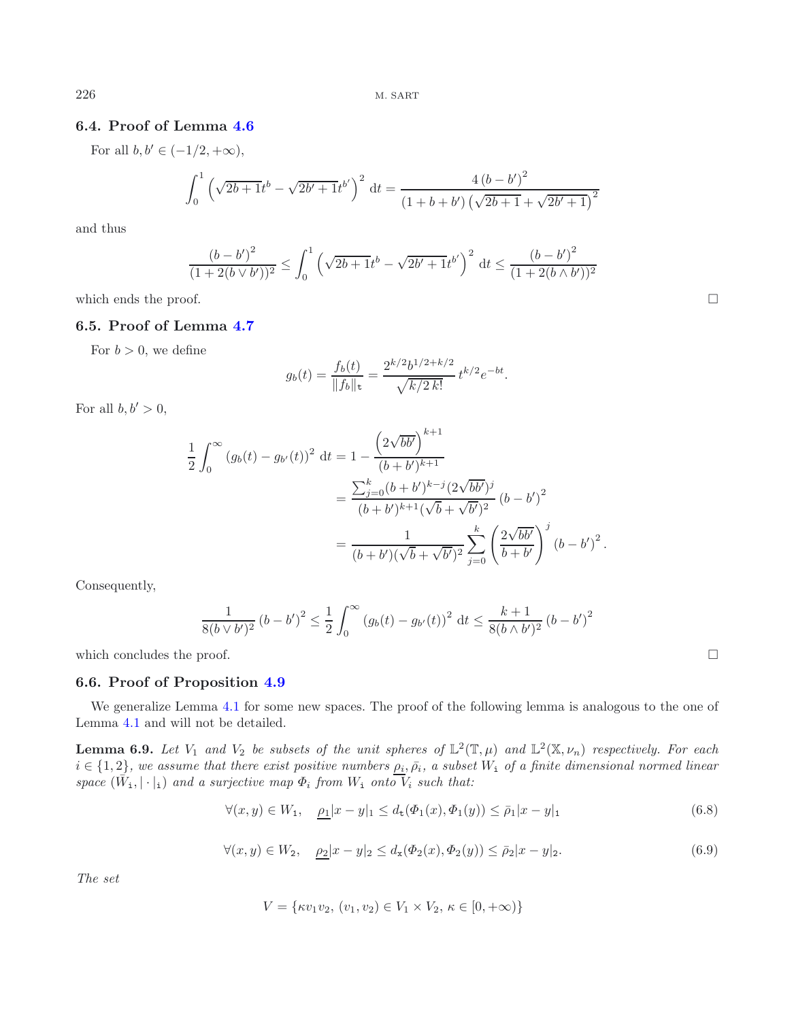# **6.4. Proof of Lemma [4.6](#page-7-4)**

For all  $b, b' \in (-1/2, +\infty)$ ,

$$
\int_0^1 \left(\sqrt{2b+1}t^b - \sqrt{2b'+1}t^{b'}\right)^2 dt = \frac{4(b-b')^2}{(1+b+b')\left(\sqrt{2b+1} + \sqrt{2b'+1}\right)^2}
$$

and thus

$$
\frac{(b-b')^{2}}{(1+2(b\vee b'))^{2}} \leq \int_{0}^{1} \left(\sqrt{2b+1}t^{b} - \sqrt{2b'+1}t^{b'}\right)^{2} dt \leq \frac{(b-b')^{2}}{(1+2(b\wedge b'))^{2}}
$$

which ends the proof.

## **6.5. Proof of Lemma [4.7](#page-7-5)**

For  $b > 0$ , we define

$$
g_b(t) = \frac{f_b(t)}{\|f_b\|_{\mathsf{t}}} = \frac{2^{k/2}b^{1/2 + k/2}}{\sqrt{k/2 k!}} t^{k/2} e^{-bt}.
$$

For all  $b, b' > 0$ ,

$$
\frac{1}{2} \int_0^\infty (g_b(t) - g_{b'}(t))^2 dt = 1 - \frac{\left(2\sqrt{bb'}\right)^{k+1}}{(b+b')^{k+1}} \n= \frac{\sum_{j=0}^k (b+b')^{k-j} (2\sqrt{bb'})^j}{(b+b')^{k+1} (\sqrt{b} + \sqrt{b'})^2} (b-b')^2 \n= \frac{1}{(b+b')(\sqrt{b} + \sqrt{b'})^2} \sum_{j=0}^k \left(\frac{2\sqrt{bb'}}{b+b'}\right)^j (b-b')^2.
$$

Consequently,

$$
\frac{1}{8(b \vee b')^{2}} (b - b')^{2} \le \frac{1}{2} \int_{0}^{\infty} (g_{b}(t) - g_{b'}(t))^{2} dt \le \frac{k + 1}{8(b \wedge b')^{2}} (b - b')^{2}
$$

which concludes the proof.

## **6.6. Proof of Proposition [4.9](#page-8-0)**

<span id="page-22-2"></span>We generalize Lemma [4.1](#page-5-3) for some new spaces. The proof of the following lemma is analogous to the one of Lemma [4.1](#page-5-3) and will not be detailed.

<span id="page-22-0"></span>**Lemma 6.9.** *Let*  $V_1$  *and*  $V_2$  *be subsets of the unit spheres of*  $\mathbb{L}^2(\mathbb{T}, \mu)$  *and*  $\mathbb{L}^2(\mathbb{X}, \nu_n)$  *respectively. For each*  $i \in \{1,2\}$ , we assume that there exist positive numbers  $\rho_i, \bar{\rho}_i$ , a subset  $W_i$  of a finite dimensional normed linear *space*  $(\tilde{W}_1, |\cdot|_1)$  *and a surjective map*  $\Phi_i$  *from*  $W_1$  *onto*  $\overline{V}_i$  *such that:* 

$$
\forall (x, y) \in W_1, \quad \underline{\rho_1}|x - y|_1 \le d_\mathsf{t}(\Phi_1(x), \Phi_1(y)) \le \bar{\rho}_1|x - y|_1 \tag{6.8}
$$

$$
\forall (x, y) \in W_2, \quad \underline{\rho_2}|x - y|_2 \le d_x(\Phi_2(x), \Phi_2(y)) \le \bar{\rho}_2|x - y|_2. \tag{6.9}
$$

<span id="page-22-1"></span>*The set*

$$
V = \{ \kappa v_1 v_2, (v_1, v_2) \in V_1 \times V_2, \, \kappa \in [0, +\infty) \}
$$

 $\Box$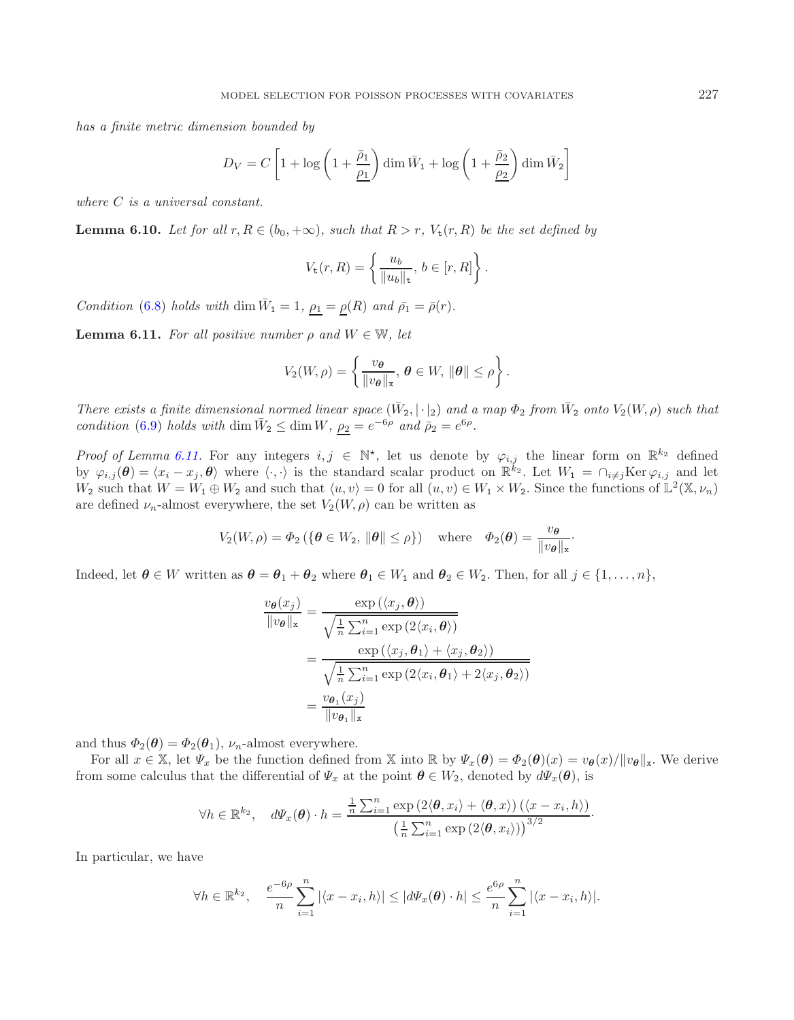*has a finite metric dimension bounded by*

$$
D_V = C \left[ 1 + \log \left( 1 + \frac{\bar{\rho}_1}{\underline{\rho_1}} \right) \dim \bar{W}_1 + \log \left( 1 + \frac{\bar{\rho}_2}{\underline{\rho_2}} \right) \dim \bar{W}_2 \right]
$$

*where* C *is a universal constant.*

**Lemma 6.10.** *Let for all*  $r, R \in (b_0, +\infty)$ *, such that*  $R > r$ *,*  $V_t(r, R)$  *be the set defined by* 

$$
V_{\mathsf{t}}(r,R) = \left\{ \frac{u_b}{\|u_b\|_{\mathsf{t}}}, \, b \in [r,R] \right\}.
$$

*Condition* [\(6.8\)](#page-22-0) *holds with* dim  $\bar{W}_1 = 1$ ,  $\rho_1 = \rho(R)$  *and*  $\bar{\rho_1} = \bar{\rho}(r)$ *.* 

<span id="page-23-0"></span>**Lemma 6.11.** *For all positive number*  $\rho$  *and*  $W \in \mathbb{W}$ *, let* 

$$
V_2(W,\rho)=\left\{\frac{v_{\boldsymbol{\theta}}}{\|\boldsymbol{v}_{\boldsymbol{\theta}}\|_{\mathbf{x}}},\,\boldsymbol{\theta}\in W,\,\|\boldsymbol{\theta}\|\leq\rho\right\}.
$$

*There exists a finite dimensional normed linear space*  $(\bar{W}_2, |\cdot|_2)$  *and a map*  $\Phi_2$  *from*  $\bar{W}_2$  *onto*  $V_2(W, \rho)$  *such that condition* [\(6.9\)](#page-22-1) *holds with* dim  $\bar{W}_2 \leq \dim W$ ,  $\rho_2 = e^{-6\rho}$  *and*  $\bar{\rho}_2 = e^{6\rho}$ .

*Proof of Lemma [6.11.](#page-23-0)* For any integers  $i, j \in \mathbb{N}^*$ , let us denote by  $\varphi_{i,j}$  the linear form on  $\mathbb{R}^{k_2}$  defined by  $\varphi_{i,j}(\theta) = \langle x_i - x_j, \theta \rangle$  where  $\langle \cdot, \cdot \rangle$  is the standard scalar product on  $\mathbb{R}^{\tilde{k}_2}$ . Let  $W_1 = \bigcap_{i \neq j} \text{Ker}\, \varphi_{i,j}$  and let  $W_2$  such that  $W = W_1 \oplus W_2$  and such that  $\langle u, v \rangle = 0$  for all  $(u, v) \in W_1 \times W_2$ . Since the functions of  $\mathbb{L}^2(\mathbb{X}, \nu_n)$ are defined  $\nu_n$ -almost everywhere, the set  $V_2(W, \rho)$  can be written as

$$
V_2(W, \rho) = \Phi_2 \left( \{ \boldsymbol{\theta} \in W_2, \, \|\boldsymbol{\theta}\| \le \rho \} \right) \quad \text{where} \quad \Phi_2(\boldsymbol{\theta}) = \frac{v_{\boldsymbol{\theta}}}{\|v_{\boldsymbol{\theta}}\|_{\mathbf{x}}}.
$$

Indeed, let  $\theta \in W$  written as  $\theta = \theta_1 + \theta_2$  where  $\theta_1 \in W_1$  and  $\theta_2 \in W_2$ . Then, for all  $j \in \{1, \ldots, n\}$ ,

$$
\frac{v_{\theta}(x_j)}{\|v_{\theta}\|_{\mathbf{x}}} = \frac{\exp\left(\langle x_j, \theta \rangle\right)}{\sqrt{\frac{1}{n} \sum_{i=1}^n \exp\left(2\langle x_i, \theta \rangle\right)}}
$$
\n
$$
= \frac{\exp\left(\langle x_j, \theta_1 \rangle + \langle x_j, \theta_2 \rangle\right)}{\sqrt{\frac{1}{n} \sum_{i=1}^n \exp\left(2\langle x_i, \theta_1 \rangle + 2\langle x_j, \theta_2 \rangle\right)}}
$$
\n
$$
= \frac{v_{\theta_1}(x_j)}{\|v_{\theta_1}\|_{\mathbf{x}}}
$$

and thus  $\Phi_2(\theta) = \Phi_2(\theta_1)$ ,  $\nu_n$ -almost everywhere.

For all  $x \in \mathbb{X}$ , let  $\Psi_x$  be the function defined from X into R by  $\Psi_x(\theta) = \Phi_2(\theta)(x) = v_\theta(x)/\|v_\theta\|_x$ . We derive from some calculus that the differential of  $\Psi_x$  at the point  $\theta \in W_2$ , denoted by  $d\Psi_x(\theta)$ , is

$$
\forall h \in \mathbb{R}^{k_2}, \quad d\Psi_x(\boldsymbol{\theta}) \cdot h = \frac{\frac{1}{n} \sum_{i=1}^n \exp\left(2 \langle \boldsymbol{\theta}, x_i \rangle + \langle \boldsymbol{\theta}, x \rangle\right) \left(\langle x - x_i, h \rangle\right)}{\left(\frac{1}{n} \sum_{i=1}^n \exp\left(2 \langle \boldsymbol{\theta}, x_i \rangle\right)\right)^{3/2}}.
$$

In particular, we have

$$
\forall h \in \mathbb{R}^{k_2}, \quad \frac{e^{-6\rho}}{n} \sum_{i=1}^n |\langle x - x_i, h \rangle| \le |d\Psi_x(\boldsymbol{\theta}) \cdot h| \le \frac{e^{6\rho}}{n} \sum_{i=1}^n |\langle x - x_i, h \rangle|.
$$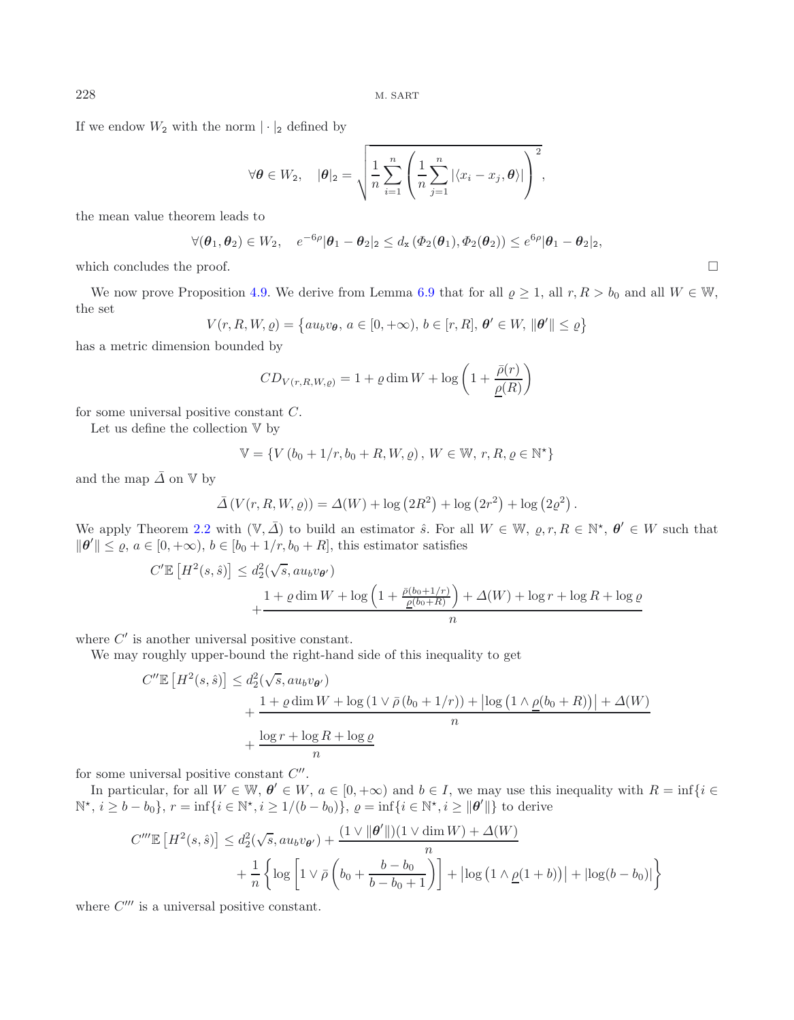If we endow  $W_2$  with the norm  $|\cdot|_2$  defined by

$$
\forall \theta \in W_2, \quad |\theta|_2 = \sqrt{\frac{1}{n} \sum_{i=1}^n \left( \frac{1}{n} \sum_{j=1}^n |\langle x_i - x_j, \theta \rangle| \right)^2},
$$

the mean value theorem leads to

$$
\forall (\boldsymbol{\theta}_1, \boldsymbol{\theta}_2) \in W_2, \quad e^{-6\rho} |\boldsymbol{\theta}_1 - \boldsymbol{\theta}_2|_2 \le d_{\mathbf{x}} (\Phi_2(\boldsymbol{\theta}_1), \Phi_2(\boldsymbol{\theta}_2)) \le e^{6\rho} |\boldsymbol{\theta}_1 - \boldsymbol{\theta}_2|_2,
$$

which concludes the proof.

We now prove Proposition [4.9.](#page-8-0) We derive from Lemma [6.9](#page-22-2) that for all  $\rho \geq 1$ , all  $r, R > b_0$  and all  $W \in W$ , the set

$$
V(r, R, W, \varrho) = \{au_b v_{\theta}, a \in [0, +\infty), b \in [r, R], \theta' \in W, \|\theta'\| \le \varrho\}
$$

has a metric dimension bounded by

$$
CD_{V(r,R,W,\varrho)} = 1 + \varrho \dim W + \log \left( 1 + \frac{\bar{\rho}(r)}{\underline{\rho}(R)} \right)
$$

for some universal positive constant C.

Let us define the collection V by

$$
\mathbb{V} = \{ V (b_0 + 1/r, b_0 + R, W, \varrho) \, , \, W \in \mathbb{W}, \, r, R, \varrho \in \mathbb{N}^* \}
$$

and the map  $\bar{\Delta}$  on  $\mathbb{V}$  by

$$
\bar{\Delta}(V(r, R, W, \varrho)) = \Delta(W) + \log(2R^{2}) + \log(2r^{2}) + \log(2\varrho^{2}).
$$

We apply Theorem [2.2](#page-3-1) with  $(\mathbb{V}, \overline{\Delta})$  to build an estimator  $\hat{s}$ . For all  $W \in \mathbb{W}$ ,  $\rho, r, R \in \mathbb{N}^*$ ,  $\theta' \in W$  such that  $\|\boldsymbol{\theta}'\| \leq \varrho, a \in [0, +\infty), b \in [b_0 + 1/r, b_0 + R]$ , this estimator satisfies

$$
C' \mathbb{E}\left[H^2(s,\hat{s})\right] \leq d_2^2(\sqrt{s}, au_b v_{\theta'})
$$
  
 
$$
+ \frac{1 + \varrho \dim W + \log\left(1 + \frac{\bar{\rho}(b_0 + 1/r)}{\underline{\rho}(b_0 + R)}\right) + \Delta(W) + \log r + \log R + \log \varrho}{n}
$$

where  $C'$  is another universal positive constant.

We may roughly upper-bound the right-hand side of this inequality to get

$$
C''\mathbb{E}\left[H^2(s,\hat{s})\right] \le d_2^2(\sqrt{s}, au_b v_{\theta'})
$$
  
+ 
$$
\frac{1+\varrho \dim W + \log(1 \vee \bar{\rho}(b_0+1/r)) + |\log(1 \wedge \underline{\rho}(b_0+R))| + \Delta(W)}{n}
$$
  
+ 
$$
\frac{\log r + \log R + \log \varrho}{n}
$$

for some universal positive constant  $C''$ .

In particular, for all  $W \in \mathbb{W}$ ,  $\theta' \in W$ ,  $a \in [0, +\infty)$  and  $b \in I$ , we may use this inequality with  $R = \inf\{i \in I\}$  $\mathbb{N}^*, i \geq b - b_0$ ,  $r = \inf\{i \in \mathbb{N}^*, i \geq 1/(b - b_0)\}, \varrho = \inf\{i \in \mathbb{N}^*, i \geq ||\theta'||\}$  to derive

$$
C''' \mathbb{E} \left[ H^2(s, \hat{s}) \right] \le d_2^2(\sqrt{s}, au_b v_{\theta'}) + \frac{(1 \vee ||\theta'||)(1 \vee \dim W) + \Delta(W)}{n}
$$

$$
+ \frac{1}{n} \left\{ \log \left[ 1 \vee \bar{\rho} \left( b_0 + \frac{b - b_0}{b - b_0 + 1} \right) \right] + |\log \left( 1 \wedge \underline{\rho}(1 + b) \right)| + |\log(b - b_0)| \right\}
$$

where  $C^{\prime\prime\prime}$  is a universal positive constant.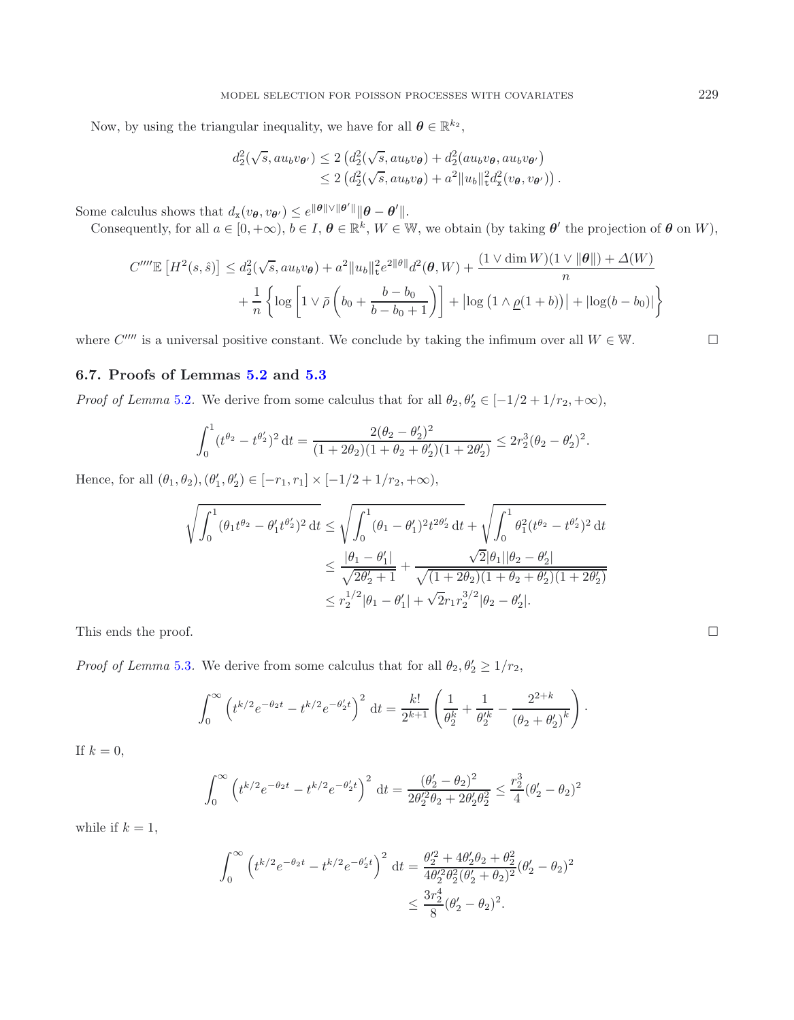Now, by using the triangular inequality, we have for all  $\boldsymbol{\theta} \in \mathbb{R}^{k_2}$ ,

$$
d_2^2(\sqrt{s}, au_b v_{\theta'}) \le 2 \left( d_2^2(\sqrt{s}, au_b v_{\theta}) + d_2^2(au_b v_{\theta}, au_b v_{\theta'}) \right)
$$
  

$$
\le 2 \left( d_2^2(\sqrt{s}, au_b v_{\theta}) + a^2 ||u_b||_t^2 d_x^2(v_{\theta}, v_{\theta'}) \right).
$$

Some calculus shows that  $d_{\mathbf{x}}(v_{\theta}, v_{\theta'}) \leq e^{\|\theta\| \vee \|\theta'\|} \|\theta - \theta'\|.$ 

Consequently, for all  $a \in [0, +\infty)$ ,  $b \in I$ ,  $\theta \in \mathbb{R}^k$ ,  $W \in W$ , we obtain (by taking  $\theta'$  the projection of  $\theta$  on  $W$ ),

$$
C''''\mathbb{E}\left[H^2(s,\hat{s})\right] \leq d_2^2(\sqrt{s}, au_b v_{\theta}) + a^2 \|u_b\|_{\mathcal{L}}^2 e^{2\|\theta\|} d^2(\theta, W) + \frac{(1 \vee \dim W)(1 \vee \|\theta\|) + \Delta(W)}{n} + \frac{1}{n} \left\{ \log \left[ 1 \vee \bar{\rho} \left( b_0 + \frac{b - b_0}{b - b_0 + 1} \right) \right] + |\log \left( 1 \wedge \underline{\rho}(1+b) \right) | + |\log(b - b_0)| \right\}
$$

where  $C''''$  is a universal positive constant. We conclude by taking the infimum over all  $W \in \mathbb{W}$ .

## **6.7. Proofs of Lemmas [5.2](#page-9-0) and [5.3](#page-9-2)**

*Proof of Lemma* [5.2](#page-9-0). We derive from some calculus that for all  $\theta_2, \theta_2' \in [-1/2+1/r_2, +\infty)$ ,

$$
\int_0^1 (t^{\theta_2} - t^{\theta'_2})^2 dt = \frac{2(\theta_2 - \theta'_2)^2}{(1 + 2\theta_2)(1 + \theta_2 + \theta'_2)(1 + 2\theta'_2)} \leq 2r_2^3(\theta_2 - \theta'_2)^2.
$$

Hence, for all  $(\theta_1, \theta_2), (\theta'_1, \theta'_2) \in [-r_1, r_1] \times [-1/2 + 1/r_2, +\infty),$ 

$$
\sqrt{\int_0^1 (\theta_1 t^{\theta_2} - \theta_1' t^{\theta_2'})^2 dt} \le \sqrt{\int_0^1 (\theta_1 - \theta_1')^2 t^{2\theta_2'} dt + \sqrt{\int_0^1 \theta_1^2 (t^{\theta_2} - t^{\theta_2'})^2 dt}}
$$
  
\n
$$
\le \frac{|\theta_1 - \theta_1'|}{\sqrt{2\theta_2' + 1}} + \frac{\sqrt{2}|\theta_1||\theta_2 - \theta_2'|}{\sqrt{(1 + 2\theta_2)(1 + \theta_2 + \theta_2')(1 + 2\theta_2')}}
$$
  
\n
$$
\le r_2^{1/2} |\theta_1 - \theta_1'| + \sqrt{2}r_1 r_2^{3/2} |\theta_2 - \theta_2'|.
$$

This ends the proof.

*Proof of Lemma* [5.3](#page-9-2). We derive from some calculus that for all  $\theta_2, \theta_2' \geq 1/r_2$ ,

$$
\int_0^\infty \left( t^{k/2} e^{-\theta_2 t} - t^{k/2} e^{-\theta_2 t} \right)^2 dt = \frac{k!}{2^{k+1}} \left( \frac{1}{\theta_2^k} + \frac{1}{\theta_2^{\prime k}} - \frac{2^{2+k}}{(\theta_2 + \theta_2^{\prime})^k} \right).
$$

If  $k = 0$ ,

$$
\int_0^\infty \left( t^{k/2} e^{-\theta_2 t} - t^{k/2} e^{-\theta_2' t} \right)^2 dt = \frac{(\theta_2' - \theta_2)^2}{2\theta_2'^2 \theta_2 + 2\theta_2' \theta_2^2} \le \frac{r_2^3}{4} (\theta_2' - \theta_2)^2
$$

while if  $k = 1$ ,

$$
\int_0^\infty \left( t^{k/2} e^{-\theta_2 t} - t^{k/2} e^{-\theta_2' t} \right)^2 dt = \frac{\theta_2'^2 + 4\theta_2' \theta_2 + \theta_2^2}{4\theta_2'^2 \theta_2^2 (\theta_2' + \theta_2)^2} (\theta_2' - \theta_2)^2
$$
  

$$
\leq \frac{3r_2^4}{8} (\theta_2' - \theta_2)^2.
$$

$$
\Box
$$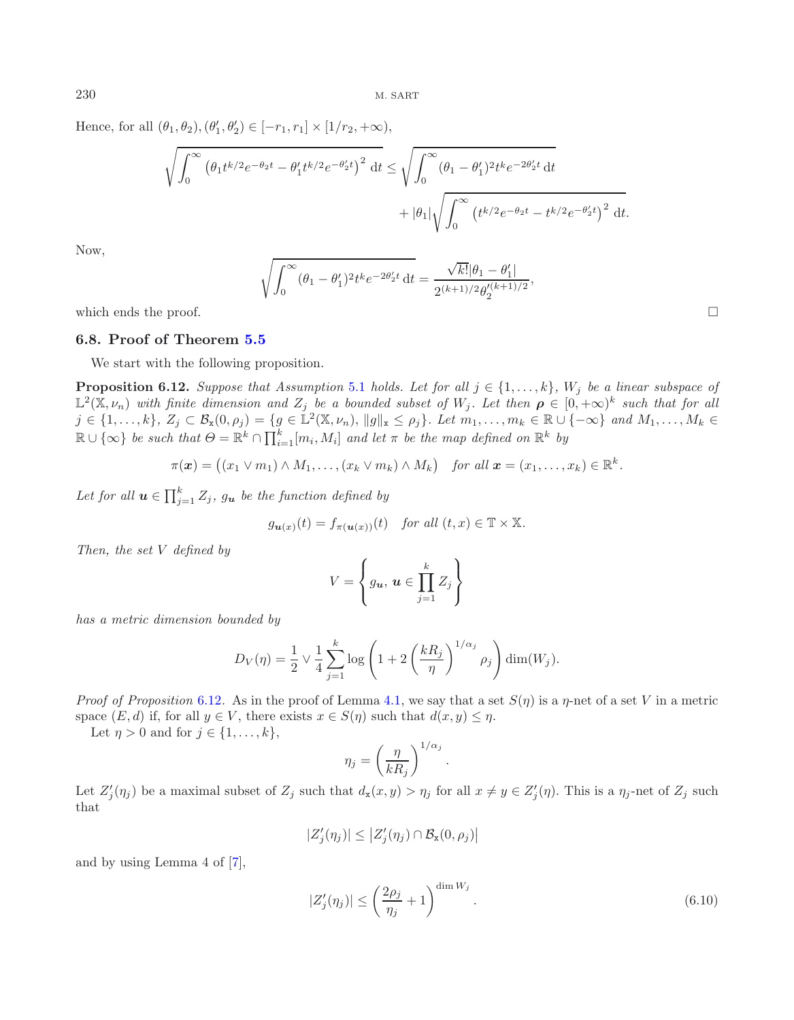Hence, for all  $(\theta_1, \theta_2), (\theta'_1, \theta'_2) \in [-r_1, r_1] \times [1/r_2, +\infty),$ 

<span id="page-26-0"></span>
$$
\sqrt{\int_0^\infty (\theta_1 t^{k/2} e^{-\theta_2 t} - \theta_1' t^{k/2} e^{-\theta_2' t})^2 dt} \le \sqrt{\int_0^\infty (\theta_1 - \theta_1')^2 t^k e^{-2\theta_2' t} dt + |\theta_1| \sqrt{\int_0^\infty (t^{k/2} e^{-\theta_2' t} - t^{k/2} e^{-\theta_2' t})^2 dt}.
$$

Now,

$$
\sqrt{\int_0^\infty (\theta_1 - \theta_1')^2 t^k e^{-2\theta_2' t} dt} = \frac{\sqrt{k!} |\theta_1 - \theta_1'|}{2^{(k+1)/2} \theta_2'^{(k+1)/2}},
$$

which ends the proof.

## **6.8. Proof of Theorem [5.5](#page-10-0)**

We start with the following proposition.

**Proposition 6.12.** *Suppose that Assumption* [5.1](#page-9-1) *holds. Let for all*  $j \in \{1, \ldots, k\}$ *, W<sub>j</sub> be a linear subspace of*  $\mathbb{L}^2(\mathbb{X}, \nu_n)$  *with finite dimension and*  $Z_j$  *be a bounded subset of*  $W_j$ *. Let then*  $\rho \in [0, +\infty)^k$  *such that for all*  $j \in \{1,\ldots,k\}, Z_j \subset \mathcal{B}_{\mathbf{x}}(0,\rho_j) = \{g \in \mathbb{L}^2(\mathbb{X},\nu_n), \|g\|_{\mathbf{x}} \leq \rho_j\}.$  Let  $m_1,\ldots,m_k \in \mathbb{R} \cup \{-\infty\}$  and  $M_1,\ldots,M_k \in \mathbb{R}$  $\mathbb{R} \cup \{\infty\}$  *be such that*  $\Theta = \mathbb{R}^k \cap \prod_{i=1}^k [m_i, M_i]$  *and let*  $\pi$  *be the map defined on*  $\mathbb{R}^k$  *by* 

$$
\pi(\boldsymbol{x}) = ((x_1 \vee m_1) \wedge M_1, \ldots, (x_k \vee m_k) \wedge M_k) \quad \text{for all } \boldsymbol{x} = (x_1, \ldots, x_k) \in \mathbb{R}^k.
$$

Let for all  $u \in \prod_{j=1}^{k} Z_j$ ,  $g_u$  be the function defined by

$$
g_{\mathbf{u}(x)}(t) = f_{\pi(\mathbf{u}(x))}(t)
$$
 for all  $(t, x) \in \mathbb{T} \times \mathbb{X}$ .

*Then, the set* V *defined by*

$$
V = \left\{ g_{\boldsymbol{u}}, \, \boldsymbol{u} \in \prod_{j=1}^k Z_j \right\}
$$

*has a metric dimension bounded by*

$$
D_V(\eta) = \frac{1}{2} \vee \frac{1}{4} \sum_{j=1}^k \log \left( 1 + 2 \left( \frac{kR_j}{\eta} \right)^{1/\alpha_j} \rho_j \right) \dim(W_j).
$$

*Proof of Proposition* [6.12](#page-26-0). As in the proof of Lemma [4.1,](#page-5-3) we say that a set  $S(\eta)$  is a  $\eta$ -net of a set V in a metric space  $(E, d)$  if, for all  $y \in V$ , there exists  $x \in S(\eta)$  such that  $d(x, y) \leq \eta$ .

Let  $\eta > 0$  and for  $j \in \{1, \ldots, k\},\$ 

$$
\eta_j = \left(\frac{\eta}{kR_j}\right)^{1/\alpha_j}
$$

.

Let  $Z'_j(\eta_j)$  be a maximal subset of  $Z_j$  such that  $d_x(x, y) > \eta_j$  for all  $x \neq y \in Z'_j(\eta)$ . This is a  $\eta_j$ -net of  $Z_j$  such that

$$
|Z'_j(\eta_j)| \leq |Z'_j(\eta_j) \cap \mathcal{B}_{\mathbf{x}}(0,\rho_j)|
$$

and by using Lemma 4 of [\[7\]](#page-31-7),

<span id="page-26-1"></span>
$$
|Z_j'(\eta_j)| \le \left(\frac{2\rho_j}{\eta_j} + 1\right)^{\dim W_j}.\tag{6.10}
$$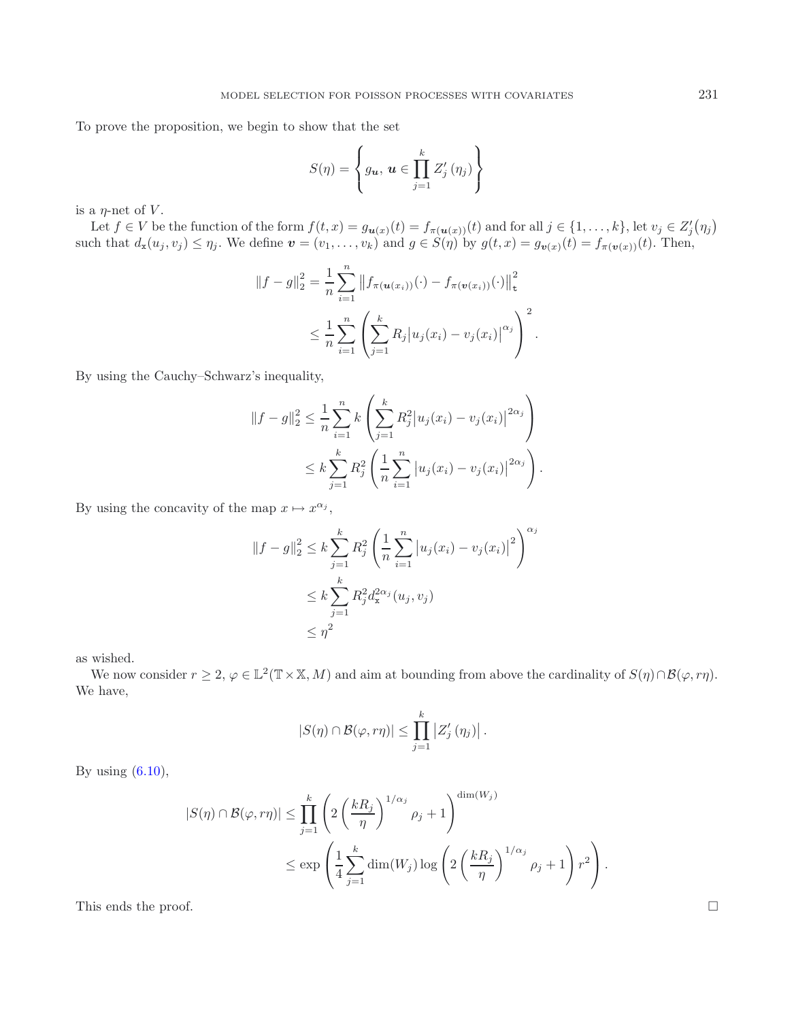To prove the proposition, we begin to show that the set

$$
S(\eta) = \left\{ g_{\boldsymbol{u}}, \, \boldsymbol{u} \in \prod_{j=1}^k Z'_j \left( \eta_j \right) \right\}
$$

is a  $\eta$ -net of V.

Let  $f \in V$  be the function of the form  $f(t, x) = g_{u(x)}(t) = f_{\pi(u(x))}(t)$  and for all  $j \in \{1, ..., k\}$ , let  $v_j \in Z'_j(\eta_j)$ such that  $d_{\mathbf{x}}(u_j, v_j) \leq \eta_j$ . We define  $\mathbf{v} = (v_1, \ldots, v_k)$  and  $g \in S(\eta)$  by  $g(t, x) = g_{\mathbf{v}(x)}(t) = f_{\pi(\mathbf{v}(x))}(t)$ . Then,

$$
||f - g||_2^2 = \frac{1}{n} \sum_{i=1}^n ||f_{\pi(u(x_i))}(\cdot) - f_{\pi(v(x_i))}(\cdot)||_t^2
$$
  

$$
\leq \frac{1}{n} \sum_{i=1}^n \left( \sum_{j=1}^k R_j |u_j(x_i) - v_j(x_i)|^{\alpha_j} \right)^2.
$$

By using the Cauchy–Schwarz's inequality,

$$
||f - g||_2^2 \le \frac{1}{n} \sum_{i=1}^n k \left( \sum_{j=1}^k R_j^2 |u_j(x_i) - v_j(x_i)|^{2\alpha_j} \right)
$$
  
 
$$
\le k \sum_{j=1}^k R_j^2 \left( \frac{1}{n} \sum_{i=1}^n |u_j(x_i) - v_j(x_i)|^{2\alpha_j} \right).
$$

By using the concavity of the map  $x \mapsto x^{\alpha_j}$ ,

$$
||f - g||_2^2 \le k \sum_{j=1}^k R_j^2 \left( \frac{1}{n} \sum_{i=1}^n |u_j(x_i) - v_j(x_i)|^2 \right)^{\alpha_j}
$$
  

$$
\le k \sum_{j=1}^k R_j^2 d_{\mathbf{x}}^{2\alpha_j}(u_j, v_j)
$$
  

$$
\le \eta^2
$$

as wished.

We now consider  $r \geq 2$ ,  $\varphi \in \mathbb{L}^{2}(\mathbb{T} \times \mathbb{X}, M)$  and aim at bounding from above the cardinality of  $S(\eta) \cap \mathcal{B}(\varphi, r\eta)$ . We have,

$$
|S(\eta) \cap \mathcal{B}(\varphi, r\eta)| \leq \prod_{j=1}^k |Z_j'(\eta_j)|.
$$

By using  $(6.10)$ ,

$$
|S(\eta) \cap \mathcal{B}(\varphi, r\eta)| \leq \prod_{j=1}^{k} \left( 2\left(\frac{kR_j}{\eta}\right)^{1/\alpha_j} \rho_j + 1 \right)^{\dim(W_j)} \leq \exp\left(\frac{1}{4} \sum_{j=1}^{k} \dim(W_j) \log\left(2\left(\frac{kR_j}{\eta}\right)^{1/\alpha_j} \rho_j + 1\right) r^2\right).
$$

This ends the proof.  $\Box$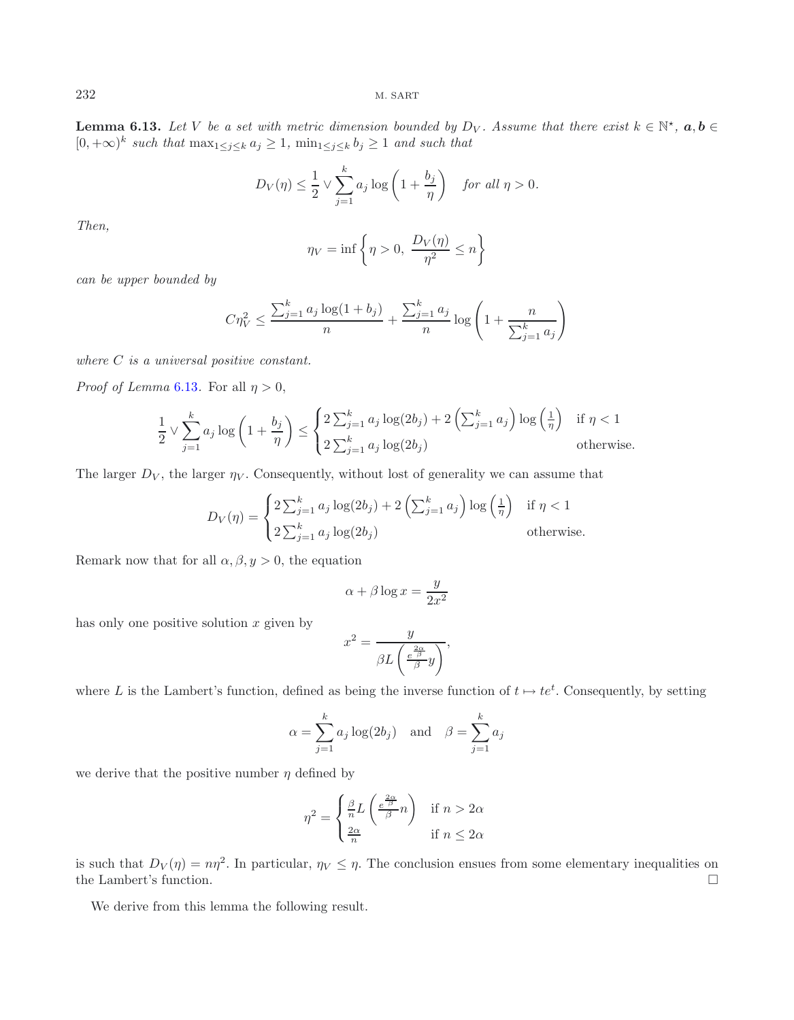<span id="page-28-0"></span>**Lemma 6.13.** *Let* V *be a set with metric dimension bounded by*  $D_V$ *. Assume that there exist*  $k \in \mathbb{N}^{\star}$ ,  $a, b \in$ [0, +∞)<sup>k</sup> *such that* max1≤j≤<sup>k</sup> a<sup>j</sup> ≥ 1*,* min1≤j≤<sup>k</sup> b<sup>j</sup> ≥ 1 *and such that*

$$
D_V(\eta) \le \frac{1}{2} \vee \sum_{j=1}^k a_j \log \left( 1 + \frac{b_j}{\eta} \right) \quad \text{for all } \eta > 0.
$$

*Then,*

$$
\eta_V = \inf \left\{ \eta > 0, \ \frac{D_V(\eta)}{\eta^2} \le n \right\}
$$

*can be upper bounded by*

$$
C\eta_V^2 \le \frac{\sum_{j=1}^k a_j \log(1 + b_j)}{n} + \frac{\sum_{j=1}^k a_j}{n} \log\left(1 + \frac{n}{\sum_{j=1}^k a_j}\right)
$$

*where* C *is a universal positive constant.*

*Proof of Lemma* [6.13](#page-28-0). For all  $\eta > 0$ ,

$$
\frac{1}{2} \vee \sum_{j=1}^{k} a_j \log \left( 1 + \frac{b_j}{\eta} \right) \le \begin{cases} 2 \sum_{j=1}^{k} a_j \log(2b_j) + 2 \left( \sum_{j=1}^{k} a_j \right) \log \left( \frac{1}{\eta} \right) & \text{if } \eta < 1 \\ 2 \sum_{j=1}^{k} a_j \log(2b_j) & \text{otherwise.} \end{cases}
$$

The larger  $D_V$ , the larger  $\eta_V$ . Consequently, without lost of generality we can assume that

$$
D_V(\eta) = \begin{cases} 2\sum_{j=1}^k a_j \log(2b_j) + 2\left(\sum_{j=1}^k a_j\right) \log\left(\frac{1}{\eta}\right) & \text{if } \eta < 1\\ 2\sum_{j=1}^k a_j \log(2b_j) & \text{otherwise.} \end{cases}
$$

Remark now that for all  $\alpha, \beta, y > 0$ , the equation

$$
\alpha + \beta \log x = \frac{y}{2x^2}
$$

has only one positive solution  $x$  given by

$$
x^2 = \frac{y}{\beta L \left(\frac{e^{\frac{2\alpha}{\beta}}}{\beta}y\right)},
$$

where L is the Lambert's function, defined as being the inverse function of  $t \mapsto te^t$ . Consequently, by setting

$$
\alpha = \sum_{j=1}^{k} a_j \log(2b_j)
$$
 and  $\beta = \sum_{j=1}^{k} a_j$ 

we derive that the positive number  $\eta$  defined by

$$
\eta^2 = \begin{cases} \frac{\beta}{n} L\left(\frac{e^{\frac{2\alpha}{\beta}}}{\beta} n\right) & \text{if } n > 2\alpha\\ \frac{2\alpha}{n} & \text{if } n \le 2\alpha \end{cases}
$$

<span id="page-28-1"></span>is such that  $D_V(\eta) = n\eta^2$ . In particular,  $\eta_V \leq \eta$ . The conclusion ensues from some elementary inequalities on the Lambert's function.  $\Box$ 

We derive from this lemma the following result.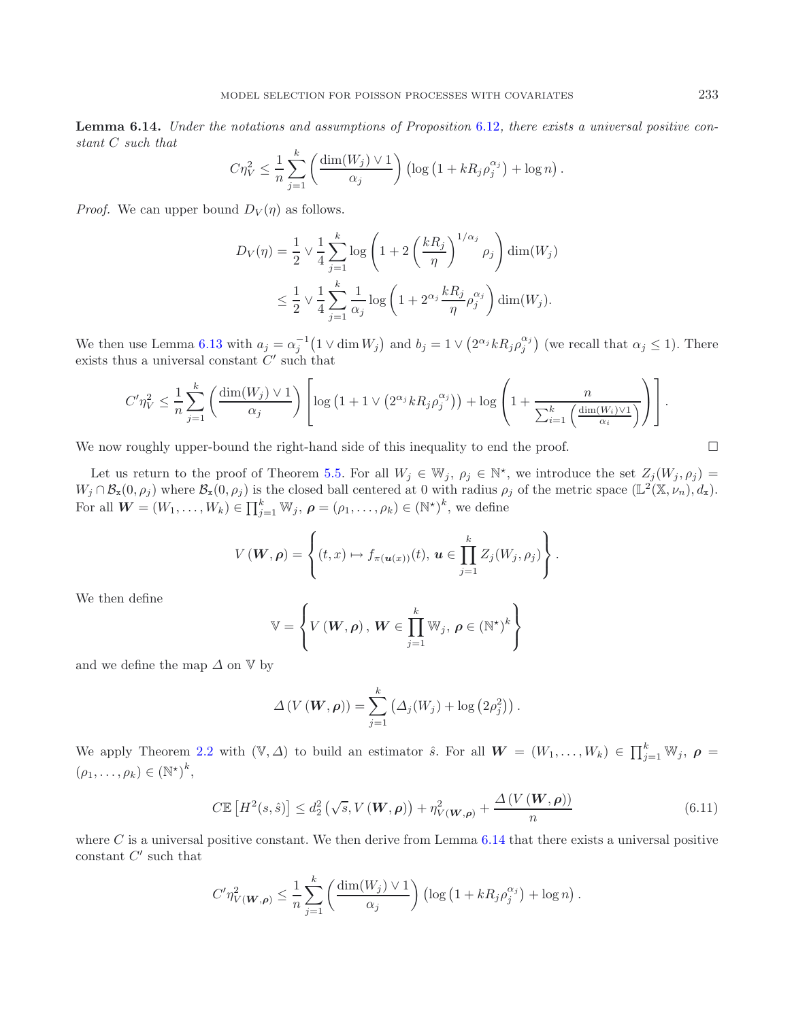**Lemma 6.14.** *Under the notations and assumptions of Proposition* [6.12](#page-26-0)*, there exists a universal positive constant* C *such that*

$$
C\eta_V^2 \leq \frac{1}{n} \sum_{j=1}^k \left( \frac{\dim(W_j) \vee 1}{\alpha_j} \right) \left( \log\left(1 + kR_j \rho_j^{\alpha_j}\right) + \log n \right).
$$

*Proof.* We can upper bound  $D_V(\eta)$  as follows.

$$
D_V(\eta) = \frac{1}{2} \vee \frac{1}{4} \sum_{j=1}^k \log \left( 1 + 2 \left( \frac{kR_j}{\eta} \right)^{1/\alpha_j} \rho_j \right) \dim(W_j)
$$
  

$$
\leq \frac{1}{2} \vee \frac{1}{4} \sum_{j=1}^k \frac{1}{\alpha_j} \log \left( 1 + 2^{\alpha_j} \frac{kR_j}{\eta} \rho_j^{\alpha_j} \right) \dim(W_j).
$$

We then use Lemma [6.13](#page-28-0) with  $a_j = \alpha_j^{-1} (1 \vee \dim W_j)$  and  $b_j = 1 \vee (2^{\alpha_j} k R_j \rho_j^{\alpha_j})$  (we recall that  $\alpha_j \le 1$ ). There exists thus a universal constant  $C'$  such that

$$
C'\eta_V^2 \leq \frac{1}{n}\sum_{j=1}^k \left(\frac{\dim(W_j) \vee 1}{\alpha_j}\right) \left[\log\left(1 + 1 \vee \left(2^{\alpha_j} k R_j \rho_j^{\alpha_j}\right)\right) + \log\left(1 + \frac{n}{\sum_{i=1}^k \left(\frac{\dim(W_i) \vee 1}{\alpha_i}\right)}\right)\right].
$$

We now roughly upper-bound the right-hand side of this inequality to end the proof.

Let us return to the proof of Theorem [5.5.](#page-10-0) For all  $W_j \in \mathbb{W}_j$ ,  $\rho_j \in \mathbb{N}^*$ , we introduce the set  $Z_j(W_j, \rho_j)$  =  $W_j \cap \mathcal{B}_{\mathbf{x}}(0, \rho_j)$  where  $\mathcal{B}_{\mathbf{x}}(0, \rho_j)$  is the closed ball centered at 0 with radius  $\rho_j$  of the metric space  $(\mathbb{L}^2(\mathbb{X}, \nu_n), d_{\mathbf{x}})$ . For all  $\mathbf{W} = (W_1, \ldots, W_k) \in \prod_{j=1}^k \mathbb{W}_j$ ,  $\boldsymbol{\rho} = (\rho_1, \ldots, \rho_k) \in (\mathbb{N}^{\star})^k$ , we define

$$
V(\boldsymbol{W}, \boldsymbol{\rho}) = \left\{ (t, x) \mapsto f_{\pi(\boldsymbol{u}(x))}(t), \, \boldsymbol{u} \in \prod_{j=1}^k Z_j(W_j, \rho_j) \right\}.
$$

We then define

$$
\mathbb{V} = \left\{ V\left(\boldsymbol{W}, \boldsymbol{\rho}\right), \, \boldsymbol{W} \in \prod_{j=1}^{k} \mathbb{W}_{j}, \, \boldsymbol{\rho} \in \left(\mathbb{N}^{\star}\right)^{k} \right\}
$$

and we define the map  $\Delta$  on  $\mathbb{V}$  by

$$
\Delta(V(\boldsymbol{W},\boldsymbol{\rho})) = \sum_{j=1}^{k} (\Delta_j(W_j) + \log(2\rho_j^2)).
$$

We apply Theorem [2.2](#page-3-1) with  $(\mathbb{V}, \Delta)$  to build an estimator  $\hat{s}$ . For all  $W = (W_1, \ldots, W_k) \in \prod_{j=1}^k \mathbb{W}_j$ ,  $\rho =$  $(\rho_1,\ldots,\rho_k)\in (\mathbb{N}^*)^k,$ 

$$
C\mathbb{E}\left[H^{2}(s,\hat{s})\right] \leq d_{2}^{2}\left(\sqrt{s}, V\left(\boldsymbol{W}, \boldsymbol{\rho}\right)\right) + \eta_{V\left(\boldsymbol{W}, \boldsymbol{\rho}\right)}^{2} + \frac{\Delta\left(V\left(\boldsymbol{W}, \boldsymbol{\rho}\right)\right)}{n} \tag{6.11}
$$

<span id="page-29-0"></span>where  $C$  is a universal positive constant. We then derive from Lemma  $6.14$  that there exists a universal positive constant  $C'$  such that

$$
C'\eta_{V(\boldsymbol{W},\boldsymbol{\rho})}^2 \leq \frac{1}{n}\sum_{j=1}^k \left(\frac{\dim(W_j) \vee 1}{\alpha_j}\right) \left(\log\left(1 + kR_j\rho_j^{\alpha_j}\right) + \log n\right).
$$

$$
\Box
$$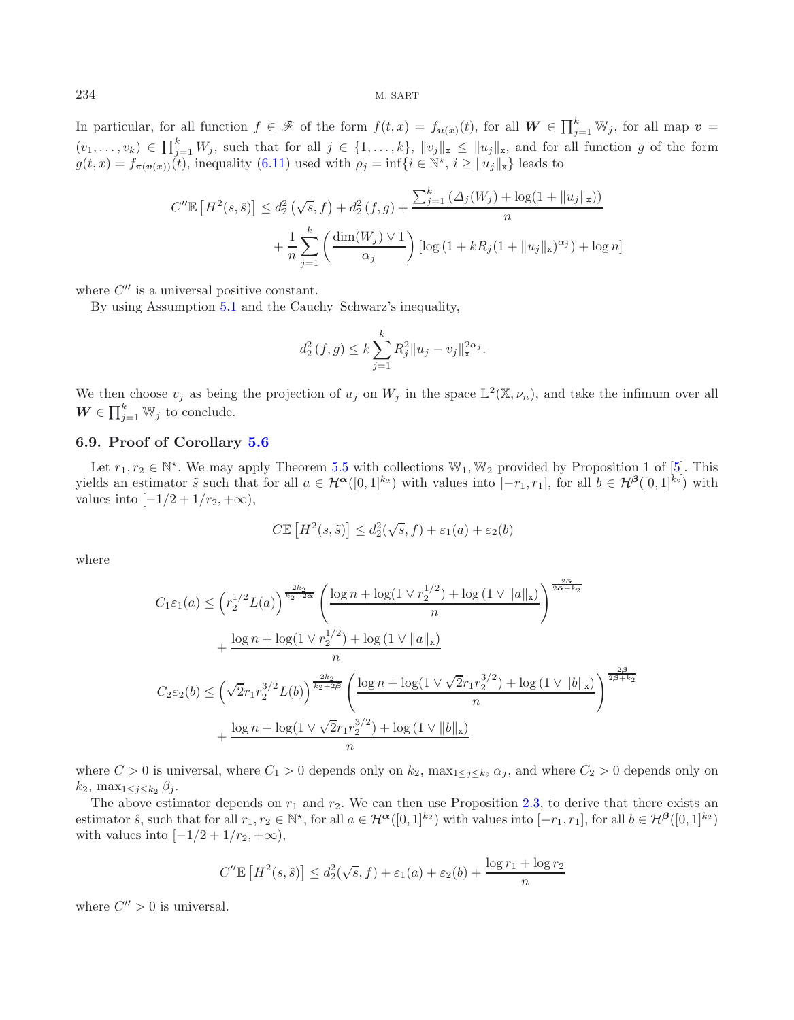In particular, for all function  $f \in \mathscr{F}$  of the form  $f(t,x) = f_{\mathbf{u}(x)}(t)$ , for all  $\mathbf{W} \in \prod_{j=1}^k \mathbb{W}_j$ , for all map  $\mathbf{v} =$  $(v_1,\ldots,v_k) \in \prod_{j=1}^k W_j$ , such that for all  $j \in \{1,\ldots,k\}$ ,  $||v_j||_{\mathbf{x}} \leq ||u_j||_{\mathbf{x}}$ , and for all function g of the form  $g(t, x) = f_{\pi(\boldsymbol{v}(x))}(t)$ , inequality [\(6.11\)](#page-29-0) used with  $\rho_j = \inf\{i \in \mathbb{N}^*, i \geq ||u_j||_{\mathbf{x}}\}$  leads to

$$
C''\mathbb{E}\left[H^2(s,\hat{s})\right] \le d_2^2\left(\sqrt{s},f\right) + d_2^2\left(f,g\right) + \frac{\sum_{j=1}^k \left(\Delta_j(W_j) + \log(1 + \|u_j\|_{\mathbf{x}})\right)}{n} + \frac{1}{n}\sum_{j=1}^k \left(\frac{\dim(W_j) \vee 1}{\alpha_j}\right) \left[\log\left(1 + kR_j(1 + \|u_j\|_{\mathbf{x}})^{\alpha_j}\right) + \log n\right]
$$

where  $C''$  is a universal positive constant.

By using Assumption [5.1](#page-9-1) and the Cauchy–Schwarz's inequality,

$$
d_2^2(f,g) \le k \sum_{j=1}^k R_j^2 ||u_j - v_j||_{\mathbf{x}}^{2\alpha_j}.
$$

We then choose  $v_j$  as being the projection of  $u_j$  on  $W_j$  in the space  $\mathbb{L}^2(\mathbb{X}, \nu_n)$ , and take the infimum over all  $W \in \prod_{j=1}^k W_j$  to conclude.

## **6.9. Proof of Corollary [5.6](#page-10-1)**

Let  $r_1, r_2 \in \mathbb{N}^*$ . We may apply Theorem [5.5](#page-10-0) with collections  $\mathbb{W}_1, \mathbb{W}_2$  provided by Proposition 1 of [\[5](#page-31-9)]. This yields an estimator  $\tilde{s}$  such that for all  $a \in \mathcal{H}^{\alpha}([0,1]^{k_2})$  with values into  $[-r_1, r_1]$ , for all  $b \in \mathcal{H}^{\beta}([0,1]^{k_2})$  with values into  $[-1/2+1/r_2, +\infty)$ ,

$$
C\mathbb{E}\left[H^2(s,\tilde{s})\right] \leq d_2^2(\sqrt{s},f) + \varepsilon_1(a) + \varepsilon_2(b)
$$

where

$$
C_{1}\varepsilon_{1}(a) \leq \left(r_{2}^{1/2}L(a)\right)^{\frac{2k_{2}}{k_{2}+2\alpha}}\left(\frac{\log n + \log(1\vee r_{2}^{1/2}) + \log(1\vee\|a\|_{\mathbf{x}})}{n}\right)^{\frac{2\alpha}{2\alpha+k_{2}}} + \frac{\log n + \log(1\vee r_{2}^{1/2}) + \log(1\vee\|a\|_{\mathbf{x}})}{n}
$$
  

$$
C_{2}\varepsilon_{2}(b) \leq \left(\sqrt{2}r_{1}r_{2}^{3/2}L(b)\right)^{\frac{2k_{2}}{k_{2}+2\beta}}\left(\frac{\log n + \log(1\vee\sqrt{2}r_{1}r_{2}^{3/2}) + \log(1\vee\|b\|_{\mathbf{x}})}{n}\right)^{\frac{2\beta}{2\beta+k_{2}}}
$$
  

$$
+ \frac{\log n + \log(1\vee\sqrt{2}r_{1}r_{2}^{3/2}) + \log(1\vee\|b\|_{\mathbf{x}})}{n}
$$

where  $C > 0$  is universal, where  $C_1 > 0$  depends only on  $k_2$ , max<sub>1 $\lt i \lt k_2 \alpha_j$ </sub>, and where  $C_2 > 0$  depends only on  $k_2$ , max<sub>1</sub>< $\zeta_i$ <sub>< $k_2$ </sub> $\beta_i$ .

The above estimator depends on  $r_1$  and  $r_2$ . We can then use Proposition [2.3,](#page-4-2) to derive that there exists an estimator  $\hat{s}$ , such that for all  $r_1, r_2 \in \mathbb{N}^*$ , for all  $a \in \mathcal{H}^{\alpha}([0, 1]^{k_2})$  with values into  $[-r_1, r_1]$ , for all  $b \in \mathcal{H}^{\beta}([0, 1]^{k_2})$ with values into  $[-1/2+1/r_2, +\infty)$ ,

$$
C''\mathbb{E}\left[H^2(s,\hat{s})\right] \le d_2^2(\sqrt{s},f) + \varepsilon_1(a) + \varepsilon_2(b) + \frac{\log r_1 + \log r_2}{n}
$$

where  $C'' > 0$  is universal.